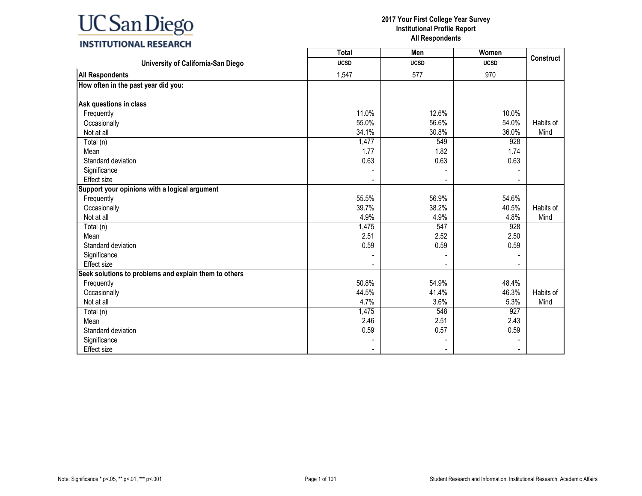### **INSTITUTIONAL RESEARCH**

|                                                       | <b>Total</b> | Men         | Women       | <b>Construct</b> |
|-------------------------------------------------------|--------------|-------------|-------------|------------------|
| University of California-San Diego                    | <b>UCSD</b>  | <b>UCSD</b> | <b>UCSD</b> |                  |
| <b>All Respondents</b>                                | 1,547        | 577         | 970         |                  |
| How often in the past year did you:                   |              |             |             |                  |
|                                                       |              |             |             |                  |
| Ask questions in class                                | 11.0%        |             | 10.0%       |                  |
| Frequently                                            |              | 12.6%       |             |                  |
| Occasionally                                          | 55.0%        | 56.6%       | 54.0%       | Habits of        |
| Not at all                                            | 34.1%        | 30.8%       | 36.0%       | Mind             |
| Total (n)                                             | 1,477        | 549         | 928         |                  |
| Mean                                                  | 1.77         | 1.82        | 1.74        |                  |
| Standard deviation                                    | 0.63         | 0.63        | 0.63        |                  |
| Significance                                          |              |             |             |                  |
| Effect size                                           |              |             |             |                  |
| Support your opinions with a logical argument         |              |             |             |                  |
| Frequently                                            | 55.5%        | 56.9%       | 54.6%       |                  |
| Occasionally                                          | 39.7%        | 38.2%       | 40.5%       | Habits of        |
| Not at all                                            | 4.9%         | 4.9%        | 4.8%        | Mind             |
| Total (n)                                             | 1,475        | 547         | 928         |                  |
| Mean                                                  | 2.51         | 2.52        | 2.50        |                  |
| Standard deviation                                    | 0.59         | 0.59        | 0.59        |                  |
| Significance                                          |              |             |             |                  |
| <b>Effect size</b>                                    |              |             |             |                  |
| Seek solutions to problems and explain them to others |              |             |             |                  |
| Frequently                                            | 50.8%        | 54.9%       | 48.4%       |                  |
| Occasionally                                          | 44.5%        | 41.4%       | 46.3%       | Habits of        |
| Not at all                                            | 4.7%         | 3.6%        | 5.3%        | Mind             |
| Total (n)                                             | 1,475        | 548         | 927         |                  |
| Mean                                                  | 2.46         | 2.51        | 2.43        |                  |
| Standard deviation                                    | 0.59         | 0.57        | 0.59        |                  |
| Significance                                          |              |             |             |                  |
| <b>Effect size</b>                                    |              |             |             |                  |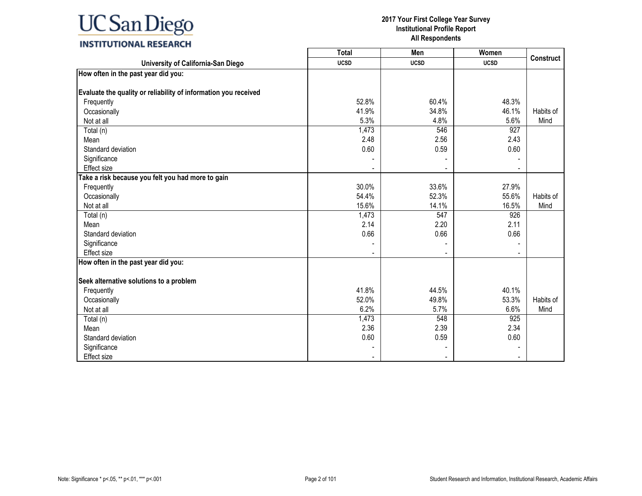|                                                                 | <b>Total</b> | Men         | Women       |                  |
|-----------------------------------------------------------------|--------------|-------------|-------------|------------------|
| University of California-San Diego                              | <b>UCSD</b>  | <b>UCSD</b> | <b>UCSD</b> | <b>Construct</b> |
| How often in the past year did you:                             |              |             |             |                  |
|                                                                 |              |             |             |                  |
| Evaluate the quality or reliability of information you received |              |             |             |                  |
| Frequently                                                      | 52.8%        | 60.4%       | 48.3%       |                  |
| Occasionally                                                    | 41.9%        | 34.8%       | 46.1%       | Habits of        |
| Not at all                                                      | 5.3%         | 4.8%        | 5.6%        | Mind             |
| Total (n)                                                       | 1,473        | 546         | 927         |                  |
| Mean                                                            | 2.48         | 2.56        | 2.43        |                  |
| Standard deviation                                              | 0.60         | 0.59        | 0.60        |                  |
| Significance                                                    |              |             |             |                  |
| Effect size                                                     |              |             |             |                  |
| Take a risk because you felt you had more to gain               |              |             |             |                  |
| Frequently                                                      | 30.0%        | 33.6%       | 27.9%       |                  |
| Occasionally                                                    | 54.4%        | 52.3%       | 55.6%       | Habits of        |
| Not at all                                                      | 15.6%        | 14.1%       | 16.5%       | Mind             |
| Total (n)                                                       | 1,473        | 547         | 926         |                  |
| Mean                                                            | 2.14         | 2.20        | 2.11        |                  |
| Standard deviation                                              | 0.66         | 0.66        | 0.66        |                  |
| Significance                                                    |              |             |             |                  |
| <b>Effect size</b>                                              |              |             |             |                  |
| How often in the past year did you:                             |              |             |             |                  |
| Seek alternative solutions to a problem                         |              |             |             |                  |
| Frequently                                                      | 41.8%        | 44.5%       | 40.1%       |                  |
| Occasionally                                                    | 52.0%        | 49.8%       | 53.3%       | Habits of        |
| Not at all                                                      | 6.2%         | 5.7%        | 6.6%        | Mind             |
|                                                                 |              | 548         |             |                  |
| Total (n)                                                       | 1,473        |             | 925         |                  |
| Mean                                                            | 2.36         | 2.39        | 2.34        |                  |
| Standard deviation                                              | 0.60         | 0.59        | 0.60        |                  |
| Significance                                                    |              |             |             |                  |
| <b>Effect size</b>                                              |              |             |             |                  |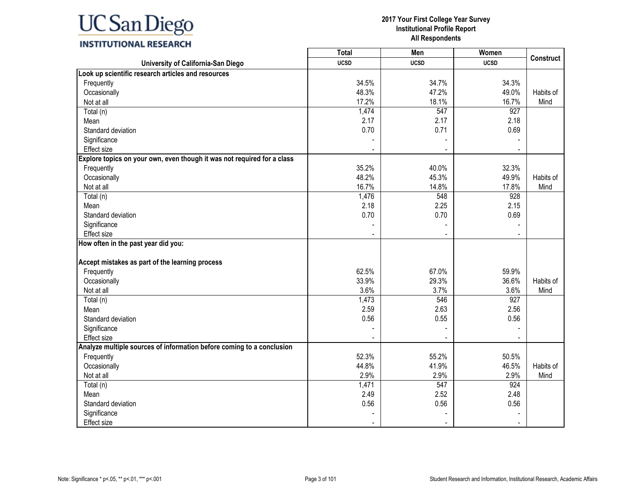### **INSTITUTIONAL RESEARCH**

|                                                                         | <b>Total</b> | Men         | <b>Women</b> | <b>Construct</b> |
|-------------------------------------------------------------------------|--------------|-------------|--------------|------------------|
| University of California-San Diego                                      | <b>UCSD</b>  | <b>UCSD</b> | <b>UCSD</b>  |                  |
| Look up scientific research articles and resources                      |              |             |              |                  |
| Frequently                                                              | 34.5%        | 34.7%       | 34.3%        |                  |
| Occasionally                                                            | 48.3%        | 47.2%       | 49.0%        | Habits of        |
| Not at all                                                              | 17.2%        | 18.1%       | 16.7%        | Mind             |
| Total (n)                                                               | 1,474        | 547         | 927          |                  |
| Mean                                                                    | 2.17         | 2.17        | 2.18         |                  |
| Standard deviation                                                      | 0.70         | 0.71        | 0.69         |                  |
| Significance                                                            |              |             |              |                  |
| Effect size                                                             |              |             |              |                  |
| Explore topics on your own, even though it was not required for a class |              |             |              |                  |
| Frequently                                                              | 35.2%        | 40.0%       | 32.3%        |                  |
| Occasionally                                                            | 48.2%        | 45.3%       | 49.9%        | Habits of        |
| Not at all                                                              | 16.7%        | 14.8%       | 17.8%        | Mind             |
| Total (n)                                                               | 1,476        | 548         | 928          |                  |
| Mean                                                                    | 2.18         | 2.25        | 2.15         |                  |
| Standard deviation                                                      | 0.70         | 0.70        | 0.69         |                  |
| Significance                                                            |              |             |              |                  |
| Effect size                                                             |              |             |              |                  |
| How often in the past year did you:                                     |              |             |              |                  |
| Accept mistakes as part of the learning process                         |              |             |              |                  |
| Frequently                                                              | 62.5%        | 67.0%       | 59.9%        |                  |
| Occasionally                                                            | 33.9%        | 29.3%       | 36.6%        | Habits of        |
| Not at all                                                              | 3.6%         | 3.7%        | 3.6%         | Mind             |
| Total (n)                                                               | 1,473        | 546         | 927          |                  |
| Mean                                                                    | 2.59         | 2.63        | 2.56         |                  |
| Standard deviation                                                      | 0.56         | 0.55        | 0.56         |                  |
| Significance                                                            |              |             |              |                  |
| Effect size                                                             |              |             |              |                  |
| Analyze multiple sources of information before coming to a conclusion   |              |             |              |                  |
| Frequently                                                              | 52.3%        | 55.2%       | 50.5%        |                  |
| Occasionally                                                            | 44.8%        | 41.9%       | 46.5%        | Habits of        |
| Not at all                                                              | 2.9%         | 2.9%        | 2.9%         | Mind             |
| Total (n)                                                               | 1,471        | 547         | 924          |                  |
| Mean                                                                    | 2.49         | 2.52        | 2.48         |                  |
| Standard deviation                                                      | 0.56         | 0.56        | 0.56         |                  |
| Significance                                                            |              |             |              |                  |
| <b>Effect size</b>                                                      |              |             |              |                  |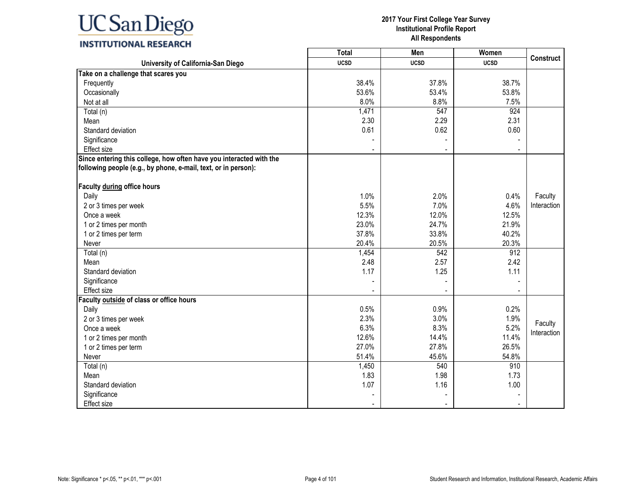

## **2017 Your First College Year Survey**

**Institutional Profile Report All Respondents**

|                                                                                                                                       | Total       | Men         | Women       | <b>Construct</b> |
|---------------------------------------------------------------------------------------------------------------------------------------|-------------|-------------|-------------|------------------|
| University of California-San Diego                                                                                                    | <b>UCSD</b> | <b>UCSD</b> | <b>UCSD</b> |                  |
| Take on a challenge that scares you                                                                                                   |             |             |             |                  |
| Frequently                                                                                                                            | 38.4%       | 37.8%       | 38.7%       |                  |
| Occasionally                                                                                                                          | 53.6%       | 53.4%       | 53.8%       |                  |
| Not at all                                                                                                                            | 8.0%        | 8.8%        | 7.5%        |                  |
| Total (n)                                                                                                                             | 1,471       | 547         | 924         |                  |
| Mean                                                                                                                                  | 2.30        | 2.29        | 2.31        |                  |
| Standard deviation                                                                                                                    | 0.61        | 0.62        | 0.60        |                  |
| Significance                                                                                                                          |             |             |             |                  |
| Effect size                                                                                                                           |             |             |             |                  |
| Since entering this college, how often have you interacted with the<br>following people (e.g., by phone, e-mail, text, or in person): |             |             |             |                  |
| Faculty during office hours                                                                                                           |             |             |             |                  |
| Daily                                                                                                                                 | 1.0%        | 2.0%        | 0.4%        | Faculty          |
| 2 or 3 times per week                                                                                                                 | 5.5%        | 7.0%        | 4.6%        | Interaction      |
| Once a week                                                                                                                           | 12.3%       | 12.0%       | 12.5%       |                  |
| 1 or 2 times per month                                                                                                                | 23.0%       | 24.7%       | 21.9%       |                  |
| 1 or 2 times per term                                                                                                                 | 37.8%       | 33.8%       | 40.2%       |                  |
| Never                                                                                                                                 | 20.4%       | 20.5%       | 20.3%       |                  |
| Total (n)                                                                                                                             | 1,454       | 542         | 912         |                  |
| Mean                                                                                                                                  | 2.48        | 2.57        | 2.42        |                  |
| Standard deviation                                                                                                                    | 1.17        | 1.25        | 1.11        |                  |
| Significance                                                                                                                          |             |             |             |                  |
| Effect size                                                                                                                           |             |             |             |                  |
| Faculty outside of class or office hours                                                                                              |             |             |             |                  |
| Daily                                                                                                                                 | 0.5%        | 0.9%        | 0.2%        |                  |
| 2 or 3 times per week                                                                                                                 | 2.3%        | 3.0%        | 1.9%        | Faculty          |
| Once a week                                                                                                                           | 6.3%        | 8.3%        | 5.2%        | Interaction      |
| 1 or 2 times per month                                                                                                                | 12.6%       | 14.4%       | 11.4%       |                  |
| 1 or 2 times per term                                                                                                                 | 27.0%       | 27.8%       | 26.5%       |                  |
| Never                                                                                                                                 | 51.4%       | 45.6%       | 54.8%       |                  |
| Total (n)                                                                                                                             | 1,450       | 540         | 910         |                  |
| Mean                                                                                                                                  | 1.83        | 1.98        | 1.73        |                  |
| Standard deviation                                                                                                                    | 1.07        | 1.16        | 1.00        |                  |
| Significance                                                                                                                          |             |             |             |                  |
| Effect size                                                                                                                           |             |             |             |                  |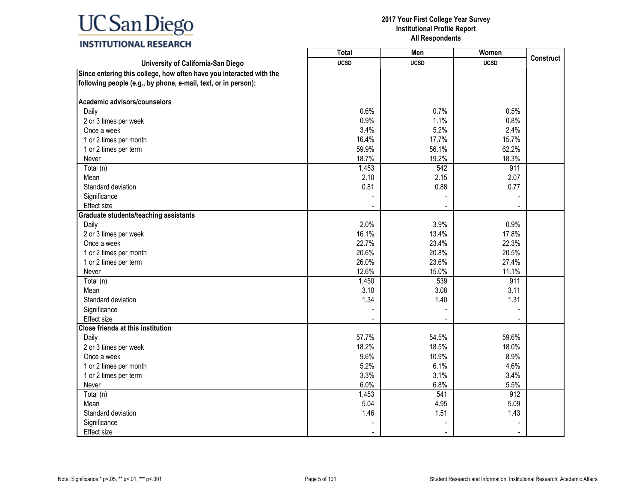|                                                                     | <b>Total</b>  | Men            | Women       |                  |
|---------------------------------------------------------------------|---------------|----------------|-------------|------------------|
| University of California-San Diego                                  | <b>UCSD</b>   | <b>UCSD</b>    | <b>UCSD</b> | <b>Construct</b> |
| Since entering this college, how often have you interacted with the |               |                |             |                  |
| following people (e.g., by phone, e-mail, text, or in person):      |               |                |             |                  |
| Academic advisors/counselors                                        |               |                |             |                  |
| Daily                                                               | 0.6%          | 0.7%           | 0.5%        |                  |
| 2 or 3 times per week                                               | 0.9%          | 1.1%           | 0.8%        |                  |
| Once a week                                                         | 3.4%          | 5.2%           | 2.4%        |                  |
| 1 or 2 times per month                                              | 16.4%         | 17.7%          | 15.7%       |                  |
| 1 or 2 times per term                                               | 59.9%         | 56.1%          | 62.2%       |                  |
| Never                                                               | 18.7%         | 19.2%          | 18.3%       |                  |
| Total (n)                                                           | 1,453         | 542            | 911         |                  |
| Mean                                                                | 2.10          | 2.15           | 2.07        |                  |
| Standard deviation                                                  | 0.81          | 0.88           | 0.77        |                  |
| Significance                                                        |               |                |             |                  |
| Effect size                                                         |               |                |             |                  |
| <b>Graduate students/teaching assistants</b>                        |               |                |             |                  |
| Daily                                                               | 2.0%          | 3.9%           | 0.9%        |                  |
| 2 or 3 times per week                                               | 16.1%         | 13.4%          | 17.8%       |                  |
| Once a week                                                         | 22.7%         | 23.4%          | 22.3%       |                  |
| 1 or 2 times per month                                              | 20.6%         | 20.8%          | 20.5%       |                  |
| 1 or 2 times per term                                               | 26.0%         | 23.6%          | 27.4%       |                  |
| Never                                                               | 12.6%         | 15.0%          | 11.1%       |                  |
| Total (n)                                                           | 1,450         | 539            | 911         |                  |
| Mean                                                                | 3.10          | 3.08           | 3.11        |                  |
| Standard deviation                                                  | 1.34          | 1.40           | 1.31        |                  |
| Significance                                                        |               |                |             |                  |
| Effect size                                                         |               | $\blacksquare$ |             |                  |
| <b>Close friends at this institution</b>                            |               |                |             |                  |
| Daily                                                               | 57.7%         | 54.5%          | 59.6%       |                  |
| 2 or 3 times per week                                               | 18.2%         | 18.5%          | 18.0%       |                  |
| Once a week                                                         | 9.6%          | 10.9%          | 8.9%        |                  |
| 1 or 2 times per month                                              | 5.2%          | 6.1%           | 4.6%        |                  |
| 1 or 2 times per term                                               | 3.3%          | 3.1%<br>6.8%   | 3.4%        |                  |
| Never                                                               | 6.0%          | 541            | 5.5%<br>912 |                  |
| Total (n)                                                           | 1,453<br>5.04 | 4.95           | 5.09        |                  |
| Mean<br>Standard deviation                                          | 1.46          | 1.51           | 1.43        |                  |
|                                                                     |               |                |             |                  |
| Significance                                                        |               |                |             |                  |
| Effect size                                                         |               |                |             |                  |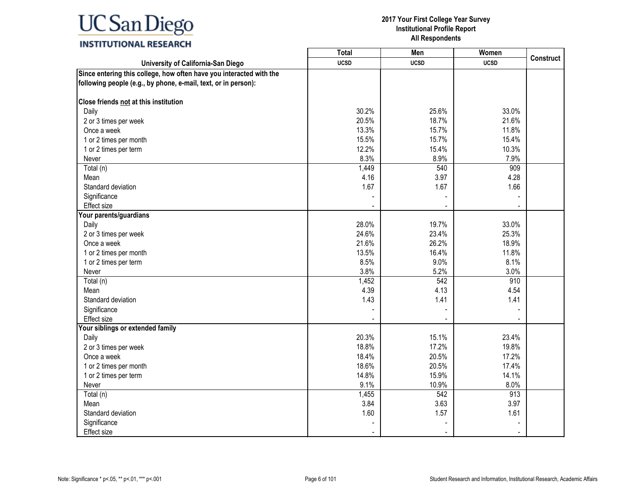|                                                                     | <b>Total</b> | Men         | Women       |                  |
|---------------------------------------------------------------------|--------------|-------------|-------------|------------------|
| University of California-San Diego                                  | <b>UCSD</b>  | <b>UCSD</b> | <b>UCSD</b> | <b>Construct</b> |
| Since entering this college, how often have you interacted with the |              |             |             |                  |
| following people (e.g., by phone, e-mail, text, or in person):      |              |             |             |                  |
| Close friends not at this institution                               |              |             |             |                  |
| Daily                                                               | 30.2%        | 25.6%       | 33.0%       |                  |
| 2 or 3 times per week                                               | 20.5%        | 18.7%       | 21.6%       |                  |
| Once a week                                                         | 13.3%        | 15.7%       | 11.8%       |                  |
| 1 or 2 times per month                                              | 15.5%        | 15.7%       | 15.4%       |                  |
| 1 or 2 times per term                                               | 12.2%        | 15.4%       | 10.3%       |                  |
| Never                                                               | 8.3%         | 8.9%        | 7.9%        |                  |
| Total (n)                                                           | 1,449        | 540         | 909         |                  |
| Mean                                                                | 4.16         | 3.97        | 4.28        |                  |
| Standard deviation                                                  | 1.67         | 1.67        | 1.66        |                  |
| Significance                                                        |              |             |             |                  |
| Effect size                                                         |              |             |             |                  |
| Your parents/guardians                                              |              |             |             |                  |
| Daily                                                               | 28.0%        | 19.7%       | 33.0%       |                  |
| 2 or 3 times per week                                               | 24.6%        | 23.4%       | 25.3%       |                  |
| Once a week                                                         | 21.6%        | 26.2%       | 18.9%       |                  |
| 1 or 2 times per month                                              | 13.5%        | 16.4%       | 11.8%       |                  |
| 1 or 2 times per term                                               | 8.5%         | 9.0%        | 8.1%        |                  |
| Never                                                               | 3.8%         | 5.2%        | 3.0%        |                  |
| Total (n)                                                           | 1,452        | 542         | 910         |                  |
| Mean                                                                | 4.39         | 4.13        | 4.54        |                  |
| Standard deviation                                                  | 1.43         | 1.41        | 1.41        |                  |
| Significance                                                        |              |             |             |                  |
| Effect size                                                         |              |             |             |                  |
| Your siblings or extended family                                    |              |             |             |                  |
| Daily                                                               | 20.3%        | 15.1%       | 23.4%       |                  |
| 2 or 3 times per week                                               | 18.8%        | 17.2%       | 19.8%       |                  |
| Once a week                                                         | 18.4%        | 20.5%       | 17.2%       |                  |
| 1 or 2 times per month                                              | 18.6%        | 20.5%       | 17.4%       |                  |
| 1 or 2 times per term                                               | 14.8%        | 15.9%       | 14.1%       |                  |
| Never                                                               | 9.1%         | 10.9%       | 8.0%        |                  |
| Total (n)                                                           | 1,455        | 542         | 913         |                  |
| Mean                                                                | 3.84         | 3.63        | 3.97        |                  |
| Standard deviation                                                  | 1.60         | 1.57        | 1.61        |                  |
| Significance                                                        |              |             |             |                  |
| Effect size                                                         |              |             |             |                  |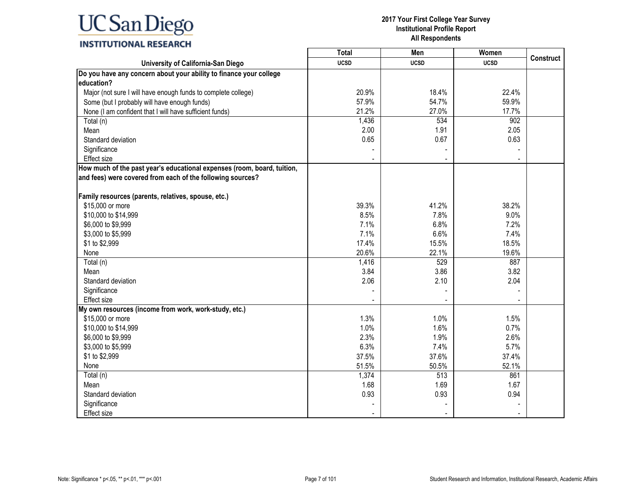### **INSTITUTIONAL RESEARCH**

|                                                                         | <b>Total</b> | Men         | Women       |                  |
|-------------------------------------------------------------------------|--------------|-------------|-------------|------------------|
| University of California-San Diego                                      | <b>UCSD</b>  | <b>UCSD</b> | <b>UCSD</b> | <b>Construct</b> |
| Do you have any concern about your ability to finance your college      |              |             |             |                  |
| education?                                                              |              |             |             |                  |
| Major (not sure I will have enough funds to complete college)           | 20.9%        | 18.4%       | 22.4%       |                  |
| Some (but I probably will have enough funds)                            | 57.9%        | 54.7%       | 59.9%       |                  |
| None (I am confident that I will have sufficient funds)                 | 21.2%        | 27.0%       | 17.7%       |                  |
| Total (n)                                                               | 1,436        | 534         | 902         |                  |
| Mean                                                                    | 2.00         | 1.91        | 2.05        |                  |
| Standard deviation                                                      | 0.65         | 0.67        | 0.63        |                  |
| Significance                                                            |              |             |             |                  |
| <b>Effect size</b>                                                      |              |             |             |                  |
| How much of the past year's educational expenses (room, board, tuition, |              |             |             |                  |
| and fees) were covered from each of the following sources?              |              |             |             |                  |
|                                                                         |              |             |             |                  |
| Family resources (parents, relatives, spouse, etc.)                     |              |             |             |                  |
| \$15,000 or more                                                        | 39.3%        | 41.2%       | 38.2%       |                  |
| \$10,000 to \$14,999                                                    | 8.5%         | 7.8%        | 9.0%        |                  |
| \$6,000 to \$9,999                                                      | 7.1%         | 6.8%        | 7.2%        |                  |
| \$3,000 to \$5,999                                                      | 7.1%         | 6.6%        | 7.4%        |                  |
| \$1 to \$2,999                                                          | 17.4%        | 15.5%       | 18.5%       |                  |
| None                                                                    | 20.6%        | 22.1%       | 19.6%       |                  |
| Total (n)                                                               | 1,416        | 529         | 887         |                  |
| Mean                                                                    | 3.84         | 3.86        | 3.82        |                  |
| Standard deviation                                                      | 2.06         | 2.10        | 2.04        |                  |
| Significance                                                            |              |             |             |                  |
| Effect size                                                             |              |             |             |                  |
| My own resources (income from work, work-study, etc.)                   |              |             |             |                  |
| \$15,000 or more                                                        | 1.3%         | 1.0%        | 1.5%        |                  |
| \$10,000 to \$14,999                                                    | 1.0%         | 1.6%        | 0.7%        |                  |
| \$6,000 to \$9,999                                                      | 2.3%         | 1.9%        | 2.6%        |                  |
| \$3,000 to \$5,999                                                      | 6.3%         | 7.4%        | 5.7%        |                  |
| \$1 to \$2,999                                                          | 37.5%        | 37.6%       | 37.4%       |                  |
| None                                                                    | 51.5%        | 50.5%       | 52.1%       |                  |
| Total (n)                                                               | 1,374        | 513         | 861         |                  |
| Mean                                                                    | 1.68         | 1.69        | 1.67        |                  |
| Standard deviation                                                      | 0.93         | 0.93        | 0.94        |                  |
| Significance                                                            |              |             |             |                  |
| Effect size                                                             |              |             |             |                  |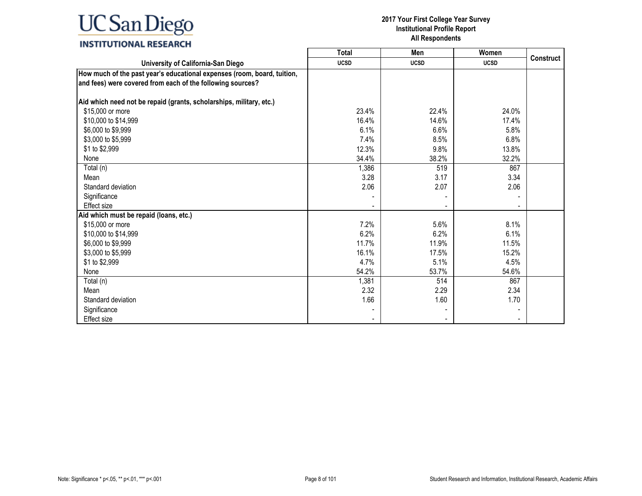### **INSTITUTIONAL RESEARCH**

|                                                                                                                                       | <b>Total</b> | Men         | Women       |                  |
|---------------------------------------------------------------------------------------------------------------------------------------|--------------|-------------|-------------|------------------|
| University of California-San Diego                                                                                                    | <b>UCSD</b>  | <b>UCSD</b> | <b>UCSD</b> | <b>Construct</b> |
| How much of the past year's educational expenses (room, board, tuition,<br>and fees) were covered from each of the following sources? |              |             |             |                  |
| Aid which need not be repaid (grants, scholarships, military, etc.)                                                                   |              |             |             |                  |
| \$15,000 or more                                                                                                                      | 23.4%        | 22.4%       | 24.0%       |                  |
| \$10,000 to \$14,999                                                                                                                  | 16.4%        | 14.6%       | 17.4%       |                  |
| \$6,000 to \$9,999                                                                                                                    | 6.1%         | 6.6%        | 5.8%        |                  |
| \$3,000 to \$5,999                                                                                                                    | 7.4%         | 8.5%        | 6.8%        |                  |
| \$1 to \$2,999                                                                                                                        | 12.3%        | 9.8%        | 13.8%       |                  |
| None                                                                                                                                  | 34.4%        | 38.2%       | 32.2%       |                  |
| Total (n)                                                                                                                             | 1,386        | 519         | 867         |                  |
| Mean                                                                                                                                  | 3.28         | 3.17        | 3.34        |                  |
| Standard deviation                                                                                                                    | 2.06         | 2.07        | 2.06        |                  |
| Significance                                                                                                                          |              |             |             |                  |
| Effect size                                                                                                                           |              |             |             |                  |
| Aid which must be repaid (loans, etc.)                                                                                                |              |             |             |                  |
| \$15,000 or more                                                                                                                      | 7.2%         | 5.6%        | 8.1%        |                  |
| \$10,000 to \$14,999                                                                                                                  | 6.2%         | 6.2%        | 6.1%        |                  |
| \$6,000 to \$9,999                                                                                                                    | 11.7%        | 11.9%       | 11.5%       |                  |
| \$3,000 to \$5,999                                                                                                                    | 16.1%        | 17.5%       | 15.2%       |                  |
| \$1 to \$2,999                                                                                                                        | 4.7%         | 5.1%        | 4.5%        |                  |
| None                                                                                                                                  | 54.2%        | 53.7%       | 54.6%       |                  |
| Total (n)                                                                                                                             | 1,381        | 514         | 867         |                  |
| Mean                                                                                                                                  | 2.32         | 2.29        | 2.34        |                  |
| Standard deviation                                                                                                                    | 1.66         | 1.60        | 1.70        |                  |
| Significance                                                                                                                          |              |             |             |                  |
| Effect size                                                                                                                           |              |             |             |                  |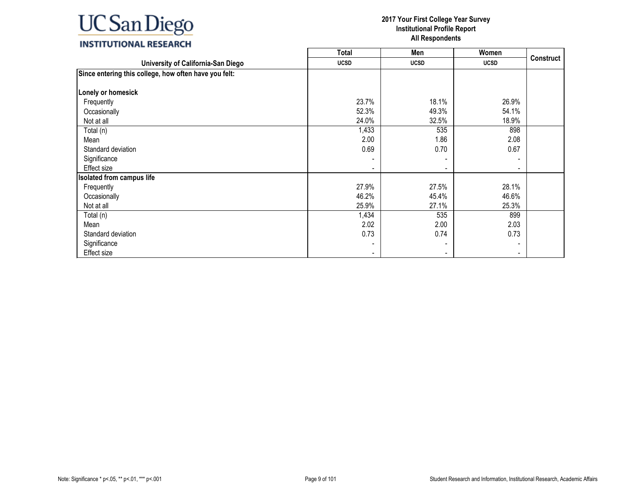|                                                       | <b>Total</b> | Men         | Women                    |                  |
|-------------------------------------------------------|--------------|-------------|--------------------------|------------------|
| University of California-San Diego                    | <b>UCSD</b>  | <b>UCSD</b> | <b>UCSD</b>              | <b>Construct</b> |
| Since entering this college, how often have you felt: |              |             |                          |                  |
| Lonely or homesick                                    |              |             |                          |                  |
| Frequently                                            | 23.7%        | 18.1%       | 26.9%                    |                  |
| Occasionally                                          | 52.3%        | 49.3%       | 54.1%                    |                  |
| Not at all                                            | 24.0%        | 32.5%       | 18.9%                    |                  |
| Total (n)                                             | 1,433        | 535         | 898                      |                  |
| Mean                                                  | 2.00         | 1.86        | 2.08                     |                  |
| Standard deviation                                    | 0.69         | 0.70        | 0.67                     |                  |
| Significance                                          |              |             |                          |                  |
| <b>Effect size</b>                                    |              |             | $\blacksquare$           |                  |
| <b>Isolated from campus life</b>                      |              |             |                          |                  |
| Frequently                                            | 27.9%        | 27.5%       | 28.1%                    |                  |
| Occasionally                                          | 46.2%        | 45.4%       | 46.6%                    |                  |
| Not at all                                            | 25.9%        | 27.1%       | 25.3%                    |                  |
| Total (n)                                             | 1,434        | 535         | 899                      |                  |
| Mean                                                  | 2.02         | 2.00        | 2.03                     |                  |
| Standard deviation                                    | 0.73         | 0.74        | 0.73                     |                  |
| Significance                                          |              |             | $\overline{\phantom{a}}$ |                  |
| Effect size                                           |              |             | ٠                        |                  |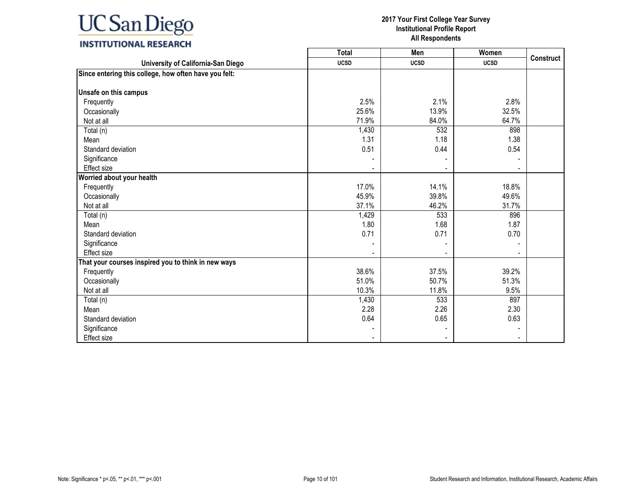|                                                       | Total       | Men         | Women                    |                  |
|-------------------------------------------------------|-------------|-------------|--------------------------|------------------|
| University of California-San Diego                    | <b>UCSD</b> | <b>UCSD</b> | <b>UCSD</b>              | <b>Construct</b> |
| Since entering this college, how often have you felt: |             |             |                          |                  |
| Unsafe on this campus                                 |             |             |                          |                  |
| Frequently                                            | 2.5%        | 2.1%        | 2.8%                     |                  |
| Occasionally                                          | 25.6%       | 13.9%       | 32.5%                    |                  |
| Not at all                                            | 71.9%       | 84.0%       | 64.7%                    |                  |
| Total (n)                                             | 1,430       | 532         | 898                      |                  |
| Mean                                                  | 1.31        | 1.18        | 1.38                     |                  |
| Standard deviation                                    | 0.51        | 0.44        | 0.54                     |                  |
| Significance                                          |             |             |                          |                  |
| Effect size                                           |             |             | $\overline{\phantom{a}}$ |                  |
| Worried about your health                             |             |             |                          |                  |
| Frequently                                            | 17.0%       | 14.1%       | 18.8%                    |                  |
| Occasionally                                          | 45.9%       | 39.8%       | 49.6%                    |                  |
| Not at all                                            | 37.1%       | 46.2%       | 31.7%                    |                  |
| Total (n)                                             | 1,429       | 533         | 896                      |                  |
| Mean                                                  | 1.80        | 1.68        | 1.87                     |                  |
| Standard deviation                                    | 0.71        | 0.71        | 0.70                     |                  |
| Significance                                          |             |             |                          |                  |
| Effect size                                           |             |             |                          |                  |
| That your courses inspired you to think in new ways   |             |             |                          |                  |
| Frequently                                            | 38.6%       | 37.5%       | 39.2%                    |                  |
| Occasionally                                          | 51.0%       | 50.7%       | 51.3%                    |                  |
| Not at all                                            | 10.3%       | 11.8%       | 9.5%                     |                  |
| Total (n)                                             | 1,430       | 533         | 897                      |                  |
| Mean                                                  | 2.28        | 2.26        | 2.30                     |                  |
| Standard deviation                                    | 0.64        | 0.65        | 0.63                     |                  |
| Significance                                          |             |             |                          |                  |
| <b>Effect size</b>                                    |             |             |                          |                  |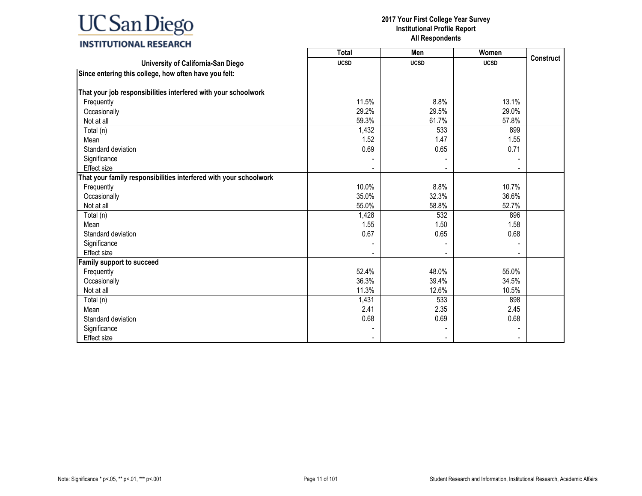|                                                                   | <b>Total</b> | Men         | Women       | <b>Construct</b> |
|-------------------------------------------------------------------|--------------|-------------|-------------|------------------|
| University of California-San Diego                                | <b>UCSD</b>  | <b>UCSD</b> | <b>UCSD</b> |                  |
| Since entering this college, how often have you felt:             |              |             |             |                  |
|                                                                   |              |             |             |                  |
| That your job responsibilities interfered with your schoolwork    |              |             |             |                  |
| Frequently                                                        | 11.5%        | 8.8%        | 13.1%       |                  |
| Occasionally                                                      | 29.2%        | 29.5%       | 29.0%       |                  |
| Not at all                                                        | 59.3%        | 61.7%       | 57.8%       |                  |
| Total (n)                                                         | 1,432        | 533         | 899         |                  |
| Mean                                                              | 1.52         | 1.47        | 1.55        |                  |
| Standard deviation                                                | 0.69         | 0.65        | 0.71        |                  |
| Significance                                                      |              |             |             |                  |
| Effect size                                                       |              |             |             |                  |
| That your family responsibilities interfered with your schoolwork |              |             |             |                  |
| Frequently                                                        | 10.0%        | 8.8%        | 10.7%       |                  |
| Occasionally                                                      | 35.0%        | 32.3%       | 36.6%       |                  |
| Not at all                                                        | 55.0%        | 58.8%       | 52.7%       |                  |
| Total (n)                                                         | 1,428        | 532         | 896         |                  |
| Mean                                                              | 1.55         | 1.50        | 1.58        |                  |
| Standard deviation                                                | 0.67         | 0.65        | 0.68        |                  |
| Significance                                                      |              |             |             |                  |
| Effect size                                                       |              |             |             |                  |
| Family support to succeed                                         |              |             |             |                  |
| Frequently                                                        | 52.4%        | 48.0%       | 55.0%       |                  |
| Occasionally                                                      | 36.3%        | 39.4%       | 34.5%       |                  |
| Not at all                                                        | 11.3%        | 12.6%       | 10.5%       |                  |
| Total (n)                                                         | 1,431        | 533         | 898         |                  |
| Mean                                                              | 2.41         | 2.35        | 2.45        |                  |
| Standard deviation                                                | 0.68         | 0.69        | 0.68        |                  |
| Significance                                                      |              |             |             |                  |
| Effect size                                                       |              |             |             |                  |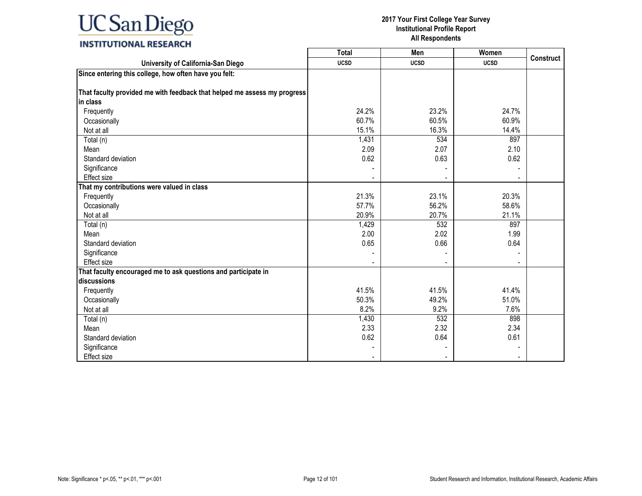### **INSTITUTIONAL RESEARCH**

|                                                                          | Total       | Men         | Women       |                  |
|--------------------------------------------------------------------------|-------------|-------------|-------------|------------------|
| University of California-San Diego                                       | <b>UCSD</b> | <b>UCSD</b> | <b>UCSD</b> | <b>Construct</b> |
| Since entering this college, how often have you felt:                    |             |             |             |                  |
|                                                                          |             |             |             |                  |
| That faculty provided me with feedback that helped me assess my progress |             |             |             |                  |
| in class                                                                 |             |             |             |                  |
| Frequently                                                               | 24.2%       | 23.2%       | 24.7%       |                  |
| Occasionally                                                             | 60.7%       | 60.5%       | 60.9%       |                  |
| Not at all                                                               | 15.1%       | 16.3%       | 14.4%       |                  |
| Total (n)                                                                | 1,431       | 534         | 897         |                  |
| Mean                                                                     | 2.09        | 2.07        | 2.10        |                  |
| Standard deviation                                                       | 0.62        | 0.63        | 0.62        |                  |
| Significance                                                             |             |             |             |                  |
| Effect size                                                              |             |             |             |                  |
| That my contributions were valued in class                               |             |             |             |                  |
| Frequently                                                               | 21.3%       | 23.1%       | 20.3%       |                  |
| Occasionally                                                             | 57.7%       | 56.2%       | 58.6%       |                  |
| Not at all                                                               | 20.9%       | 20.7%       | 21.1%       |                  |
| Total (n)                                                                | 1,429       | 532         | 897         |                  |
| Mean                                                                     | 2.00        | 2.02        | 1.99        |                  |
| Standard deviation                                                       | 0.65        | 0.66        | 0.64        |                  |
| Significance                                                             |             |             |             |                  |
| <b>Effect size</b>                                                       |             |             |             |                  |
| That faculty encouraged me to ask questions and participate in           |             |             |             |                  |
| discussions                                                              |             |             |             |                  |
| Frequently                                                               | 41.5%       | 41.5%       | 41.4%       |                  |
| Occasionally                                                             | 50.3%       | 49.2%       | 51.0%       |                  |
| Not at all                                                               | 8.2%        | 9.2%        | 7.6%        |                  |
| Total (n)                                                                | 1,430       | 532         | 898         |                  |
| Mean                                                                     | 2.33        | 2.32        | 2.34        |                  |
| Standard deviation                                                       | 0.62        | 0.64        | 0.61        |                  |
| Significance                                                             |             |             |             |                  |
| <b>Effect size</b>                                                       |             |             |             |                  |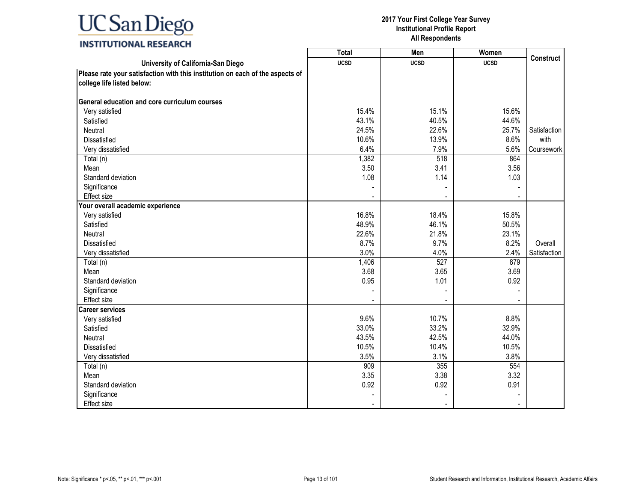### **INSTITUTIONAL RESEARCH**

|                                                                               | <b>Total</b> | Men              | Women       |                  |
|-------------------------------------------------------------------------------|--------------|------------------|-------------|------------------|
| University of California-San Diego                                            | <b>UCSD</b>  | <b>UCSD</b>      | <b>UCSD</b> | <b>Construct</b> |
| Please rate your satisfaction with this institution on each of the aspects of |              |                  |             |                  |
| college life listed below:                                                    |              |                  |             |                  |
|                                                                               |              |                  |             |                  |
| General education and core curriculum courses                                 |              |                  |             |                  |
| Very satisfied                                                                | 15.4%        | 15.1%            | 15.6%       |                  |
| Satisfied                                                                     | 43.1%        | 40.5%            | 44.6%       |                  |
| Neutral                                                                       | 24.5%        | 22.6%            | 25.7%       | Satisfaction     |
| Dissatisfied                                                                  | 10.6%        | 13.9%            | 8.6%        | with             |
| Very dissatisfied                                                             | 6.4%         | 7.9%             | 5.6%        | Coursework       |
| Total (n)                                                                     | 1,382        | 518              | 864         |                  |
| Mean                                                                          | 3.50         | 3.41             | 3.56        |                  |
| Standard deviation                                                            | 1.08         | 1.14             | 1.03        |                  |
| Significance                                                                  |              |                  |             |                  |
| Effect size                                                                   |              |                  |             |                  |
| Your overall academic experience                                              |              |                  |             |                  |
| Very satisfied                                                                | 16.8%        | 18.4%            | 15.8%       |                  |
| Satisfied                                                                     | 48.9%        | 46.1%            | 50.5%       |                  |
| <b>Neutral</b>                                                                | 22.6%        | 21.8%            | 23.1%       |                  |
| Dissatisfied                                                                  | 8.7%         | 9.7%             | 8.2%        | Overall          |
| Very dissatisfied                                                             | 3.0%         | 4.0%             | 2.4%        | Satisfaction     |
| Total (n)                                                                     | 1,406        | $\overline{527}$ | 879         |                  |
| Mean                                                                          | 3.68         | 3.65             | 3.69        |                  |
| Standard deviation                                                            | 0.95         | 1.01             | 0.92        |                  |
| Significance                                                                  |              |                  |             |                  |
| Effect size                                                                   |              |                  |             |                  |
| <b>Career services</b>                                                        |              |                  |             |                  |
| Very satisfied                                                                | 9.6%         | 10.7%            | 8.8%        |                  |
| Satisfied                                                                     | 33.0%        | 33.2%            | 32.9%       |                  |
| Neutral                                                                       | 43.5%        | 42.5%            | 44.0%       |                  |
| Dissatisfied                                                                  | 10.5%        | 10.4%            | 10.5%       |                  |
| Very dissatisfied                                                             | 3.5%         | 3.1%             | 3.8%        |                  |
| Total (n)                                                                     | 909          | 355              | 554         |                  |
| Mean                                                                          | 3.35         | 3.38             | 3.32        |                  |
| Standard deviation                                                            | 0.92         | 0.92             | 0.91        |                  |
| Significance                                                                  |              |                  |             |                  |
| Effect size                                                                   |              |                  |             |                  |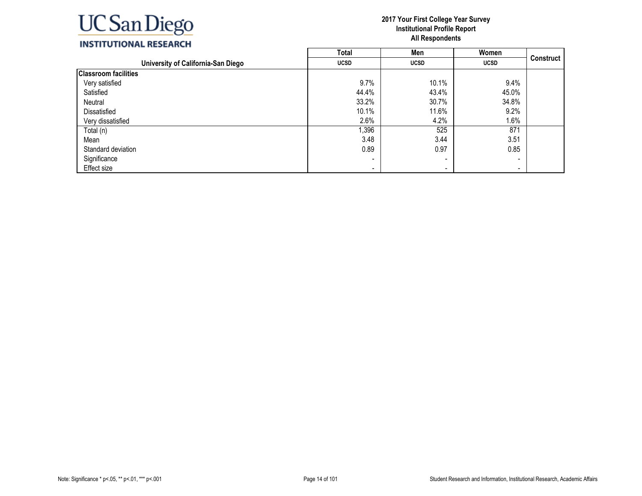

| INSTITUTIONAL RESEARCH |  |
|------------------------|--|
|------------------------|--|

|                                    | Total                    | Men         | Women                    |                  |
|------------------------------------|--------------------------|-------------|--------------------------|------------------|
| University of California-San Diego | <b>UCSD</b>              | <b>UCSD</b> | <b>UCSD</b>              | <b>Construct</b> |
| <b>Classroom facilities</b>        |                          |             |                          |                  |
| Very satisfied                     | 9.7%                     | 10.1%       | 9.4%                     |                  |
| Satisfied                          | 44.4%                    | 43.4%       | 45.0%                    |                  |
| Neutral                            | 33.2%                    | 30.7%       | 34.8%                    |                  |
| Dissatisfied                       | 10.1%                    | 11.6%       | 9.2%                     |                  |
| Very dissatisfied                  | 2.6%                     | 4.2%        | 1.6%                     |                  |
| Total (n)                          | 1,396                    | 525         | 871                      |                  |
| Mean                               | 3.48                     | 3.44        | 3.51                     |                  |
| Standard deviation                 | 0.89                     | 0.97        | 0.85                     |                  |
| Significance                       |                          | $\,$        | -                        |                  |
| Effect size                        | $\overline{\phantom{0}}$ | $\,$        | $\overline{\phantom{0}}$ |                  |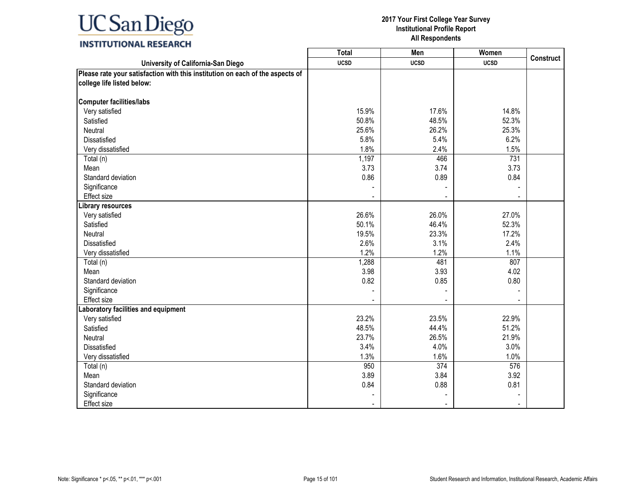### **INSTITUTIONAL RESEARCH**

|                                                                               | <b>Total</b> | Men         | Women       |           |
|-------------------------------------------------------------------------------|--------------|-------------|-------------|-----------|
| University of California-San Diego                                            | <b>UCSD</b>  | <b>UCSD</b> | <b>UCSD</b> | Construct |
| Please rate your satisfaction with this institution on each of the aspects of |              |             |             |           |
| college life listed below:                                                    |              |             |             |           |
|                                                                               |              |             |             |           |
| <b>Computer facilities/labs</b>                                               |              |             |             |           |
| Very satisfied                                                                | 15.9%        | 17.6%       | 14.8%       |           |
| Satisfied                                                                     | 50.8%        | 48.5%       | 52.3%       |           |
| Neutral                                                                       | 25.6%        | 26.2%       | 25.3%       |           |
| Dissatisfied                                                                  | 5.8%         | 5.4%        | 6.2%        |           |
| Very dissatisfied                                                             | 1.8%         | 2.4%        | 1.5%        |           |
| Total (n)                                                                     | 1,197        | 466         | 731         |           |
| Mean                                                                          | 3.73         | 3.74        | 3.73        |           |
| Standard deviation                                                            | 0.86         | 0.89        | 0.84        |           |
| Significance                                                                  |              |             |             |           |
| Effect size                                                                   |              |             |             |           |
| Library resources                                                             |              |             |             |           |
| Very satisfied                                                                | 26.6%        | 26.0%       | 27.0%       |           |
| Satisfied                                                                     | 50.1%        | 46.4%       | 52.3%       |           |
| Neutral                                                                       | 19.5%        | 23.3%       | 17.2%       |           |
| Dissatisfied                                                                  | 2.6%         | 3.1%        | 2.4%        |           |
| Very dissatisfied                                                             | 1.2%         | 1.2%        | 1.1%        |           |
| Total (n)                                                                     | 1,288        | 481         | 807         |           |
| Mean                                                                          | 3.98         | 3.93        | 4.02        |           |
| Standard deviation                                                            | 0.82         | 0.85        | 0.80        |           |
| Significance                                                                  |              |             |             |           |
| Effect size                                                                   |              |             |             |           |
| aboratory facilities and equipment                                            |              |             |             |           |
| Very satisfied                                                                | 23.2%        | 23.5%       | 22.9%       |           |
| Satisfied                                                                     | 48.5%        | 44.4%       | 51.2%       |           |
| Neutral                                                                       | 23.7%        | 26.5%       | 21.9%       |           |
| Dissatisfied                                                                  | 3.4%         | 4.0%        | 3.0%        |           |
| Very dissatisfied                                                             | 1.3%         | 1.6%        | 1.0%        |           |
| Total (n)                                                                     | 950          | 374         | 576         |           |
| Mean                                                                          | 3.89         | 3.84        | 3.92        |           |
| Standard deviation                                                            | 0.84         | 0.88        | 0.81        |           |
| Significance                                                                  |              |             |             |           |
| Effect size                                                                   |              |             |             |           |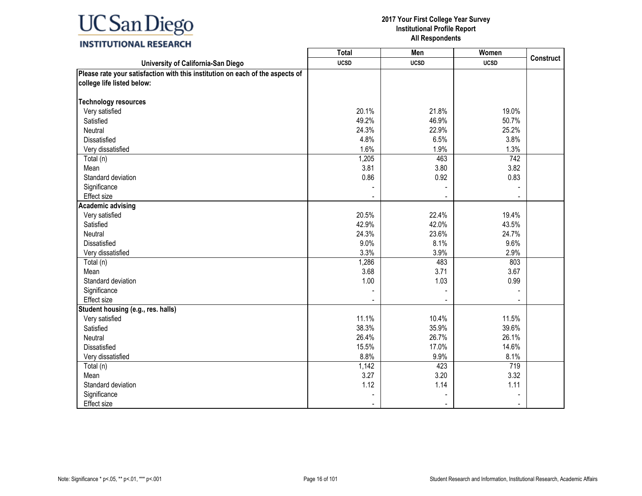### **INSTITUTIONAL RESEARCH**

|                                                                               | <b>Total</b>   | <b>Men</b>     | Women       |                  |
|-------------------------------------------------------------------------------|----------------|----------------|-------------|------------------|
| University of California-San Diego                                            | <b>UCSD</b>    | <b>UCSD</b>    | <b>UCSD</b> | <b>Construct</b> |
| Please rate your satisfaction with this institution on each of the aspects of |                |                |             |                  |
| college life listed below:                                                    |                |                |             |                  |
|                                                                               |                |                |             |                  |
| <b>Technology resources</b>                                                   |                |                |             |                  |
| Very satisfied                                                                | 20.1%          | 21.8%          | 19.0%       |                  |
| Satisfied                                                                     | 49.2%          | 46.9%          | 50.7%       |                  |
| Neutral                                                                       | 24.3%          | 22.9%          | 25.2%       |                  |
| Dissatisfied                                                                  | 4.8%           | 6.5%           | 3.8%        |                  |
| Very dissatisfied                                                             | 1.6%           | 1.9%           | 1.3%        |                  |
| Total (n)                                                                     | 1,205          | 463            | 742         |                  |
| Mean                                                                          | 3.81           | 3.80           | 3.82        |                  |
| Standard deviation                                                            | 0.86           | 0.92           | 0.83        |                  |
| Significance                                                                  |                |                |             |                  |
| Effect size                                                                   |                |                |             |                  |
| <b>Academic advising</b>                                                      |                |                |             |                  |
| Very satisfied                                                                | 20.5%          | 22.4%          | 19.4%       |                  |
| Satisfied                                                                     | 42.9%          | 42.0%          | 43.5%       |                  |
| Neutral                                                                       | 24.3%          | 23.6%          | 24.7%       |                  |
| Dissatisfied                                                                  | 9.0%           | 8.1%           | 9.6%        |                  |
| Very dissatisfied                                                             | 3.3%           | 3.9%           | 2.9%        |                  |
| Total (n)                                                                     | 1,286          | 483            | 803         |                  |
| Mean                                                                          | 3.68           | 3.71           | 3.67        |                  |
| Standard deviation                                                            | 1.00           | 1.03           | 0.99        |                  |
| Significance                                                                  |                |                |             |                  |
| Effect size                                                                   |                |                |             |                  |
| Student housing (e.g., res. halls)                                            |                |                |             |                  |
| Very satisfied                                                                | 11.1%          | 10.4%          | 11.5%       |                  |
| Satisfied                                                                     | 38.3%          | 35.9%          | 39.6%       |                  |
| Neutral                                                                       | 26.4%          | 26.7%          | 26.1%       |                  |
| <b>Dissatisfied</b>                                                           | 15.5%          | 17.0%          | 14.6%       |                  |
| Very dissatisfied                                                             | 8.8%           | 9.9%           | 8.1%        |                  |
| Total (n)                                                                     | 1,142          | 423            | 719         |                  |
| Mean                                                                          | 3.27           | 3.20           | 3.32        |                  |
| Standard deviation                                                            | 1.12           | 1.14           | 1.11        |                  |
| Significance                                                                  |                |                |             |                  |
| Effect size                                                                   | $\blacksquare$ | $\blacksquare$ |             |                  |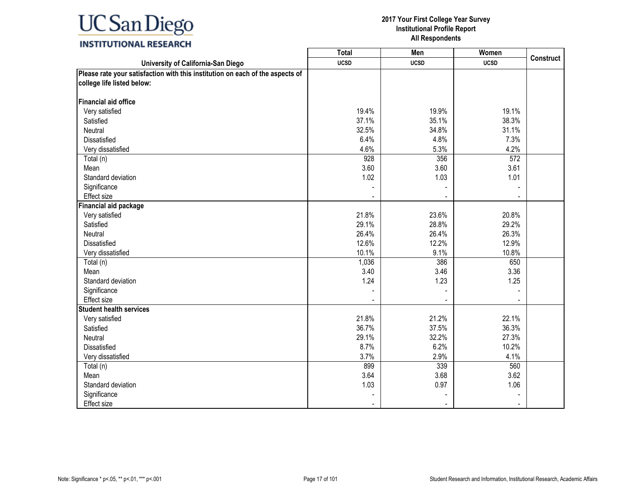### **INSTITUTIONAL RESEARCH**

|                                                                               | <b>Total</b> | Men         | Women            |                  |
|-------------------------------------------------------------------------------|--------------|-------------|------------------|------------------|
| University of California-San Diego                                            | <b>UCSD</b>  | <b>UCSD</b> | <b>UCSD</b>      | <b>Construct</b> |
| Please rate your satisfaction with this institution on each of the aspects of |              |             |                  |                  |
| college life listed below:                                                    |              |             |                  |                  |
|                                                                               |              |             |                  |                  |
| <b>Financial aid office</b>                                                   |              |             |                  |                  |
| Very satisfied                                                                | 19.4%        | 19.9%       | 19.1%            |                  |
| Satisfied                                                                     | 37.1%        | 35.1%       | 38.3%            |                  |
| Neutral                                                                       | 32.5%        | 34.8%       | 31.1%            |                  |
| Dissatisfied                                                                  | 6.4%         | 4.8%        | 7.3%             |                  |
| Very dissatisfied                                                             | 4.6%         | 5.3%        | 4.2%             |                  |
| Total (n)                                                                     | 928          | 356         | $\overline{572}$ |                  |
| Mean                                                                          | 3.60         | 3.60        | 3.61             |                  |
| Standard deviation                                                            | 1.02         | 1.03        | 1.01             |                  |
| Significance                                                                  |              |             |                  |                  |
| Effect size                                                                   |              |             |                  |                  |
| <b>Financial aid package</b>                                                  |              |             |                  |                  |
| Very satisfied                                                                | 21.8%        | 23.6%       | 20.8%            |                  |
| Satisfied                                                                     | 29.1%        | 28.8%       | 29.2%            |                  |
| Neutral                                                                       | 26.4%        | 26.4%       | 26.3%            |                  |
| Dissatisfied                                                                  | 12.6%        | 12.2%       | 12.9%            |                  |
| Very dissatisfied                                                             | 10.1%        | 9.1%        | 10.8%            |                  |
| Total (n)                                                                     | 1,036        | 386         | 650              |                  |
| Mean                                                                          | 3.40         | 3.46        | 3.36             |                  |
| Standard deviation                                                            | 1.24         | 1.23        | 1.25             |                  |
| Significance                                                                  |              |             |                  |                  |
| <b>Effect size</b>                                                            |              |             |                  |                  |
| <b>Student health services</b>                                                |              |             |                  |                  |
| Very satisfied                                                                | 21.8%        | 21.2%       | 22.1%            |                  |
| Satisfied                                                                     | 36.7%        | 37.5%       | 36.3%            |                  |
| Neutral                                                                       | 29.1%        | 32.2%       | 27.3%            |                  |
| Dissatisfied                                                                  | 8.7%         | 6.2%        | 10.2%            |                  |
| Very dissatisfied                                                             | 3.7%         | 2.9%        | 4.1%             |                  |
| Total (n)                                                                     | 899          | 339         | 560              |                  |
| Mean                                                                          | 3.64         | 3.68        | 3.62             |                  |
| Standard deviation                                                            | 1.03         | 0.97        | 1.06             |                  |
| Significance                                                                  |              |             |                  |                  |
| Effect size                                                                   |              |             |                  |                  |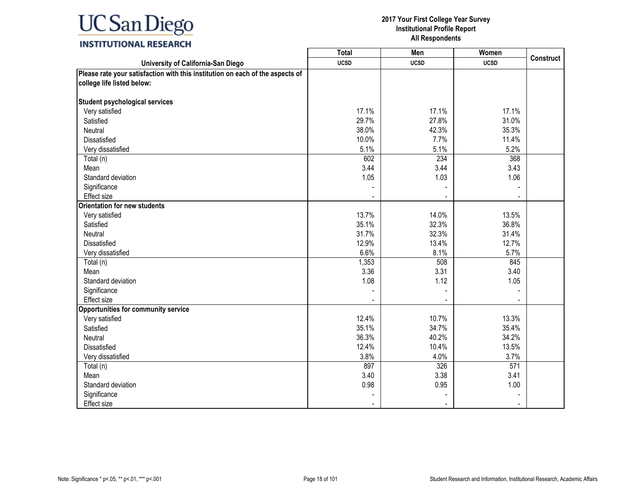### **INSTITUTIONAL RESEARCH**

|                                                                               | <b>Total</b> | Men         | Women       |                  |
|-------------------------------------------------------------------------------|--------------|-------------|-------------|------------------|
| University of California-San Diego                                            | <b>UCSD</b>  | <b>UCSD</b> | <b>UCSD</b> | <b>Construct</b> |
| Please rate your satisfaction with this institution on each of the aspects of |              |             |             |                  |
| college life listed below:                                                    |              |             |             |                  |
|                                                                               |              |             |             |                  |
| Student psychological services                                                |              |             |             |                  |
| Very satisfied                                                                | 17.1%        | 17.1%       | 17.1%       |                  |
| Satisfied                                                                     | 29.7%        | 27.8%       | 31.0%       |                  |
| Neutral                                                                       | 38.0%        | 42.3%       | 35.3%       |                  |
| Dissatisfied                                                                  | 10.0%        | 7.7%        | 11.4%       |                  |
| Very dissatisfied                                                             | 5.1%         | 5.1%        | 5.2%        |                  |
| Total (n)                                                                     | 602          | 234         | 368         |                  |
| Mean                                                                          | 3.44         | 3.44        | 3.43        |                  |
| Standard deviation                                                            | 1.05         | 1.03        | 1.06        |                  |
| Significance                                                                  |              |             |             |                  |
| <b>Effect size</b>                                                            |              |             |             |                  |
| <b>Orientation for new students</b>                                           |              |             |             |                  |
| Very satisfied                                                                | 13.7%        | 14.0%       | 13.5%       |                  |
| Satisfied                                                                     | 35.1%        | 32.3%       | 36.8%       |                  |
| Neutral                                                                       | 31.7%        | 32.3%       | 31.4%       |                  |
| Dissatisfied                                                                  | 12.9%        | 13.4%       | 12.7%       |                  |
| Very dissatisfied                                                             | 6.6%         | 8.1%        | 5.7%        |                  |
| Total (n)                                                                     | 1,353        | 508         | 845         |                  |
| Mean                                                                          | 3.36         | 3.31        | 3.40        |                  |
| Standard deviation                                                            | 1.08         | 1.12        | 1.05        |                  |
| Significance                                                                  |              |             |             |                  |
| Effect size                                                                   |              |             |             |                  |
| <b>Opportunities for community service</b>                                    |              |             |             |                  |
| Very satisfied                                                                | 12.4%        | 10.7%       | 13.3%       |                  |
| Satisfied                                                                     | 35.1%        | 34.7%       | 35.4%       |                  |
| Neutral                                                                       | 36.3%        | 40.2%       | 34.2%       |                  |
| Dissatisfied                                                                  | 12.4%        | 10.4%       | 13.5%       |                  |
| Very dissatisfied                                                             | 3.8%         | 4.0%        | 3.7%        |                  |
| Total (n)                                                                     | 897          | 326         | 571         |                  |
| Mean                                                                          | 3.40         | 3.38        | 3.41        |                  |
| Standard deviation                                                            | 0.98         | 0.95        | 1.00        |                  |
| Significance                                                                  |              |             |             |                  |
| Effect size                                                                   |              |             |             |                  |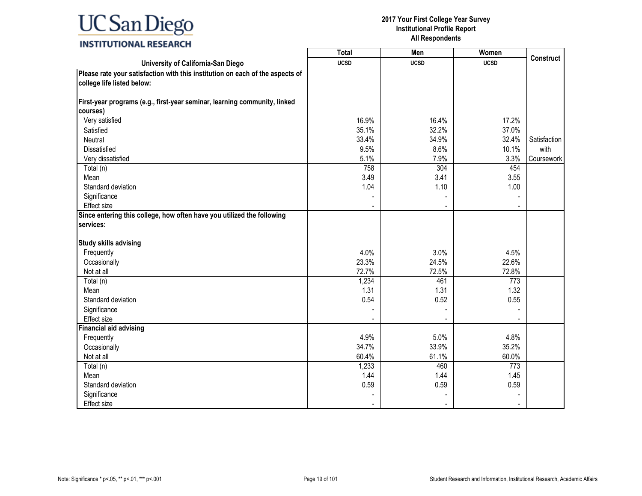### **INSTITUTIONAL RESEARCH**

|                                                                               | <b>Total</b>   | Men         | Women       |                  |
|-------------------------------------------------------------------------------|----------------|-------------|-------------|------------------|
| University of California-San Diego                                            | <b>UCSD</b>    | <b>UCSD</b> | <b>UCSD</b> | <b>Construct</b> |
| Please rate your satisfaction with this institution on each of the aspects of |                |             |             |                  |
| college life listed below:                                                    |                |             |             |                  |
|                                                                               |                |             |             |                  |
| First-year programs (e.g., first-year seminar, learning community, linked     |                |             |             |                  |
| courses)                                                                      |                |             |             |                  |
| Very satisfied                                                                | 16.9%          | 16.4%       | 17.2%       |                  |
| Satisfied                                                                     | 35.1%          | 32.2%       | 37.0%       |                  |
| Neutral                                                                       | 33.4%          | 34.9%       | 32.4%       | Satisfaction     |
| <b>Dissatisfied</b>                                                           | 9.5%           | 8.6%        | 10.1%       | with             |
| Very dissatisfied                                                             | 5.1%           | 7.9%        | 3.3%        | Coursework       |
| Total (n)                                                                     | 758            | 304         | 454         |                  |
| Mean                                                                          | 3.49           | 3.41        | 3.55        |                  |
| Standard deviation                                                            | 1.04           | 1.10        | 1.00        |                  |
| Significance                                                                  |                |             |             |                  |
| Effect size                                                                   |                |             |             |                  |
| Since entering this college, how often have you utilized the following        |                |             |             |                  |
| services:                                                                     |                |             |             |                  |
|                                                                               |                |             |             |                  |
| <b>Study skills advising</b>                                                  |                |             |             |                  |
| Frequently                                                                    | 4.0%           | 3.0%        | 4.5%        |                  |
| Occasionally                                                                  | 23.3%          | 24.5%       | 22.6%       |                  |
| Not at all                                                                    | 72.7%          | 72.5%       | 72.8%       |                  |
| Total (n)                                                                     | 1,234          | 461         | 773         |                  |
| Mean                                                                          | 1.31           | 1.31        | 1.32        |                  |
| Standard deviation                                                            | 0.54           | 0.52        | 0.55        |                  |
| Significance                                                                  |                |             |             |                  |
| <b>Effect size</b>                                                            |                |             |             |                  |
| <b>Financial aid advising</b>                                                 |                |             |             |                  |
| Frequently                                                                    | 4.9%           | 5.0%        | 4.8%        |                  |
| Occasionally                                                                  | 34.7%          | 33.9%       | 35.2%       |                  |
| Not at all                                                                    | 60.4%          | 61.1%       | 60.0%       |                  |
| Total (n)                                                                     | 1,233          | 460         | 773         |                  |
| Mean                                                                          | 1.44           | 1.44        | 1.45        |                  |
| Standard deviation                                                            | 0.59           | 0.59        | 0.59        |                  |
| Significance                                                                  |                |             |             |                  |
| Effect size                                                                   | $\blacksquare$ |             |             |                  |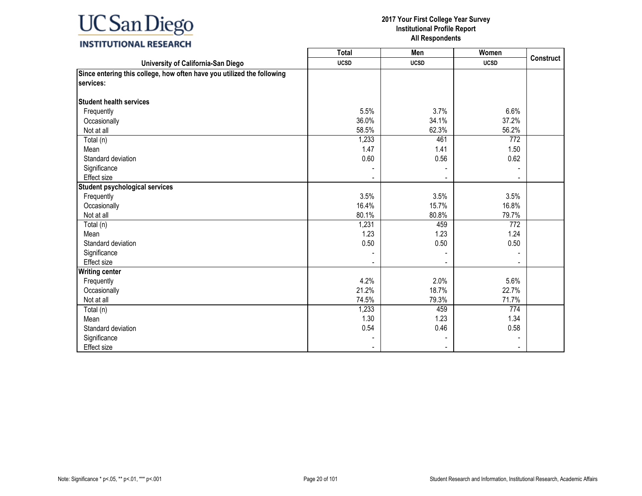### **INSTITUTIONAL RESEARCH**

|                                                                        | <b>Total</b> | Men         | Women       |                  |
|------------------------------------------------------------------------|--------------|-------------|-------------|------------------|
| University of California-San Diego                                     | <b>UCSD</b>  | <b>UCSD</b> | <b>UCSD</b> | <b>Construct</b> |
| Since entering this college, how often have you utilized the following |              |             |             |                  |
| services:                                                              |              |             |             |                  |
|                                                                        |              |             |             |                  |
| <b>Student health services</b>                                         |              |             |             |                  |
| Frequently                                                             | 5.5%         | 3.7%        | 6.6%        |                  |
| Occasionally                                                           | 36.0%        | 34.1%       | 37.2%       |                  |
| Not at all                                                             | 58.5%        | 62.3%       | 56.2%       |                  |
| Total (n)                                                              | 1,233        | 461         | 772         |                  |
| Mean                                                                   | 1.47         | 1.41        | 1.50        |                  |
| Standard deviation                                                     | 0.60         | 0.56        | 0.62        |                  |
| Significance                                                           |              |             |             |                  |
| Effect size                                                            |              |             |             |                  |
| <b>Student psychological services</b>                                  |              |             |             |                  |
| Frequently                                                             | 3.5%         | 3.5%        | 3.5%        |                  |
| Occasionally                                                           | 16.4%        | 15.7%       | 16.8%       |                  |
| Not at all                                                             | 80.1%        | 80.8%       | 79.7%       |                  |
| Total (n)                                                              | 1,231        | 459         | 772         |                  |
| Mean                                                                   | 1.23         | 1.23        | 1.24        |                  |
| Standard deviation                                                     | 0.50         | 0.50        | 0.50        |                  |
| Significance                                                           |              |             |             |                  |
| Effect size                                                            |              |             |             |                  |
| <b>Writing center</b>                                                  |              |             |             |                  |
| Frequently                                                             | 4.2%         | 2.0%        | 5.6%        |                  |
| Occasionally                                                           | 21.2%        | 18.7%       | 22.7%       |                  |
| Not at all                                                             | 74.5%        | 79.3%       | 71.7%       |                  |
| Total (n)                                                              | 1,233        | 459         | 774         |                  |
| Mean                                                                   | 1.30         | 1.23        | 1.34        |                  |
| Standard deviation                                                     | 0.54         | 0.46        | 0.58        |                  |
| Significance                                                           |              |             |             |                  |
| Effect size                                                            |              |             |             |                  |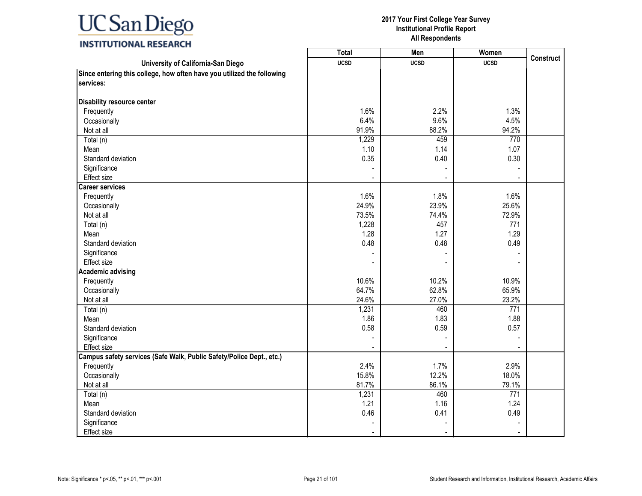### **INSTITUTIONAL RESEARCH**

|                                                                        | <b>Total</b> | Men         | Women       |                  |
|------------------------------------------------------------------------|--------------|-------------|-------------|------------------|
| University of California-San Diego                                     | <b>UCSD</b>  | <b>UCSD</b> | <b>UCSD</b> | <b>Construct</b> |
| Since entering this college, how often have you utilized the following |              |             |             |                  |
| services:                                                              |              |             |             |                  |
| Disability resource center                                             |              |             |             |                  |
| Frequently                                                             | 1.6%         | 2.2%        | 1.3%        |                  |
| Occasionally                                                           | 6.4%         | 9.6%        | 4.5%        |                  |
| Not at all                                                             | 91.9%        | 88.2%       | 94.2%       |                  |
| Total (n)                                                              | 1,229        | 459         | 770         |                  |
|                                                                        | 1.10         | 1.14        | 1.07        |                  |
| Mean<br>Standard deviation                                             | 0.35         | 0.40        | 0.30        |                  |
|                                                                        |              |             |             |                  |
| Significance                                                           |              |             |             |                  |
| Effect size                                                            |              |             |             |                  |
| <b>Career services</b>                                                 |              |             |             |                  |
| Frequently                                                             | 1.6%         | 1.8%        | 1.6%        |                  |
| Occasionally                                                           | 24.9%        | 23.9%       | 25.6%       |                  |
| Not at all                                                             | 73.5%        | 74.4%       | 72.9%       |                  |
| Total (n)                                                              | 1,228        | 457         | 771         |                  |
| Mean                                                                   | 1.28         | 1.27        | 1.29        |                  |
| Standard deviation                                                     | 0.48         | 0.48        | 0.49        |                  |
| Significance                                                           |              |             |             |                  |
| Effect size                                                            |              |             |             |                  |
| Academic advising                                                      |              |             |             |                  |
| Frequently                                                             | 10.6%        | 10.2%       | 10.9%       |                  |
| Occasionally                                                           | 64.7%        | 62.8%       | 65.9%       |                  |
| Not at all                                                             | 24.6%        | 27.0%       | 23.2%       |                  |
| Total (n)                                                              | 1,231        | 460         | 771         |                  |
| Mean                                                                   | 1.86         | 1.83        | 1.88        |                  |
| Standard deviation                                                     | 0.58         | 0.59        | 0.57        |                  |
| Significance                                                           |              |             |             |                  |
| Effect size                                                            |              |             |             |                  |
| Campus safety services (Safe Walk, Public Safety/Police Dept., etc.)   |              |             |             |                  |
| Frequently                                                             | 2.4%         | 1.7%        | 2.9%        |                  |
| Occasionally                                                           | 15.8%        | 12.2%       | 18.0%       |                  |
| Not at all                                                             | 81.7%        | 86.1%       | 79.1%       |                  |
| Total (n)                                                              | 1,231        | 460         | 771         |                  |
| Mean                                                                   | 1.21         | 1.16        | 1.24        |                  |
| Standard deviation                                                     | 0.46         | 0.41        | 0.49        |                  |
| Significance                                                           |              |             |             |                  |
| Effect size                                                            |              |             |             |                  |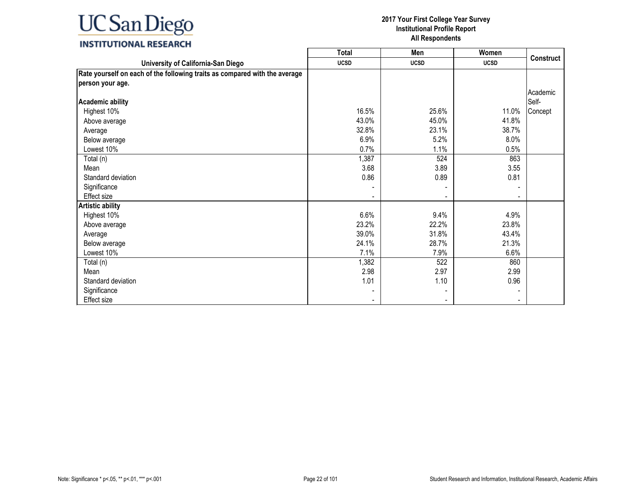|                                                                            | <b>Total</b>             | Men         | Women                        |                  |
|----------------------------------------------------------------------------|--------------------------|-------------|------------------------------|------------------|
| University of California-San Diego                                         | <b>UCSD</b>              | <b>UCSD</b> | <b>UCSD</b>                  | <b>Construct</b> |
| Rate yourself on each of the following traits as compared with the average |                          |             |                              |                  |
| person your age.                                                           |                          |             |                              |                  |
|                                                                            |                          |             |                              | Academic         |
| <b>Academic ability</b>                                                    |                          |             |                              | Self-            |
| Highest 10%                                                                | 16.5%                    | 25.6%       | 11.0%                        | Concept          |
| Above average                                                              | 43.0%                    | 45.0%       | 41.8%                        |                  |
| Average                                                                    | 32.8%                    | 23.1%       | 38.7%                        |                  |
| Below average                                                              | 6.9%                     | 5.2%        | 8.0%                         |                  |
| Lowest 10%                                                                 | 0.7%                     | 1.1%        | 0.5%                         |                  |
| Total (n)                                                                  | 1,387                    | 524         | 863                          |                  |
| Mean                                                                       | 3.68                     | 3.89        | 3.55                         |                  |
| Standard deviation                                                         | 0.86                     | 0.89        | 0.81                         |                  |
| Significance                                                               |                          |             | $\qquad \qquad \blacksquare$ |                  |
| <b>Effect size</b>                                                         |                          |             | $\blacksquare$               |                  |
| <b>Artistic ability</b>                                                    |                          |             |                              |                  |
| Highest 10%                                                                | 6.6%                     | 9.4%        | 4.9%                         |                  |
| Above average                                                              | 23.2%                    | 22.2%       | 23.8%                        |                  |
| Average                                                                    | 39.0%                    | 31.8%       | 43.4%                        |                  |
| Below average                                                              | 24.1%                    | 28.7%       | 21.3%                        |                  |
| Lowest 10%                                                                 | 7.1%                     | 7.9%        | 6.6%                         |                  |
| Total (n)                                                                  | 1,382                    | 522         | 860                          |                  |
| Mean                                                                       | 2.98                     | 2.97        | 2.99                         |                  |
| Standard deviation                                                         | 1.01                     | 1.10        | 0.96                         |                  |
| Significance                                                               |                          |             |                              |                  |
| Effect size                                                                | $\overline{\phantom{0}}$ |             | $\blacksquare$               |                  |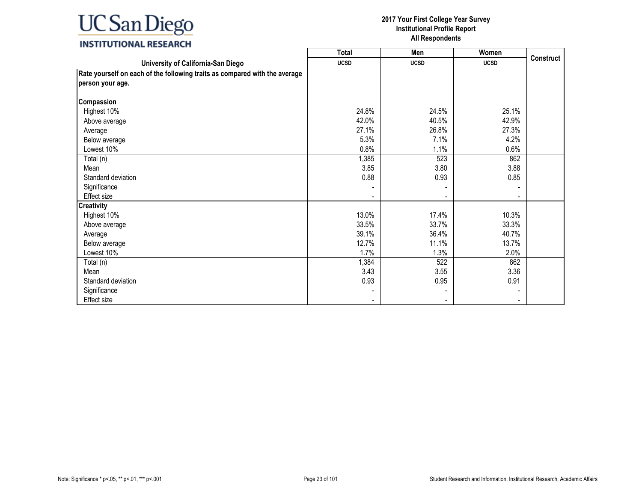### **INSTITUTIONAL RESEARCH**

|                                                                            | <b>Total</b> | Men         | Women       |                  |
|----------------------------------------------------------------------------|--------------|-------------|-------------|------------------|
| University of California-San Diego                                         | <b>UCSD</b>  | <b>UCSD</b> | <b>UCSD</b> | <b>Construct</b> |
| Rate yourself on each of the following traits as compared with the average |              |             |             |                  |
| person your age.                                                           |              |             |             |                  |
|                                                                            |              |             |             |                  |
| Compassion                                                                 |              |             |             |                  |
| Highest 10%                                                                | 24.8%        | 24.5%       | 25.1%       |                  |
| Above average                                                              | 42.0%        | 40.5%       | 42.9%       |                  |
| Average                                                                    | 27.1%        | 26.8%       | 27.3%       |                  |
| Below average                                                              | 5.3%         | 7.1%        | 4.2%        |                  |
| Lowest 10%                                                                 | 0.8%         | 1.1%        | 0.6%        |                  |
| Total (n)                                                                  | 1,385        | 523         | 862         |                  |
| Mean                                                                       | 3.85         | 3.80        | 3.88        |                  |
| Standard deviation                                                         | 0.88         | 0.93        | 0.85        |                  |
| Significance                                                               |              |             |             |                  |
| Effect size                                                                |              |             |             |                  |
| <b>Creativity</b>                                                          |              |             |             |                  |
| Highest 10%                                                                | 13.0%        | 17.4%       | 10.3%       |                  |
| Above average                                                              | 33.5%        | 33.7%       | 33.3%       |                  |
| Average                                                                    | 39.1%        | 36.4%       | 40.7%       |                  |
| Below average                                                              | 12.7%        | 11.1%       | 13.7%       |                  |
| Lowest 10%                                                                 | 1.7%         | 1.3%        | 2.0%        |                  |
| Total (n)                                                                  | 1,384        | 522         | 862         |                  |
| Mean                                                                       | 3.43         | 3.55        | 3.36        |                  |
| Standard deviation                                                         | 0.93         | 0.95        | 0.91        |                  |
| Significance                                                               |              |             |             |                  |
| Effect size                                                                |              |             |             |                  |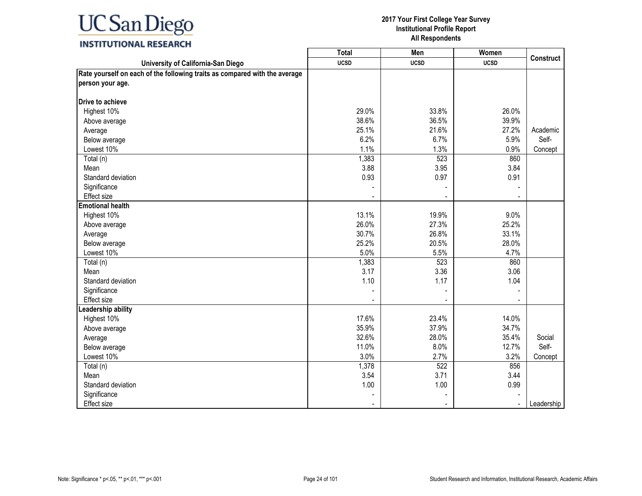### **INSTITUTIONAL RESEARCH**

|                                                                            | <b>Total</b> | Men         | Women                    |                  |
|----------------------------------------------------------------------------|--------------|-------------|--------------------------|------------------|
| University of California-San Diego                                         | <b>UCSD</b>  | <b>UCSD</b> | <b>UCSD</b>              | <b>Construct</b> |
| Rate yourself on each of the following traits as compared with the average |              |             |                          |                  |
| person your age.                                                           |              |             |                          |                  |
|                                                                            |              |             |                          |                  |
| <b>Drive to achieve</b>                                                    |              |             |                          |                  |
| Highest 10%                                                                | 29.0%        | 33.8%       | 26.0%                    |                  |
| Above average                                                              | 38.6%        | 36.5%       | 39.9%                    |                  |
| Average                                                                    | 25.1%        | 21.6%       | 27.2%                    | Academic         |
| Below average                                                              | 6.2%         | 6.7%        | 5.9%                     | Self-            |
| Lowest 10%                                                                 | 1.1%         | 1.3%        | 0.9%                     | Concept          |
| Total (n)                                                                  | 1,383        | 523         | 860                      |                  |
| Mean                                                                       | 3.88         | 3.95        | 3.84                     |                  |
| Standard deviation                                                         | 0.93         | 0.97        | 0.91                     |                  |
| Significance                                                               |              |             |                          |                  |
| Effect size                                                                |              |             |                          |                  |
| <b>Emotional health</b>                                                    |              |             |                          |                  |
| Highest 10%                                                                | 13.1%        | 19.9%       | 9.0%                     |                  |
| Above average                                                              | 26.0%        | 27.3%       | 25.2%                    |                  |
| Average                                                                    | 30.7%        | 26.8%       | 33.1%                    |                  |
| Below average                                                              | 25.2%        | 20.5%       | 28.0%                    |                  |
| Lowest 10%                                                                 | 5.0%         | 5.5%        | 4.7%                     |                  |
| Total (n)                                                                  | 1,383        | 523         | 860                      |                  |
| Mean                                                                       | 3.17         | 3.36        | 3.06                     |                  |
| Standard deviation                                                         | 1.10         | 1.17        | 1.04                     |                  |
| Significance                                                               |              |             |                          |                  |
| <b>Effect size</b>                                                         |              |             |                          |                  |
| eadership ability                                                          |              |             |                          |                  |
| Highest 10%                                                                | 17.6%        | 23.4%       | 14.0%                    |                  |
| Above average                                                              | 35.9%        | 37.9%       | 34.7%                    |                  |
| Average                                                                    | 32.6%        | 28.0%       | 35.4%                    | Social           |
| Below average                                                              | 11.0%        | 8.0%        | 12.7%                    | Self-            |
| Lowest 10%                                                                 | 3.0%         | 2.7%        | 3.2%                     | Concept          |
| Total (n)                                                                  | 1,378        | 522         | 856                      |                  |
| Mean                                                                       | 3.54         | 3.71        | 3.44                     |                  |
| Standard deviation                                                         | 1.00         | 1.00        | 0.99                     |                  |
| Significance                                                               |              |             |                          |                  |
| Effect size                                                                |              |             | $\overline{\phantom{a}}$ | Leadership       |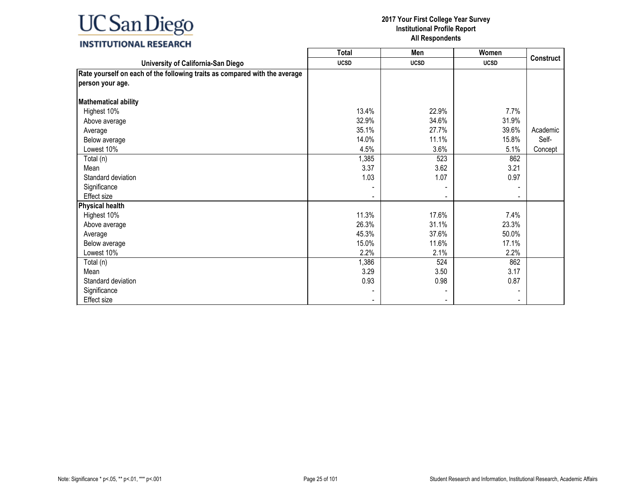### **INSTITUTIONAL RESEARCH**

|                                                                            | <b>Total</b> | Men                      | Women       |                  |
|----------------------------------------------------------------------------|--------------|--------------------------|-------------|------------------|
| University of California-San Diego                                         | <b>UCSD</b>  | <b>UCSD</b>              | <b>UCSD</b> | <b>Construct</b> |
| Rate yourself on each of the following traits as compared with the average |              |                          |             |                  |
| person your age.                                                           |              |                          |             |                  |
|                                                                            |              |                          |             |                  |
| <b>Mathematical ability</b>                                                |              |                          |             |                  |
| Highest 10%                                                                | 13.4%        | 22.9%                    | 7.7%        |                  |
| Above average                                                              | 32.9%        | 34.6%                    | 31.9%       |                  |
| Average                                                                    | 35.1%        | 27.7%                    | 39.6%       | Academic         |
| Below average                                                              | 14.0%        | 11.1%                    | 15.8%       | Self-            |
| Lowest 10%                                                                 | 4.5%         | 3.6%                     | 5.1%        | Concept          |
| Total (n)                                                                  | 1,385        | 523                      | 862         |                  |
| Mean                                                                       | 3.37         | 3.62                     | 3.21        |                  |
| Standard deviation                                                         | 1.03         | 1.07                     | 0.97        |                  |
| Significance                                                               |              |                          |             |                  |
| Effect size                                                                |              | $\overline{\phantom{a}}$ |             |                  |
| <b>Physical health</b>                                                     |              |                          |             |                  |
| Highest 10%                                                                | 11.3%        | 17.6%                    | 7.4%        |                  |
| Above average                                                              | 26.3%        | 31.1%                    | 23.3%       |                  |
| Average                                                                    | 45.3%        | 37.6%                    | 50.0%       |                  |
| Below average                                                              | 15.0%        | 11.6%                    | 17.1%       |                  |
| Lowest 10%                                                                 | 2.2%         | 2.1%                     | 2.2%        |                  |
| Total (n)                                                                  | 1,386        | 524                      | 862         |                  |
| Mean                                                                       | 3.29         | 3.50                     | 3.17        |                  |
| Standard deviation                                                         | 0.93         | 0.98                     | 0.87        |                  |
| Significance                                                               |              |                          |             |                  |
| Effect size                                                                |              |                          |             |                  |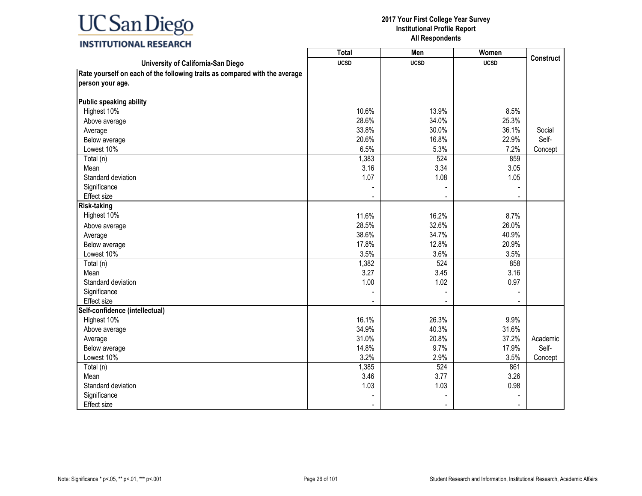### **INSTITUTIONAL RESEARCH**

|                                                                            | <b>Total</b> | Men            | Women       |                  |
|----------------------------------------------------------------------------|--------------|----------------|-------------|------------------|
| University of California-San Diego                                         | <b>UCSD</b>  | <b>UCSD</b>    | <b>UCSD</b> | <b>Construct</b> |
| Rate yourself on each of the following traits as compared with the average |              |                |             |                  |
| person your age.                                                           |              |                |             |                  |
|                                                                            |              |                |             |                  |
| Public speaking ability                                                    |              |                |             |                  |
| Highest 10%                                                                | 10.6%        | 13.9%          | 8.5%        |                  |
| Above average                                                              | 28.6%        | 34.0%          | 25.3%       |                  |
| Average                                                                    | 33.8%        | 30.0%          | 36.1%       | Social           |
| Below average                                                              | 20.6%        | 16.8%          | 22.9%       | Self-            |
| Lowest 10%                                                                 | 6.5%         | 5.3%           | 7.2%        | Concept          |
| Total (n)                                                                  | 1,383        | 524            | 859         |                  |
| Mean                                                                       | 3.16         | 3.34           | 3.05        |                  |
| Standard deviation                                                         | 1.07         | 1.08           | 1.05        |                  |
| Significance                                                               |              |                |             |                  |
| Effect size                                                                |              |                |             |                  |
| <b>Risk-taking</b>                                                         |              |                |             |                  |
| Highest 10%                                                                | 11.6%        | 16.2%          | 8.7%        |                  |
| Above average                                                              | 28.5%        | 32.6%          | 26.0%       |                  |
| Average                                                                    | 38.6%        | 34.7%          | 40.9%       |                  |
| Below average                                                              | 17.8%        | 12.8%          | 20.9%       |                  |
| Lowest 10%                                                                 | 3.5%         | 3.6%           | 3.5%        |                  |
| Total (n)                                                                  | 1,382        | 524            | 858         |                  |
| Mean                                                                       | 3.27         | 3.45           | 3.16        |                  |
| Standard deviation                                                         | 1.00         | 1.02           | 0.97        |                  |
| Significance                                                               |              |                |             |                  |
| <b>Effect size</b>                                                         |              | $\blacksquare$ |             |                  |
| Self-confidence (intellectual)                                             |              |                |             |                  |
| Highest 10%                                                                | 16.1%        | 26.3%          | 9.9%        |                  |
| Above average                                                              | 34.9%        | 40.3%          | 31.6%       |                  |
| Average                                                                    | 31.0%        | 20.8%          | 37.2%       | Academic         |
| Below average                                                              | 14.8%        | 9.7%           | 17.9%       | Self-            |
| Lowest 10%                                                                 | 3.2%         | 2.9%           | 3.5%        | Concept          |
| Total (n)                                                                  | 1,385        | 524            | 861         |                  |
| Mean                                                                       | 3.46         | 3.77           | 3.26        |                  |
| Standard deviation                                                         | 1.03         | 1.03           | 0.98        |                  |
| Significance                                                               |              |                |             |                  |
| Effect size                                                                |              | $\blacksquare$ |             |                  |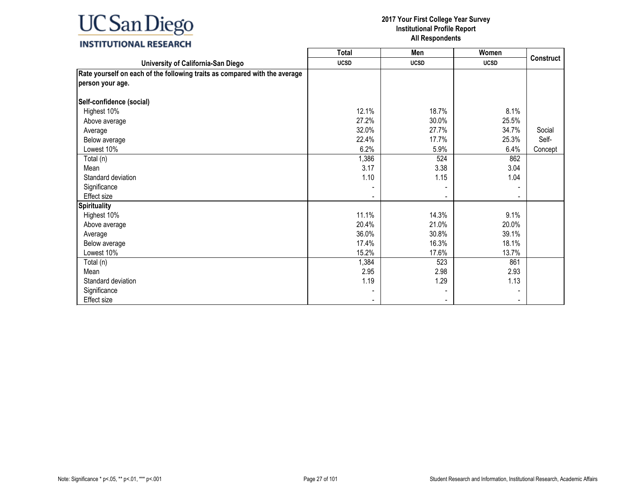### **INSTITUTIONAL RESEARCH**

|                                                                            | <b>Total</b> | Men            | Women       |                  |
|----------------------------------------------------------------------------|--------------|----------------|-------------|------------------|
| University of California-San Diego                                         | <b>UCSD</b>  | <b>UCSD</b>    | <b>UCSD</b> | <b>Construct</b> |
| Rate yourself on each of the following traits as compared with the average |              |                |             |                  |
| person your age.                                                           |              |                |             |                  |
|                                                                            |              |                |             |                  |
| Self-confidence (social)                                                   |              |                |             |                  |
| Highest 10%                                                                | 12.1%        | 18.7%          | 8.1%        |                  |
| Above average                                                              | 27.2%        | 30.0%          | 25.5%       |                  |
| Average                                                                    | 32.0%        | 27.7%          | 34.7%       | Social           |
| Below average                                                              | 22.4%        | 17.7%          | 25.3%       | Self-            |
| Lowest 10%                                                                 | 6.2%         | 5.9%           | 6.4%        | Concept          |
| Total (n)                                                                  | 1,386        | 524            | 862         |                  |
| Mean                                                                       | 3.17         | 3.38           | 3.04        |                  |
| Standard deviation                                                         | 1.10         | 1.15           | 1.04        |                  |
| Significance                                                               |              |                |             |                  |
| <b>Effect size</b>                                                         |              | $\blacksquare$ |             |                  |
| <b>Spirituality</b>                                                        |              |                |             |                  |
| Highest 10%                                                                | 11.1%        | 14.3%          | 9.1%        |                  |
| Above average                                                              | 20.4%        | 21.0%          | 20.0%       |                  |
| Average                                                                    | 36.0%        | 30.8%          | 39.1%       |                  |
| Below average                                                              | 17.4%        | 16.3%          | 18.1%       |                  |
| Lowest 10%                                                                 | 15.2%        | 17.6%          | 13.7%       |                  |
| Total (n)                                                                  | 1,384        | 523            | 861         |                  |
| Mean                                                                       | 2.95         | 2.98           | 2.93        |                  |
| Standard deviation                                                         | 1.19         | 1.29           | 1.13        |                  |
| Significance                                                               |              |                |             |                  |
| <b>Effect size</b>                                                         |              |                |             |                  |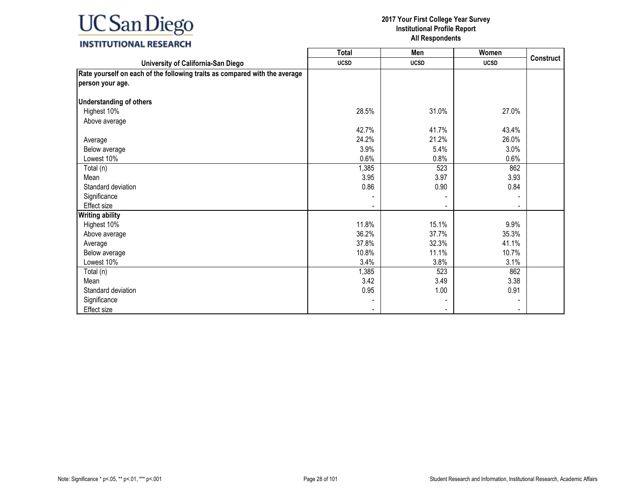### **UC** San Diego  $\overline{\phantom{a}}$

#### **2017 Your First College Year Survey Institutional Profile Report All Respondents**

┑

| INSTITUTIONAL RESEARCH |  |
|------------------------|--|
|------------------------|--|

|                                                                            | Total       | Men                      | Women       | <b>Construct</b> |
|----------------------------------------------------------------------------|-------------|--------------------------|-------------|------------------|
| University of California-San Diego                                         | <b>UCSD</b> | <b>UCSD</b>              | <b>UCSD</b> |                  |
| Rate yourself on each of the following traits as compared with the average |             |                          |             |                  |
| person your age.                                                           |             |                          |             |                  |
| <b>Understanding of others</b>                                             |             |                          |             |                  |
| Highest 10%                                                                | 28.5%       | 31.0%                    | 27.0%       |                  |
| Above average                                                              |             |                          |             |                  |
|                                                                            | 42.7%       | 41.7%                    | 43.4%       |                  |
| Average                                                                    | 24.2%       | 21.2%                    | 26.0%       |                  |
| Below average                                                              | 3.9%        | 5.4%                     | 3.0%        |                  |
| Lowest 10%                                                                 | 0.6%        | 0.8%                     | 0.6%        |                  |
| Total (n)                                                                  | 1,385       | 523                      | 862         |                  |
| Mean                                                                       | 3.95        | 3.97                     | 3.93        |                  |
| Standard deviation                                                         | 0.86        | 0.90                     | 0.84        |                  |
| Significance                                                               |             |                          |             |                  |
| Effect size                                                                |             |                          |             |                  |
| <b>Writing ability</b>                                                     |             |                          |             |                  |
| Highest 10%                                                                | 11.8%       | 15.1%                    | 9.9%        |                  |
| Above average                                                              | 36.2%       | 37.7%                    | 35.3%       |                  |
| Average                                                                    | 37.8%       | 32.3%                    | 41.1%       |                  |
| Below average                                                              | 10.8%       | 11.1%                    | 10.7%       |                  |
| Lowest 10%                                                                 | 3.4%        | 3.8%                     | 3.1%        |                  |
| Total (n)                                                                  | 1,385       | 523                      | 862         |                  |
| Mean                                                                       | 3.42        | 3.49                     | 3.38        |                  |
| Standard deviation                                                         | 0.95        | 1.00                     | 0.91        |                  |
| Significance                                                               |             |                          |             |                  |
| <b>Effect size</b>                                                         |             | $\overline{\phantom{a}}$ |             |                  |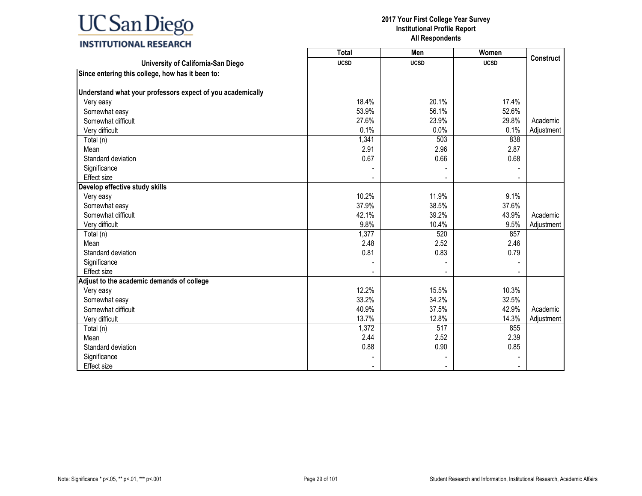|                                                            | <b>Total</b> | Men         | Women       | <b>Construct</b> |
|------------------------------------------------------------|--------------|-------------|-------------|------------------|
| University of California-San Diego                         | <b>UCSD</b>  | <b>UCSD</b> | <b>UCSD</b> |                  |
| Since entering this college, how has it been to:           |              |             |             |                  |
|                                                            |              |             |             |                  |
| Understand what your professors expect of you academically |              |             |             |                  |
| Very easy                                                  | 18.4%        | 20.1%       | 17.4%       |                  |
| Somewhat easy                                              | 53.9%        | 56.1%       | 52.6%       |                  |
| Somewhat difficult                                         | 27.6%        | 23.9%       | 29.8%       | Academic         |
| Very difficult                                             | 0.1%         | 0.0%        | 0.1%        | Adjustment       |
| Total (n)                                                  | 1,341        | 503         | 838         |                  |
| Mean                                                       | 2.91         | 2.96        | 2.87        |                  |
| Standard deviation                                         | 0.67         | 0.66        | 0.68        |                  |
| Significance                                               |              |             |             |                  |
| <b>Effect size</b>                                         |              |             |             |                  |
| Develop effective study skills                             |              |             |             |                  |
| Very easy                                                  | 10.2%        | 11.9%       | 9.1%        |                  |
| Somewhat easy                                              | 37.9%        | 38.5%       | 37.6%       |                  |
| Somewhat difficult                                         | 42.1%        | 39.2%       | 43.9%       | Academic         |
| Very difficult                                             | 9.8%         | 10.4%       | 9.5%        | Adjustment       |
| Total (n)                                                  | 1,377        | 520         | 857         |                  |
| Mean                                                       | 2.48         | 2.52        | 2.46        |                  |
| Standard deviation                                         | 0.81         | 0.83        | 0.79        |                  |
| Significance                                               |              |             |             |                  |
| Effect size                                                |              |             |             |                  |
| Adjust to the academic demands of college                  |              |             |             |                  |
| Very easy                                                  | 12.2%        | 15.5%       | 10.3%       |                  |
| Somewhat easy                                              | 33.2%        | 34.2%       | 32.5%       |                  |
| Somewhat difficult                                         | 40.9%        | 37.5%       | 42.9%       | Academic         |
| Very difficult                                             | 13.7%        | 12.8%       | 14.3%       | Adjustment       |
| Total (n)                                                  | 1,372        | 517         | 855         |                  |
| Mean                                                       | 2.44         | 2.52        | 2.39        |                  |
| Standard deviation                                         | 0.88         | 0.90        | 0.85        |                  |
| Significance                                               |              |             |             |                  |
| Effect size                                                |              |             |             |                  |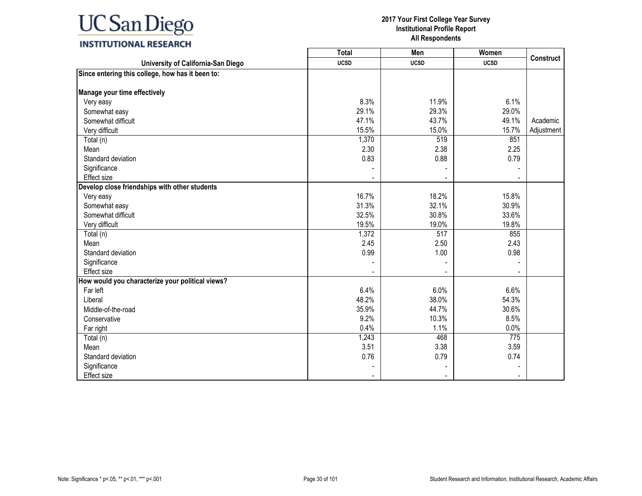|                                                  | Total       | Men         | Women       | <b>Construct</b> |
|--------------------------------------------------|-------------|-------------|-------------|------------------|
| University of California-San Diego               | <b>UCSD</b> | <b>UCSD</b> | <b>UCSD</b> |                  |
| Since entering this college, how has it been to: |             |             |             |                  |
|                                                  |             |             |             |                  |
| Manage your time effectively                     |             |             |             |                  |
| Very easy                                        | 8.3%        | 11.9%       | 6.1%        |                  |
| Somewhat easy                                    | 29.1%       | 29.3%       | 29.0%       |                  |
| Somewhat difficult                               | 47.1%       | 43.7%       | 49.1%       | Academic         |
| Very difficult                                   | 15.5%       | 15.0%       | 15.7%       | Adjustment       |
| Total (n)                                        | 1,370       | 519         | 851         |                  |
| Mean                                             | 2.30        | 2.38        | 2.25        |                  |
| Standard deviation                               | 0.83        | 0.88        | 0.79        |                  |
| Significance                                     |             |             |             |                  |
| Effect size                                      |             |             |             |                  |
| Develop close friendships with other students    |             |             |             |                  |
| Very easy                                        | 16.7%       | 18.2%       | 15.8%       |                  |
| Somewhat easy                                    | 31.3%       | 32.1%       | 30.9%       |                  |
| Somewhat difficult                               | 32.5%       | 30.8%       | 33.6%       |                  |
| Very difficult                                   | 19.5%       | 19.0%       | 19.8%       |                  |
| Total (n)                                        | 1,372       | 517         | 855         |                  |
| Mean                                             | 2.45        | 2.50        | 2.43        |                  |
| Standard deviation                               | 0.99        | 1.00        | 0.98        |                  |
| Significance                                     |             |             |             |                  |
| <b>Effect size</b>                               |             |             |             |                  |
| How would you characterize your political views? |             |             |             |                  |
| Far left                                         | 6.4%        | 6.0%        | 6.6%        |                  |
| Liberal                                          | 48.2%       | 38.0%       | 54.3%       |                  |
| Middle-of-the-road                               | 35.9%       | 44.7%       | 30.6%       |                  |
| Conservative                                     | 9.2%        | 10.3%       | 8.5%        |                  |
| Far right                                        | 0.4%        | 1.1%        | 0.0%        |                  |
| Total (n)                                        | 1,243       | 468         | 775         |                  |
| Mean                                             | 3.51        | 3.38        | 3.59        |                  |
| Standard deviation                               | 0.76        | 0.79        | 0.74        |                  |
| Significance                                     |             |             |             |                  |
| <b>Effect size</b>                               |             |             |             |                  |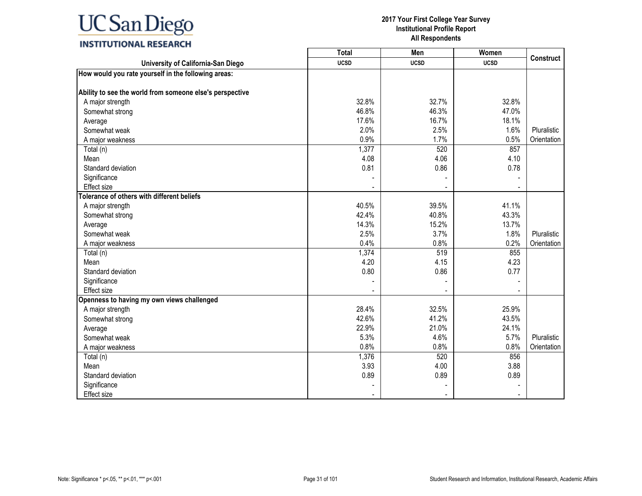|                                                          | <b>Total</b> | Men         | Women       | <b>Construct</b> |
|----------------------------------------------------------|--------------|-------------|-------------|------------------|
| University of California-San Diego                       | <b>UCSD</b>  | <b>UCSD</b> | <b>UCSD</b> |                  |
| How would you rate yourself in the following areas:      |              |             |             |                  |
|                                                          |              |             |             |                  |
| Ability to see the world from someone else's perspective |              |             |             |                  |
| A major strength                                         | 32.8%        | 32.7%       | 32.8%       |                  |
| Somewhat strong                                          | 46.8%        | 46.3%       | 47.0%       |                  |
| Average                                                  | 17.6%        | 16.7%       | 18.1%       |                  |
| Somewhat weak                                            | 2.0%         | 2.5%        | 1.6%        | Pluralistic      |
| A major weakness                                         | 0.9%         | 1.7%        | 0.5%        | Orientation      |
| Total (n)                                                | 1,377        | 520         | 857         |                  |
| Mean                                                     | 4.08         | 4.06        | 4.10        |                  |
| Standard deviation                                       | 0.81         | 0.86        | 0.78        |                  |
| Significance                                             |              |             |             |                  |
| <b>Effect size</b>                                       |              |             |             |                  |
| Tolerance of others with different beliefs               |              |             |             |                  |
| A major strength                                         | 40.5%        | 39.5%       | 41.1%       |                  |
| Somewhat strong                                          | 42.4%        | 40.8%       | 43.3%       |                  |
| Average                                                  | 14.3%        | 15.2%       | 13.7%       |                  |
| Somewhat weak                                            | 2.5%         | 3.7%        | 1.8%        | Pluralistic      |
| A major weakness                                         | 0.4%         | 0.8%        | 0.2%        | Orientation      |
| Total (n)                                                | 1,374        | 519         | 855         |                  |
| Mean                                                     | 4.20         | 4.15        | 4.23        |                  |
| Standard deviation                                       | 0.80         | 0.86        | 0.77        |                  |
| Significance                                             |              |             |             |                  |
| Effect size                                              |              |             |             |                  |
| Openness to having my own views challenged               |              |             |             |                  |
| A major strength                                         | 28.4%        | 32.5%       | 25.9%       |                  |
| Somewhat strong                                          | 42.6%        | 41.2%       | 43.5%       |                  |
| Average                                                  | 22.9%        | 21.0%       | 24.1%       |                  |
| Somewhat weak                                            | 5.3%         | 4.6%        | 5.7%        | Pluralistic      |
| A major weakness                                         | 0.8%         | 0.8%        | 0.8%        | Orientation      |
| Total (n)                                                | 1,376        | 520         | 856         |                  |
| Mean                                                     | 3.93         | 4.00        | 3.88        |                  |
| Standard deviation                                       | 0.89         | 0.89        | 0.89        |                  |
| Significance                                             |              |             |             |                  |
| <b>Effect size</b>                                       |              |             |             |                  |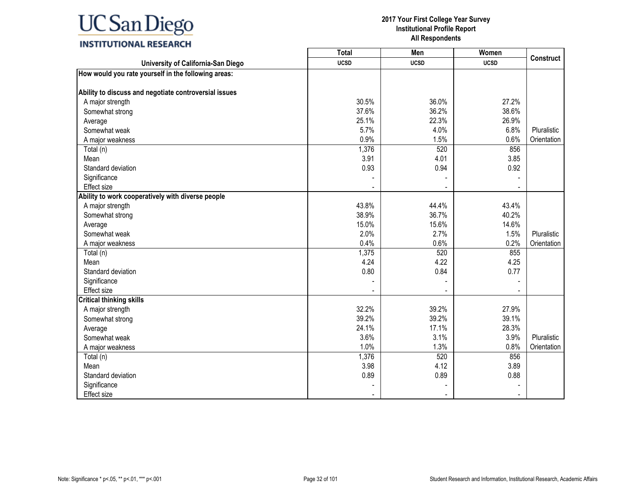|                                                       | <b>Total</b> | Men         | Women       | <b>Construct</b> |
|-------------------------------------------------------|--------------|-------------|-------------|------------------|
| University of California-San Diego                    | <b>UCSD</b>  | <b>UCSD</b> | <b>UCSD</b> |                  |
| How would you rate yourself in the following areas:   |              |             |             |                  |
|                                                       |              |             |             |                  |
| Ability to discuss and negotiate controversial issues |              |             |             |                  |
| A major strength                                      | 30.5%        | 36.0%       | 27.2%       |                  |
| Somewhat strong                                       | 37.6%        | 36.2%       | 38.6%       |                  |
| Average                                               | 25.1%        | 22.3%       | 26.9%       |                  |
| Somewhat weak                                         | 5.7%         | 4.0%        | 6.8%        | Pluralistic      |
| A major weakness                                      | 0.9%         | 1.5%        | 0.6%        | Orientation      |
| Total (n)                                             | 1,376        | 520         | 856         |                  |
| Mean                                                  | 3.91         | 4.01        | 3.85        |                  |
| Standard deviation                                    | 0.93         | 0.94        | 0.92        |                  |
| Significance                                          |              |             |             |                  |
| <b>Effect size</b>                                    |              |             |             |                  |
| Ability to work cooperatively with diverse people     |              |             |             |                  |
| A major strength                                      | 43.8%        | 44.4%       | 43.4%       |                  |
| Somewhat strong                                       | 38.9%        | 36.7%       | 40.2%       |                  |
| Average                                               | 15.0%        | 15.6%       | 14.6%       |                  |
| Somewhat weak                                         | 2.0%         | 2.7%        | 1.5%        | Pluralistic      |
| A major weakness                                      | 0.4%         | 0.6%        | 0.2%        | Orientation      |
| Total (n)                                             | 1,375        | 520         | 855         |                  |
| Mean                                                  | 4.24         | 4.22        | 4.25        |                  |
| Standard deviation                                    | 0.80         | 0.84        | 0.77        |                  |
| Significance                                          |              |             |             |                  |
| Effect size                                           |              |             |             |                  |
| <b>Critical thinking skills</b>                       |              |             |             |                  |
| A major strength                                      | 32.2%        | 39.2%       | 27.9%       |                  |
| Somewhat strong                                       | 39.2%        | 39.2%       | 39.1%       |                  |
| Average                                               | 24.1%        | 17.1%       | 28.3%       |                  |
| Somewhat weak                                         | 3.6%         | 3.1%        | 3.9%        | Pluralistic      |
| A major weakness                                      | 1.0%         | 1.3%        | 0.8%        | Orientation      |
| Total (n)                                             | 1,376        | 520         | 856         |                  |
| Mean                                                  | 3.98         | 4.12        | 3.89        |                  |
| Standard deviation                                    | 0.89         | 0.89        | 0.88        |                  |
| Significance                                          |              |             |             |                  |
| <b>Effect size</b>                                    |              |             |             |                  |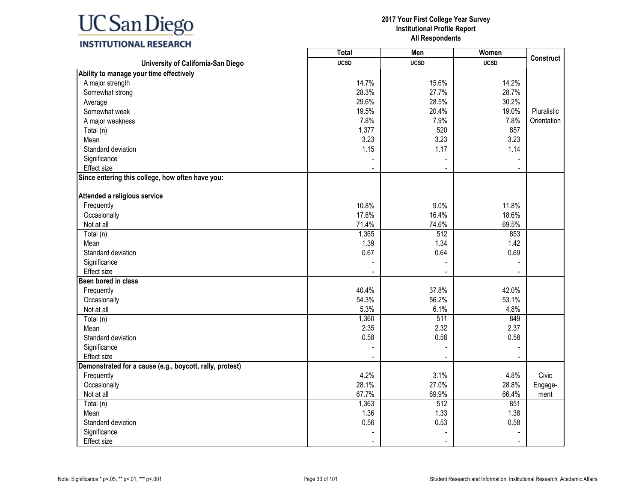### **INSTITUTIONAL RESEARCH**

|                                                          | <b>Total</b>   | Men            | Women       |                  |
|----------------------------------------------------------|----------------|----------------|-------------|------------------|
| University of California-San Diego                       | <b>UCSD</b>    | <b>UCSD</b>    | <b>UCSD</b> | <b>Construct</b> |
| Ability to manage your time effectively                  |                |                |             |                  |
| A major strength                                         | 14.7%          | 15.6%          | 14.2%       |                  |
| Somewhat strong                                          | 28.3%          | 27.7%          | 28.7%       |                  |
| Average                                                  | 29.6%          | 28.5%          | 30.2%       |                  |
| Somewhat weak                                            | 19.5%          | 20.4%          | 19.0%       | Pluralistic      |
| A major weakness                                         | 7.8%           | 7.9%           | 7.8%        | Orientation      |
| Total (n)                                                | 1,377          | 520            | 857         |                  |
| Mean                                                     | 3.23           | 3.23           | 3.23        |                  |
| Standard deviation                                       | 1.15           | 1.17           | 1.14        |                  |
| Significance                                             |                |                |             |                  |
| Effect size                                              |                | $\blacksquare$ |             |                  |
| Since entering this college, how often have you:         |                |                |             |                  |
| Attended a religious service                             |                |                |             |                  |
| Frequently                                               | 10.8%          | 9.0%           | 11.8%       |                  |
| Occasionally                                             | 17.8%          | 16.4%          | 18.6%       |                  |
| Not at all                                               | 71.4%          | 74.6%          | 69.5%       |                  |
| Total (n)                                                | 1,365          | 512            | 853         |                  |
| Mean                                                     | 1.39           | 1.34           | 1.42        |                  |
| Standard deviation                                       | 0.67           | 0.64           | 0.69        |                  |
| Significance                                             |                |                |             |                  |
| <b>Effect size</b>                                       |                | ÷              |             |                  |
| Been bored in class                                      |                |                |             |                  |
| Frequently                                               | 40.4%          | 37.8%          | 42.0%       |                  |
| Occasionally                                             | 54.3%          | 56.2%          | 53.1%       |                  |
| Not at all                                               | 5.3%           | 6.1%           | 4.8%        |                  |
| Total (n)                                                | 1,360          | 511            | 849         |                  |
| Mean                                                     | 2.35           | 2.32           | 2.37        |                  |
| Standard deviation                                       | 0.58           | 0.58           | 0.58        |                  |
| Significance                                             |                |                |             |                  |
| Effect size                                              |                |                |             |                  |
| Demonstrated for a cause (e.g., boycott, rally, protest) |                |                |             |                  |
| Frequently                                               | 4.2%           | 3.1%           | 4.8%        | Civic            |
| Occasionally                                             | 28.1%          | 27.0%          | 28.8%       | Engage-          |
| Not at all                                               | 67.7%          | 69.9%          | 66.4%       | ment             |
| Total (n)                                                | 1,363          | 512            | 851         |                  |
| Mean                                                     | 1.36           | 1.33           | 1.38        |                  |
| Standard deviation                                       | 0.56           | 0.53           | 0.58        |                  |
| Significance                                             |                |                |             |                  |
| Effect size                                              | $\blacksquare$ | $\blacksquare$ |             |                  |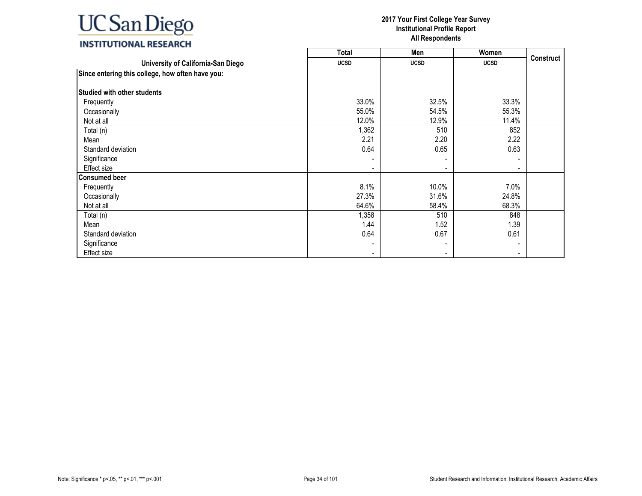|                                                  | <b>Total</b> | Men         | Women                    |                  |
|--------------------------------------------------|--------------|-------------|--------------------------|------------------|
| University of California-San Diego               | <b>UCSD</b>  | <b>UCSD</b> | <b>UCSD</b>              | <b>Construct</b> |
| Since entering this college, how often have you: |              |             |                          |                  |
| <b>Studied with other students</b>               |              |             |                          |                  |
| Frequently                                       | 33.0%        | 32.5%       | 33.3%                    |                  |
| Occasionally                                     | 55.0%        | 54.5%       | 55.3%                    |                  |
| Not at all                                       | 12.0%        | 12.9%       | 11.4%                    |                  |
| Total (n)                                        | 1,362        | 510         | 852                      |                  |
| Mean                                             | 2.21         | 2.20        | 2.22                     |                  |
| Standard deviation                               | 0.64         | 0.65        | 0.63                     |                  |
| Significance                                     |              |             |                          |                  |
| Effect size                                      |              |             | ۰.                       |                  |
| <b>Consumed beer</b>                             |              |             |                          |                  |
| Frequently                                       | 8.1%         | 10.0%       | 7.0%                     |                  |
| Occasionally                                     | 27.3%        | 31.6%       | 24.8%                    |                  |
| Not at all                                       | 64.6%        | 58.4%       | 68.3%                    |                  |
| Total (n)                                        | 1,358        | 510         | 848                      |                  |
| Mean                                             | 1.44         | 1.52        | 1.39                     |                  |
| Standard deviation                               | 0.64         | 0.67        | 0.61                     |                  |
| Significance                                     |              |             | $\overline{\phantom{a}}$ |                  |
| Effect size                                      |              |             |                          |                  |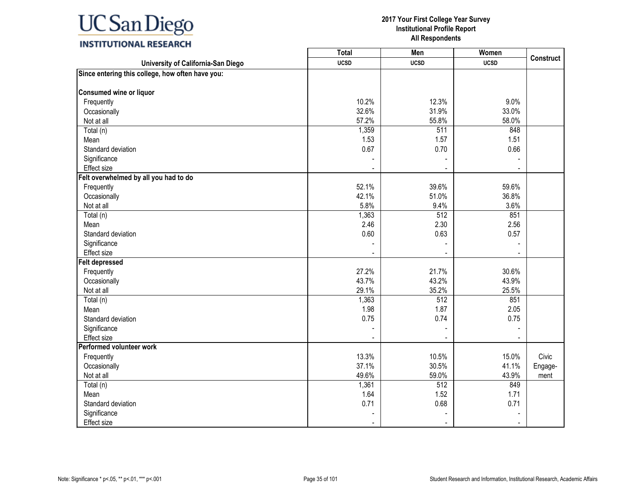### **INSTITUTIONAL RESEARCH**

|                                                  | Total       | Men              | Women       |                  |
|--------------------------------------------------|-------------|------------------|-------------|------------------|
| University of California-San Diego               | <b>UCSD</b> | <b>UCSD</b>      | <b>UCSD</b> | <b>Construct</b> |
| Since entering this college, how often have you: |             |                  |             |                  |
|                                                  |             |                  |             |                  |
| Consumed wine or liquor                          |             |                  |             |                  |
| Frequently                                       | 10.2%       | 12.3%            | 9.0%        |                  |
| Occasionally                                     | 32.6%       | 31.9%            | 33.0%       |                  |
| Not at all                                       | 57.2%       | 55.8%            | 58.0%       |                  |
| Total (n)                                        | 1,359       | 511              | 848         |                  |
| Mean                                             | 1.53        | 1.57             | 1.51        |                  |
| Standard deviation                               | 0.67        | 0.70             | 0.66        |                  |
| Significance                                     |             |                  |             |                  |
| <b>Effect size</b>                               |             |                  |             |                  |
| Felt overwhelmed by all you had to do            |             |                  |             |                  |
| Frequently                                       | 52.1%       | 39.6%            | 59.6%       |                  |
| Occasionally                                     | 42.1%       | 51.0%            | 36.8%       |                  |
| Not at all                                       | 5.8%        | 9.4%             | 3.6%        |                  |
| Total (n)                                        | 1,363       | 512              | 851         |                  |
| Mean                                             | 2.46        | 2.30             | 2.56        |                  |
| Standard deviation                               | 0.60        | 0.63             | 0.57        |                  |
| Significance                                     |             |                  |             |                  |
| Effect size                                      |             |                  |             |                  |
| <b>Felt depressed</b>                            |             |                  |             |                  |
| Frequently                                       | 27.2%       | 21.7%            | 30.6%       |                  |
| Occasionally                                     | 43.7%       | 43.2%            | 43.9%       |                  |
| Not at all                                       | 29.1%       | 35.2%            | 25.5%       |                  |
| Total (n)                                        | 1,363       | 512              | 851         |                  |
| Mean                                             | 1.98        | 1.87             | 2.05        |                  |
| Standard deviation                               | 0.75        | 0.74             | 0.75        |                  |
| Significance                                     |             |                  |             |                  |
| Effect size                                      |             |                  |             |                  |
| Performed volunteer work                         |             |                  |             |                  |
| Frequently                                       | 13.3%       | 10.5%            | 15.0%       | Civic            |
| Occasionally                                     | 37.1%       | 30.5%            | 41.1%       | Engage-          |
| Not at all                                       | 49.6%       | 59.0%            | 43.9%       | ment             |
| Total (n)                                        | 1,361       | $\overline{512}$ | 849         |                  |
| Mean                                             | 1.64        | 1.52             | 1.71        |                  |
| Standard deviation                               | 0.71        | 0.68             | 0.71        |                  |
| Significance                                     |             |                  |             |                  |
| <b>Effect size</b>                               |             |                  |             |                  |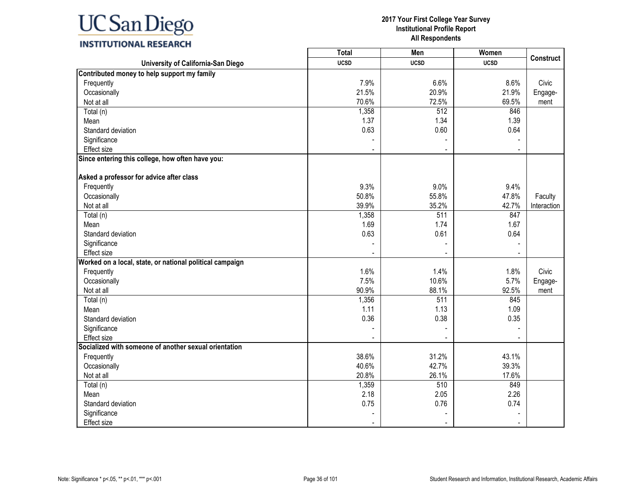|                                                          | <b>Total</b> | Men              | Women       |                  |
|----------------------------------------------------------|--------------|------------------|-------------|------------------|
| University of California-San Diego                       | <b>UCSD</b>  | <b>UCSD</b>      | <b>UCSD</b> | <b>Construct</b> |
| Contributed money to help support my family              |              |                  |             |                  |
| Frequently                                               | 7.9%         | 6.6%             | 8.6%        | Civic            |
| Occasionally                                             | 21.5%        | 20.9%            | 21.9%       | Engage-          |
| Not at all                                               | 70.6%        | 72.5%            | 69.5%       | ment             |
| Total (n)                                                | 1,358        | $\overline{512}$ | 846         |                  |
| Mean                                                     | 1.37         | 1.34             | 1.39        |                  |
| Standard deviation                                       | 0.63         | 0.60             | 0.64        |                  |
| Significance                                             |              |                  |             |                  |
| <b>Effect size</b>                                       |              |                  |             |                  |
| Since entering this college, how often have you:         |              |                  |             |                  |
| Asked a professor for advice after class                 |              |                  |             |                  |
| Frequently                                               | 9.3%         | 9.0%             | 9.4%        |                  |
| Occasionally                                             | 50.8%        | 55.8%            | 47.8%       | Faculty          |
| Not at all                                               | 39.9%        | 35.2%            | 42.7%       | Interaction      |
| Total (n)                                                | 1,358        | 511              | 847         |                  |
| Mean                                                     | 1.69         | 1.74             | 1.67        |                  |
| Standard deviation                                       | 0.63         | 0.61             | 0.64        |                  |
| Significance                                             |              |                  |             |                  |
| Effect size                                              |              |                  |             |                  |
| Worked on a local, state, or national political campaign |              |                  |             |                  |
| Frequently                                               | 1.6%         | 1.4%             | 1.8%        | Civic            |
| Occasionally                                             | 7.5%         | 10.6%            | 5.7%        | Engage-          |
| Not at all                                               | 90.9%        | 88.1%            | 92.5%       | ment             |
| Total (n)                                                | 1,356        | 511              | 845         |                  |
| Mean                                                     | 1.11         | 1.13             | 1.09        |                  |
| Standard deviation                                       | 0.36         | 0.38             | 0.35        |                  |
| Significance                                             |              |                  |             |                  |
| <b>Effect size</b>                                       |              |                  |             |                  |
| Socialized with someone of another sexual orientation    |              |                  |             |                  |
| Frequently                                               | 38.6%        | 31.2%            | 43.1%       |                  |
| Occasionally                                             | 40.6%        | 42.7%            | 39.3%       |                  |
| Not at all                                               | 20.8%        | 26.1%            | 17.6%       |                  |
| Total (n)                                                | 1,359        | 510              | 849         |                  |
| Mean                                                     | 2.18         | 2.05             | 2.26        |                  |
| Standard deviation                                       | 0.75         | 0.76             | 0.74        |                  |
| Significance                                             |              |                  |             |                  |
| Effect size                                              |              |                  |             |                  |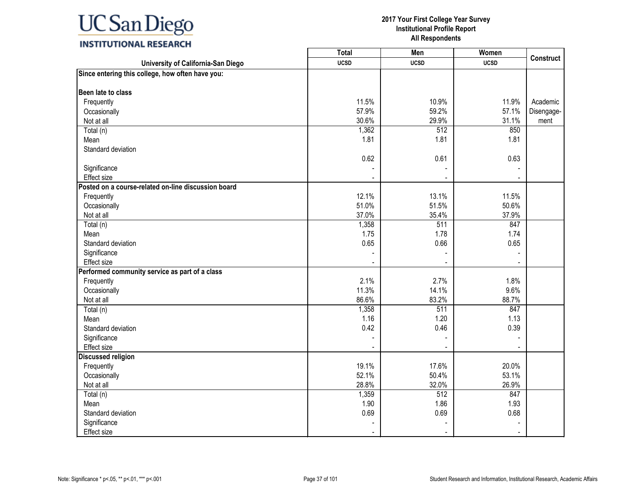#### **2017 Your First College Year Survey Institutional Profile Report All Respondents**

┑

T

| INSTITUTIONAL RESEARCH |
|------------------------|
|------------------------|

|                                                     | Total       | Men              | Women       | <b>Construct</b> |
|-----------------------------------------------------|-------------|------------------|-------------|------------------|
| University of California-San Diego                  | <b>UCSD</b> | <b>UCSD</b>      | <b>UCSD</b> |                  |
| Since entering this college, how often have you:    |             |                  |             |                  |
|                                                     |             |                  |             |                  |
| Been late to class                                  |             |                  |             |                  |
| Frequently                                          | 11.5%       | 10.9%            | 11.9%       | Academic         |
| Occasionally                                        | 57.9%       | 59.2%            | 57.1%       | Disengage-       |
| Not at all                                          | 30.6%       | 29.9%            | 31.1%       | ment             |
| Total (n)                                           | 1,362       | 512              | 850         |                  |
| Mean                                                | 1.81        | 1.81             | 1.81        |                  |
| Standard deviation                                  |             |                  |             |                  |
|                                                     | 0.62        | 0.61             | 0.63        |                  |
| Significance                                        |             |                  |             |                  |
| Effect size                                         |             |                  |             |                  |
| Posted on a course-related on-line discussion board |             |                  |             |                  |
| Frequently                                          | 12.1%       | 13.1%            | 11.5%       |                  |
| Occasionally                                        | 51.0%       | 51.5%            | 50.6%       |                  |
| Not at all                                          | 37.0%       | 35.4%            | 37.9%       |                  |
| Total (n)                                           | 1,358       | $\overline{511}$ | 847         |                  |
| Mean                                                | 1.75        | 1.78             | 1.74        |                  |
| Standard deviation                                  | 0.65        | 0.66             | 0.65        |                  |
| Significance                                        |             |                  |             |                  |
| Effect size                                         |             |                  |             |                  |
| Performed community service as part of a class      |             |                  |             |                  |
| Frequently                                          | 2.1%        | 2.7%             | 1.8%        |                  |
| Occasionally                                        | 11.3%       | 14.1%            | 9.6%        |                  |
| Not at all                                          | 86.6%       | 83.2%            | 88.7%       |                  |
| Total (n)                                           | 1,358       | 511              | 847         |                  |
| Mean                                                | 1.16        | 1.20             | 1.13        |                  |
| Standard deviation                                  | 0.42        | 0.46             | 0.39        |                  |
| Significance                                        |             |                  |             |                  |
| Effect size                                         |             |                  |             |                  |
| <b>Discussed religion</b>                           |             |                  |             |                  |
| Frequently                                          | 19.1%       | 17.6%            | 20.0%       |                  |
| Occasionally                                        | 52.1%       | 50.4%            | 53.1%       |                  |
| Not at all                                          | 28.8%       | 32.0%            | 26.9%       |                  |
| Total (n)                                           | 1,359       | 512              | 847         |                  |
| Mean                                                | 1.90        | 1.86             | 1.93        |                  |
| Standard deviation                                  | 0.69        | 0.69             | 0.68        |                  |
| Significance                                        |             |                  |             |                  |
| Effect size                                         |             |                  |             |                  |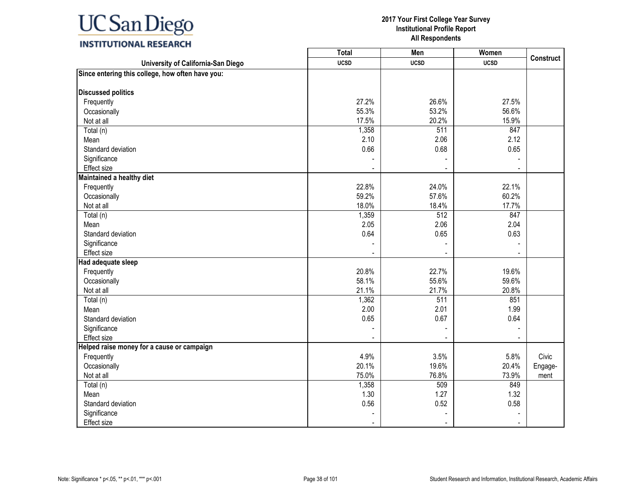#### **2017 Your First College Year Survey Institutional Profile Report All Respondents**

**Construct**

| <b>INSITUTIONAL RESEARCH</b>                     |                          |             |             |
|--------------------------------------------------|--------------------------|-------------|-------------|
|                                                  | Total                    | Men         | Women       |
| University of California-San Diego               | <b>UCSD</b>              | <b>UCSD</b> | <b>UCSD</b> |
| Since entering this college, how often have you: |                          |             |             |
| <b>Discussed politics</b>                        |                          |             |             |
| Frequently                                       | 27.2%                    | 26.6%       |             |
| Occasionally                                     | 55.3%                    | 53.2%       |             |
| Not at all                                       | 17.5%                    | 20.2%       |             |
| Total (n)                                        | 1,358                    | 511         |             |
| Mean                                             | 2.10                     | 2.06        |             |
| Standard deviation                               | 0.66                     | 0.68        |             |
| Significance                                     |                          |             |             |
| Effect size                                      | $\overline{\phantom{a}}$ |             |             |
| Maintained a healthy diet                        |                          |             |             |
| Frequently                                       | 22.8%                    | 24.0%       |             |
| Occasionally                                     | 59.2%                    | 57.6%       |             |
| Not at all                                       | 18.0%                    | 18.4%       |             |
| Total (n)                                        | 1,359                    | 512         |             |
| Mean                                             | 2.05                     | 2.06        |             |
|                                                  |                          |             |             |

| <b>Discussed politics</b>                  |       |                  |       |         |
|--------------------------------------------|-------|------------------|-------|---------|
| Frequently                                 | 27.2% | 26.6%            | 27.5% |         |
| Occasionally                               | 55.3% | 53.2%            | 56.6% |         |
| Not at all                                 | 17.5% | 20.2%            | 15.9% |         |
| Total (n)                                  | 1,358 | $\overline{511}$ | 847   |         |
| Mean                                       | 2.10  | 2.06             | 2.12  |         |
| Standard deviation                         | 0.66  | 0.68             | 0.65  |         |
| Significance                               |       |                  |       |         |
| Effect size                                |       |                  |       |         |
| Maintained a healthy diet                  |       |                  |       |         |
| Frequently                                 | 22.8% | 24.0%            | 22.1% |         |
| Occasionally                               | 59.2% | 57.6%            | 60.2% |         |
| Not at all                                 | 18.0% | 18.4%            | 17.7% |         |
| Total (n)                                  | 1,359 | 512              | 847   |         |
| Mean                                       | 2.05  | 2.06             | 2.04  |         |
| Standard deviation                         | 0.64  | 0.65             | 0.63  |         |
| Significance                               |       |                  |       |         |
| Effect size                                |       |                  |       |         |
| Had adequate sleep                         |       |                  |       |         |
| Frequently                                 | 20.8% | 22.7%            | 19.6% |         |
| Occasionally                               | 58.1% | 55.6%            | 59.6% |         |
| Not at all                                 | 21.1% | 21.7%            | 20.8% |         |
| Total (n)                                  | 1,362 | $\overline{511}$ | 851   |         |
| Mean                                       | 2.00  | 2.01             | 1.99  |         |
| Standard deviation                         | 0.65  | 0.67             | 0.64  |         |
| Significance                               |       |                  |       |         |
| Effect size                                |       |                  |       |         |
| Helped raise money for a cause or campaign |       |                  |       |         |
| Frequently                                 | 4.9%  | 3.5%             | 5.8%  | Civic   |
| Occasionally                               | 20.1% | 19.6%            | 20.4% | Engage- |
| Not at all                                 | 75.0% | 76.8%            | 73.9% | ment    |
| Total (n)                                  | 1,358 | 509              | 849   |         |
| Mean                                       | 1.30  | 1.27             | 1.32  |         |
| Standard deviation                         | 0.56  | 0.52             | 0.58  |         |
| Significance                               |       |                  |       |         |
| Effect size                                |       |                  |       |         |
|                                            |       |                  |       |         |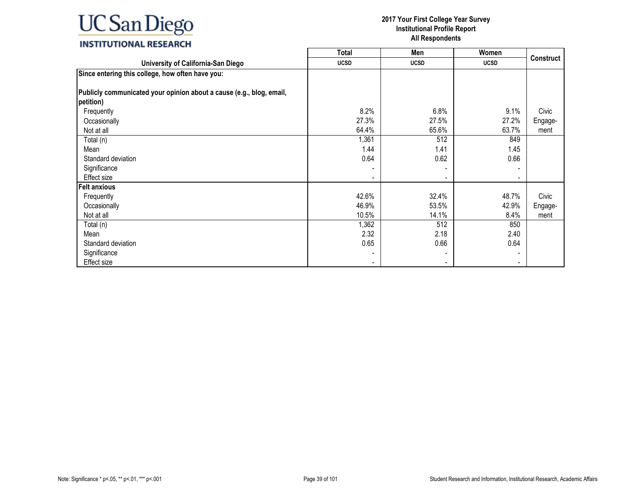

|                                                                      | <b>Total</b> | Men         | Women          |                  |
|----------------------------------------------------------------------|--------------|-------------|----------------|------------------|
| University of California-San Diego                                   | <b>UCSD</b>  | <b>UCSD</b> | <b>UCSD</b>    | <b>Construct</b> |
| Since entering this college, how often have you:                     |              |             |                |                  |
|                                                                      |              |             |                |                  |
| Publicly communicated your opinion about a cause (e.g., blog, email, |              |             |                |                  |
| petition)                                                            |              |             |                |                  |
| Frequently                                                           | 8.2%         | 6.8%        | 9.1%           | Civic            |
| Occasionally                                                         | 27.3%        | 27.5%       | 27.2%          | Engage-          |
| Not at all                                                           | 64.4%        | 65.6%       | 63.7%          | ment             |
| Total (n)                                                            | 1,361        | 512         | 849            |                  |
| Mean                                                                 | 1.44         | 1.41        | 1.45           |                  |
| Standard deviation                                                   | 0.64         | 0.62        | 0.66           |                  |
| Significance                                                         |              |             |                |                  |
| Effect size                                                          |              |             | $\blacksquare$ |                  |
| <b>Felt anxious</b>                                                  |              |             |                |                  |
| Frequently                                                           | 42.6%        | 32.4%       | 48.7%          | Civic            |
| Occasionally                                                         | 46.9%        | 53.5%       | 42.9%          | Engage-          |
| Not at all                                                           | 10.5%        | 14.1%       | 8.4%           | ment             |
| Total (n)                                                            | 1,362        | 512         | 850            |                  |
| Mean                                                                 | 2.32         | 2.18        | 2.40           |                  |
| Standard deviation                                                   | 0.65         | 0.66        | 0.64           |                  |
| Significance                                                         |              |             |                |                  |
| Effect size                                                          |              |             |                |                  |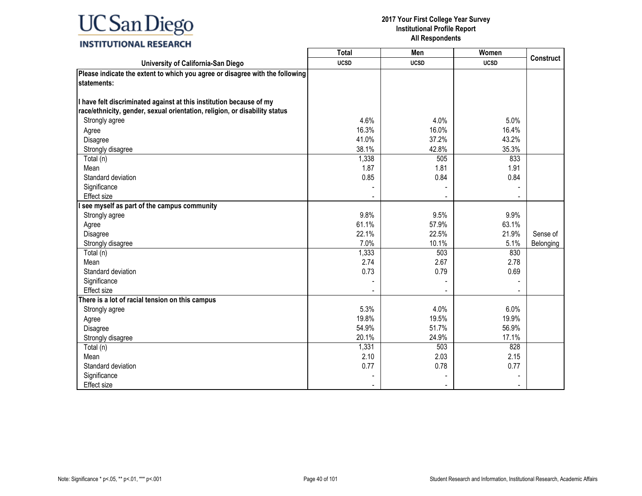|                                                                              | <b>Total</b> | Men         | Women       |                  |
|------------------------------------------------------------------------------|--------------|-------------|-------------|------------------|
| University of California-San Diego                                           | <b>UCSD</b>  | <b>UCSD</b> | <b>UCSD</b> | <b>Construct</b> |
| Please indicate the extent to which you agree or disagree with the following |              |             |             |                  |
| statements:                                                                  |              |             |             |                  |
|                                                                              |              |             |             |                  |
| I have felt discriminated against at this institution because of my          |              |             |             |                  |
| race/ethnicity, gender, sexual orientation, religion, or disability status   |              |             |             |                  |
| Strongly agree                                                               | 4.6%         | 4.0%        | 5.0%        |                  |
| Agree                                                                        | 16.3%        | 16.0%       | 16.4%       |                  |
| Disagree                                                                     | 41.0%        | 37.2%       | 43.2%       |                  |
| Strongly disagree                                                            | 38.1%        | 42.8%       | 35.3%       |                  |
| Total (n)                                                                    | 1,338        | 505         | 833         |                  |
| Mean                                                                         | 1.87         | 1.81        | 1.91        |                  |
| Standard deviation                                                           | 0.85         | 0.84        | 0.84        |                  |
| Significance                                                                 |              |             |             |                  |
| <b>Effect size</b>                                                           |              |             |             |                  |
| see myself as part of the campus community                                   |              |             |             |                  |
| Strongly agree                                                               | 9.8%         | 9.5%        | 9.9%        |                  |
| Agree                                                                        | 61.1%        | 57.9%       | 63.1%       |                  |
| Disagree                                                                     | 22.1%        | 22.5%       | 21.9%       | Sense of         |
| Strongly disagree                                                            | 7.0%         | 10.1%       | 5.1%        | Belonging        |
| Total (n)                                                                    | 1,333        | 503         | 830         |                  |
| Mean                                                                         | 2.74         | 2.67        | 2.78        |                  |
| Standard deviation                                                           | 0.73         | 0.79        | 0.69        |                  |
| Significance                                                                 |              |             |             |                  |
| <b>Effect size</b>                                                           |              |             |             |                  |
| There is a lot of racial tension on this campus                              |              |             |             |                  |
| Strongly agree                                                               | 5.3%         | 4.0%        | 6.0%        |                  |
| Agree                                                                        | 19.8%        | 19.5%       | 19.9%       |                  |
| Disagree                                                                     | 54.9%        | 51.7%       | 56.9%       |                  |
| Strongly disagree                                                            | 20.1%        | 24.9%       | 17.1%       |                  |
| Total (n)                                                                    | 1,331        | 503         | 828         |                  |
| Mean                                                                         | 2.10         | 2.03        | 2.15        |                  |
| Standard deviation                                                           | 0.77         | 0.78        | 0.77        |                  |
| Significance                                                                 |              |             |             |                  |
| <b>Effect size</b>                                                           |              |             |             |                  |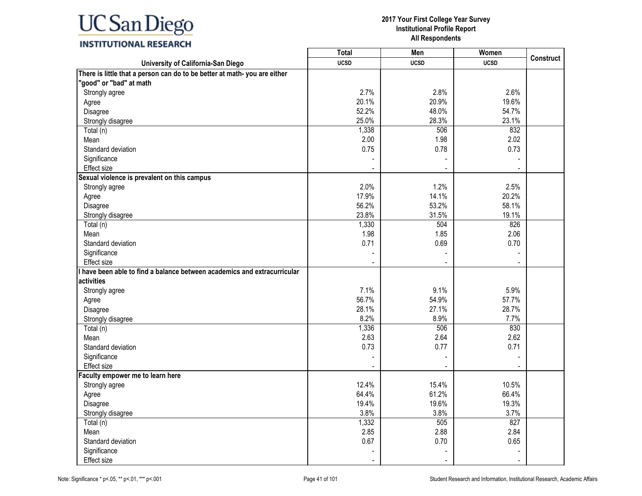### **INSTITUTIONAL RESEARCH**

|                                                                          | <b>Total</b> | Men         | Women       |                  |
|--------------------------------------------------------------------------|--------------|-------------|-------------|------------------|
| University of California-San Diego                                       | <b>UCSD</b>  | <b>UCSD</b> | <b>UCSD</b> | <b>Construct</b> |
| There is little that a person can do to be better at math-you are either |              |             |             |                  |
| "good" or "bad" at math                                                  |              |             |             |                  |
| Strongly agree                                                           | 2.7%         | 2.8%        | 2.6%        |                  |
| Agree                                                                    | 20.1%        | 20.9%       | 19.6%       |                  |
| Disagree                                                                 | 52.2%        | 48.0%       | 54.7%       |                  |
| Strongly disagree                                                        | 25.0%        | 28.3%       | 23.1%       |                  |
| Total (n)                                                                | 1,338        | 506         | 832         |                  |
| Mean                                                                     | 2.00         | 1.98        | 2.02        |                  |
| Standard deviation                                                       | 0.75         | 0.78        | 0.73        |                  |
| Significance                                                             |              |             |             |                  |
| <b>Effect size</b>                                                       |              |             |             |                  |
| Sexual violence is prevalent on this campus                              |              |             |             |                  |
| Strongly agree                                                           | 2.0%         | 1.2%        | 2.5%        |                  |
| Agree                                                                    | 17.9%        | 14.1%       | 20.2%       |                  |
| Disagree                                                                 | 56.2%        | 53.2%       | 58.1%       |                  |
| Strongly disagree                                                        | 23.8%        | 31.5%       | 19.1%       |                  |
| Total (n)                                                                | 1,330        | 504         | 826         |                  |
| Mean                                                                     | 1.98         | 1.85        | 2.06        |                  |
| Standard deviation                                                       | 0.71         | 0.69        | 0.70        |                  |
| Significance                                                             |              |             |             |                  |
| <b>Effect size</b>                                                       |              |             |             |                  |
| I have been able to find a balance between academics and extracurricular |              |             |             |                  |
| activities                                                               |              |             |             |                  |
| Strongly agree                                                           | 7.1%         | 9.1%        | 5.9%        |                  |
| Agree                                                                    | 56.7%        | 54.9%       | 57.7%       |                  |
| Disagree                                                                 | 28.1%        | 27.1%       | 28.7%       |                  |
| Strongly disagree                                                        | 8.2%         | 8.9%        | 7.7%        |                  |
| Total (n)                                                                | 1,336        | 506         | 830         |                  |
| Mean                                                                     | 2.63         | 2.64        | 2.62        |                  |
| Standard deviation                                                       | 0.73         | 0.77        | 0.71        |                  |
| Significance                                                             |              |             |             |                  |
| <b>Effect size</b>                                                       |              |             |             |                  |
| Faculty empower me to learn here                                         |              |             |             |                  |
| Strongly agree                                                           | 12.4%        | 15.4%       | 10.5%       |                  |
| Agree                                                                    | 64.4%        | 61.2%       | 66.4%       |                  |
| Disagree                                                                 | 19.4%        | 19.6%       | 19.3%       |                  |
| Strongly disagree                                                        | 3.8%         | 3.8%        | 3.7%        |                  |
| Total (n)                                                                | 1,332        | 505         | 827         |                  |
| Mean                                                                     | 2.85         | 2.88        | 2.84        |                  |
| Standard deviation                                                       | 0.67         | 0.70        | 0.65        |                  |
| Significance                                                             |              |             |             |                  |
| Effect size                                                              |              |             |             |                  |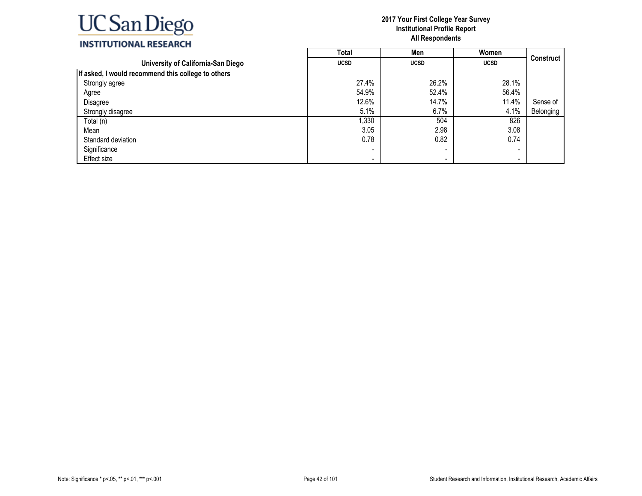

## **INSTITUTIONAL RESEARCH**

|                                                    | <b>Total</b> | Men         | Women       |           |
|----------------------------------------------------|--------------|-------------|-------------|-----------|
| University of California-San Diego                 | <b>UCSD</b>  | <b>UCSD</b> | <b>UCSD</b> | Construct |
| If asked, I would recommend this college to others |              |             |             |           |
| Strongly agree                                     | 27.4%        | 26.2%       | 28.1%       |           |
| Agree                                              | 54.9%        | 52.4%       | 56.4%       |           |
| Disagree                                           | 12.6%        | 14.7%       | 11.4%       | Sense of  |
| Strongly disagree                                  | 5.1%         | 6.7%        | 4.1%        | Belonging |
| Total (n)                                          | ,330         | 504         | 826         |           |
| Mean                                               | 3.05         | 2.98        | 3.08        |           |
| Standard deviation                                 | 0.78         | 0.82        | 0.74        |           |
| Significance                                       |              | -           | -           |           |
| Effect size                                        | -            | . .         | -           |           |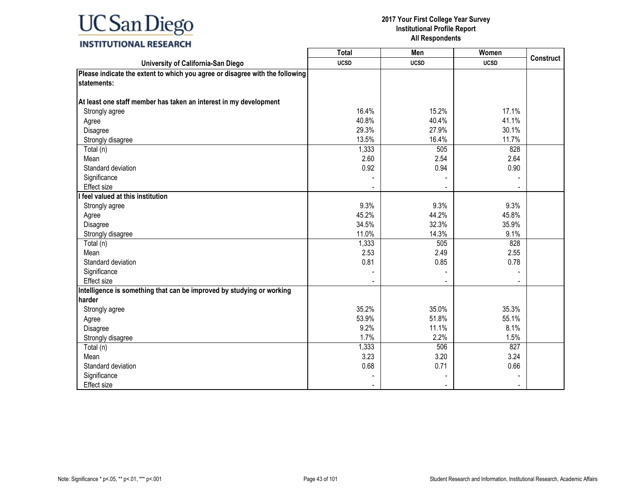### **INSTITUTIONAL RESEARCH**

|                                                                              | <b>Total</b> | Men         | Women       |                  |
|------------------------------------------------------------------------------|--------------|-------------|-------------|------------------|
| University of California-San Diego                                           | <b>UCSD</b>  | <b>UCSD</b> | <b>UCSD</b> | <b>Construct</b> |
| Please indicate the extent to which you agree or disagree with the following |              |             |             |                  |
| statements:                                                                  |              |             |             |                  |
|                                                                              |              |             |             |                  |
| At least one staff member has taken an interest in my development            |              |             |             |                  |
| Strongly agree                                                               | 16.4%        | 15.2%       | 17.1%       |                  |
| Agree                                                                        | 40.8%        | 40.4%       | 41.1%       |                  |
| Disagree                                                                     | 29.3%        | 27.9%       | 30.1%       |                  |
| Strongly disagree                                                            | 13.5%        | 16.4%       | 11.7%       |                  |
| Total (n)                                                                    | 1,333        | 505         | 828         |                  |
| Mean                                                                         | 2.60         | 2.54        | 2.64        |                  |
| Standard deviation                                                           | 0.92         | 0.94        | 0.90        |                  |
| Significance                                                                 |              |             |             |                  |
| <b>Effect size</b>                                                           |              |             |             |                  |
| I feel valued at this institution                                            |              |             |             |                  |
| Strongly agree                                                               | 9.3%         | 9.3%        | 9.3%        |                  |
| Agree                                                                        | 45.2%        | 44.2%       | 45.8%       |                  |
| Disagree                                                                     | 34.5%        | 32.3%       | 35.9%       |                  |
| Strongly disagree                                                            | 11.0%        | 14.3%       | 9.1%        |                  |
| Total (n)                                                                    | 1,333        | 505         | 828         |                  |
| Mean                                                                         | 2.53         | 2.49        | 2.55        |                  |
| Standard deviation                                                           | 0.81         | 0.85        | 0.78        |                  |
| Significance                                                                 |              |             |             |                  |
| Effect size                                                                  |              |             |             |                  |
| Intelligence is something that can be improved by studying or working        |              |             |             |                  |
| harder                                                                       |              |             |             |                  |
| Strongly agree                                                               | 35.2%        | 35.0%       | 35.3%       |                  |
| Agree                                                                        | 53.9%        | 51.8%       | 55.1%       |                  |
| Disagree                                                                     | 9.2%         | 11.1%       | 8.1%        |                  |
| Strongly disagree                                                            | 1.7%         | 2.2%        | 1.5%        |                  |
| Total (n)                                                                    | 1,333        | 506         | 827         |                  |
| Mean                                                                         | 3.23         | 3.20        | 3.24        |                  |
| Standard deviation                                                           | 0.68         | 0.71        | 0.66        |                  |
| Significance                                                                 |              |             |             |                  |
| <b>Effect size</b>                                                           |              |             |             |                  |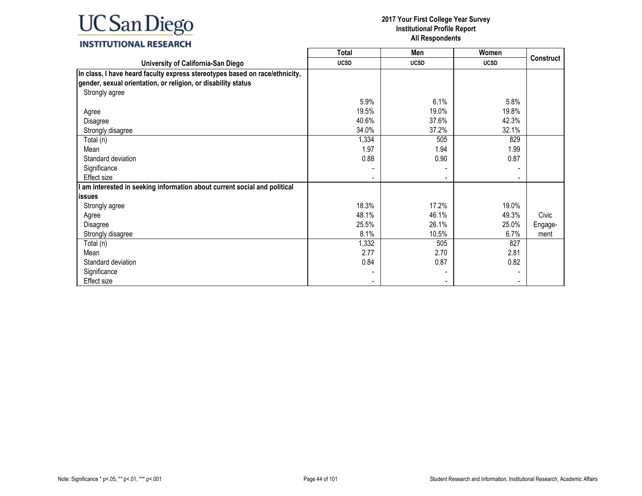### **INSTITUTIONAL RESEARCH**

|                                                                             | <b>Total</b> | Men         | Women       |                  |
|-----------------------------------------------------------------------------|--------------|-------------|-------------|------------------|
| University of California-San Diego                                          | <b>UCSD</b>  | <b>UCSD</b> | <b>UCSD</b> | <b>Construct</b> |
| In class, I have heard faculty express stereotypes based on race/ethnicity, |              |             |             |                  |
| gender, sexual orientation, or religion, or disability status               |              |             |             |                  |
| Strongly agree                                                              |              |             |             |                  |
|                                                                             | 5.9%         | 6.1%        | 5.8%        |                  |
| Agree                                                                       | 19.5%        | 19.0%       | 19.8%       |                  |
| Disagree                                                                    | 40.6%        | 37.6%       | 42.3%       |                  |
| Strongly disagree                                                           | 34.0%        | 37.2%       | 32.1%       |                  |
| Total (n)                                                                   | 1,334        | 505         | 829         |                  |
| Mean                                                                        | 1.97         | 1.94        | 1.99        |                  |
| Standard deviation                                                          | 0.88         | 0.90        | 0.87        |                  |
| Significance                                                                |              |             |             |                  |
| Effect size                                                                 |              |             |             |                  |
| am interested in seeking information about current social and political     |              |             |             |                  |
| lissues                                                                     |              |             |             |                  |
| Strongly agree                                                              | 18.3%        | 17.2%       | 19.0%       |                  |
| Agree                                                                       | 48.1%        | 46.1%       | 49.3%       | Civic            |
| Disagree                                                                    | 25.5%        | 26.1%       | 25.0%       | Engage-          |
| Strongly disagree                                                           | 8.1%         | 10.5%       | 6.7%        | ment             |
| Total (n)                                                                   | 1,332        | 505         | 827         |                  |
| Mean                                                                        | 2.77         | 2.70        | 2.81        |                  |
| Standard deviation                                                          | 0.84         | 0.87        | 0.82        |                  |
| Significance                                                                |              |             |             |                  |
| Effect size                                                                 |              |             |             |                  |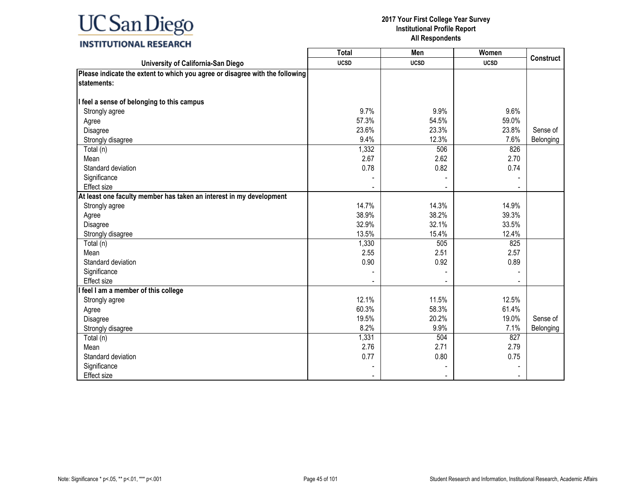### **INSTITUTIONAL RESEARCH**

|                                                                              | Total       | <b>Men</b>     | Women       |                  |
|------------------------------------------------------------------------------|-------------|----------------|-------------|------------------|
| University of California-San Diego                                           | <b>UCSD</b> | <b>UCSD</b>    | <b>UCSD</b> | <b>Construct</b> |
| Please indicate the extent to which you agree or disagree with the following |             |                |             |                  |
| statements:                                                                  |             |                |             |                  |
|                                                                              |             |                |             |                  |
| I feel a sense of belonging to this campus                                   |             |                |             |                  |
| Strongly agree                                                               | 9.7%        | 9.9%           | 9.6%        |                  |
| Agree                                                                        | 57.3%       | 54.5%          | 59.0%       |                  |
| Disagree                                                                     | 23.6%       | 23.3%          | 23.8%       | Sense of         |
| Strongly disagree                                                            | 9.4%        | 12.3%          | 7.6%        | Belonging        |
| Total (n)                                                                    | 1,332       | 506            | 826         |                  |
| Mean                                                                         | 2.67        | 2.62           | 2.70        |                  |
| Standard deviation                                                           | 0.78        | 0.82           | 0.74        |                  |
| Significance                                                                 |             |                |             |                  |
| Effect size                                                                  |             | $\blacksquare$ |             |                  |
| At least one faculty member has taken an interest in my development          |             |                |             |                  |
| Strongly agree                                                               | 14.7%       | 14.3%          | 14.9%       |                  |
| Agree                                                                        | 38.9%       | 38.2%          | 39.3%       |                  |
| Disagree                                                                     | 32.9%       | 32.1%          | 33.5%       |                  |
| Strongly disagree                                                            | 13.5%       | 15.4%          | 12.4%       |                  |
| Total (n)                                                                    | 1,330       | 505            | 825         |                  |
| Mean                                                                         | 2.55        | 2.51           | 2.57        |                  |
| Standard deviation                                                           | 0.90        | 0.92           | 0.89        |                  |
| Significance                                                                 |             |                |             |                  |
| <b>Effect size</b>                                                           |             |                |             |                  |
| I feel I am a member of this college                                         |             |                |             |                  |
| Strongly agree                                                               | 12.1%       | 11.5%          | 12.5%       |                  |
| Agree                                                                        | 60.3%       | 58.3%          | 61.4%       |                  |
| Disagree                                                                     | 19.5%       | 20.2%          | 19.0%       | Sense of         |
| Strongly disagree                                                            | 8.2%        | 9.9%           | 7.1%        | Belonging        |
| Total (n)                                                                    | 1,331       | 504            | 827         |                  |
| Mean                                                                         | 2.76        | 2.71           | 2.79        |                  |
| Standard deviation                                                           | 0.77        | 0.80           | 0.75        |                  |
| Significance                                                                 |             |                |             |                  |
| <b>Effect size</b>                                                           |             |                |             |                  |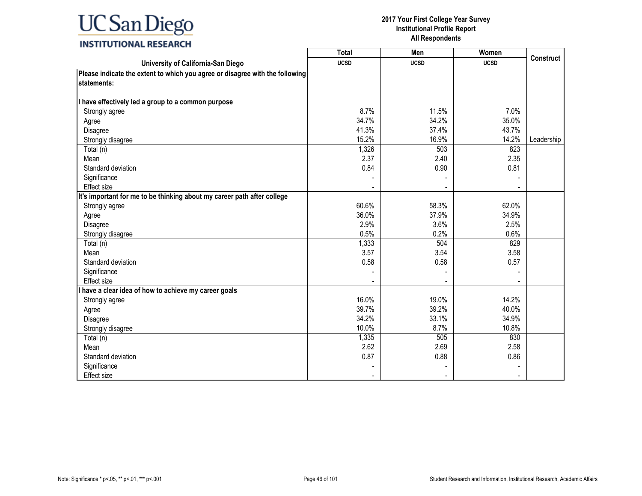### **INSTITUTIONAL RESEARCH**

|                                                                              | <b>Total</b> | Men         | Women       |                  |
|------------------------------------------------------------------------------|--------------|-------------|-------------|------------------|
| University of California-San Diego                                           | <b>UCSD</b>  | <b>UCSD</b> | <b>UCSD</b> | <b>Construct</b> |
| Please indicate the extent to which you agree or disagree with the following |              |             |             |                  |
| <b>Istatements:</b>                                                          |              |             |             |                  |
|                                                                              |              |             |             |                  |
| I have effectively led a group to a common purpose                           |              |             |             |                  |
| Strongly agree                                                               | 8.7%         | 11.5%       | 7.0%        |                  |
| Agree                                                                        | 34.7%        | 34.2%       | 35.0%       |                  |
| Disagree                                                                     | 41.3%        | 37.4%       | 43.7%       |                  |
| Strongly disagree                                                            | 15.2%        | 16.9%       | 14.2%       | Leadership       |
| Total (n)                                                                    | 1,326        | 503         | 823         |                  |
| Mean                                                                         | 2.37         | 2.40        | 2.35        |                  |
| Standard deviation                                                           | 0.84         | 0.90        | 0.81        |                  |
| Significance                                                                 |              |             |             |                  |
| Effect size                                                                  |              |             |             |                  |
| It's important for me to be thinking about my career path after college      |              |             |             |                  |
| Strongly agree                                                               | 60.6%        | 58.3%       | 62.0%       |                  |
| Agree                                                                        | 36.0%        | 37.9%       | 34.9%       |                  |
| Disagree                                                                     | 2.9%         | 3.6%        | 2.5%        |                  |
| Strongly disagree                                                            | 0.5%         | 0.2%        | 0.6%        |                  |
| Total (n)                                                                    | 1,333        | 504         | 829         |                  |
| Mean                                                                         | 3.57         | 3.54        | 3.58        |                  |
| Standard deviation                                                           | 0.58         | 0.58        | 0.57        |                  |
| Significance                                                                 |              |             |             |                  |
| <b>Effect size</b>                                                           |              |             |             |                  |
| I have a clear idea of how to achieve my career goals                        |              |             |             |                  |
| Strongly agree                                                               | 16.0%        | 19.0%       | 14.2%       |                  |
| Agree                                                                        | 39.7%        | 39.2%       | 40.0%       |                  |
| Disagree                                                                     | 34.2%        | 33.1%       | 34.9%       |                  |
| Strongly disagree                                                            | 10.0%        | 8.7%        | 10.8%       |                  |
| Total (n)                                                                    | 1,335        | 505         | 830         |                  |
| Mean                                                                         | 2.62         | 2.69        | 2.58        |                  |
| Standard deviation                                                           | 0.87         | 0.88        | 0.86        |                  |
| Significance                                                                 |              |             |             |                  |
| Effect size                                                                  |              |             |             |                  |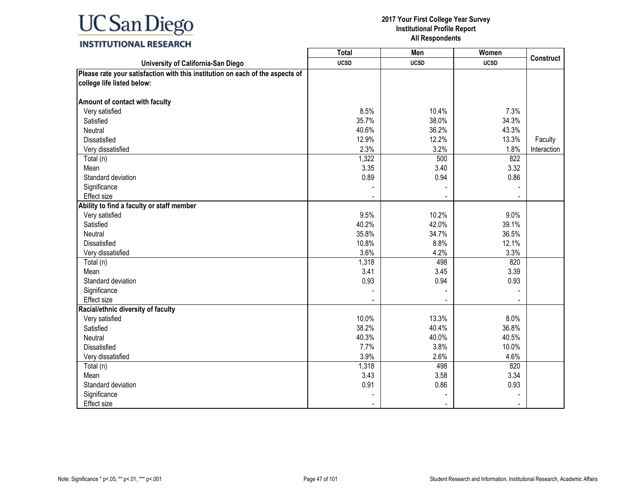### **INSTITUTIONAL RESEARCH**

|                                                                               | <b>Total</b> | Men         | Women       |             |
|-------------------------------------------------------------------------------|--------------|-------------|-------------|-------------|
| University of California-San Diego                                            | <b>UCSD</b>  | <b>UCSD</b> | <b>UCSD</b> | Construct   |
| Please rate your satisfaction with this institution on each of the aspects of |              |             |             |             |
| college life listed below:                                                    |              |             |             |             |
|                                                                               |              |             |             |             |
| Amount of contact with faculty                                                |              |             |             |             |
| Very satisfied                                                                | 8.5%         | 10.4%       | 7.3%        |             |
| Satisfied                                                                     | 35.7%        | 38.0%       | 34.3%       |             |
| <b>Neutral</b>                                                                | 40.6%        | 36.2%       | 43.3%       |             |
| Dissatisfied                                                                  | 12.9%        | 12.2%       | 13.3%       | Faculty     |
| Very dissatisfied                                                             | 2.3%         | 3.2%        | 1.8%        | Interaction |
| Total (n)                                                                     | 1,322        | 500         | 822         |             |
| Mean                                                                          | 3.35         | 3.40        | 3.32        |             |
| Standard deviation                                                            | 0.89         | 0.94        | 0.86        |             |
| Significance                                                                  |              |             |             |             |
| Effect size                                                                   |              |             |             |             |
| Ability to find a faculty or staff member                                     |              |             |             |             |
| Very satisfied                                                                | 9.5%         | 10.2%       | 9.0%        |             |
| Satisfied                                                                     | 40.2%        | 42.0%       | 39.1%       |             |
| Neutral                                                                       | 35.8%        | 34.7%       | 36.5%       |             |
| <b>Dissatisfied</b>                                                           | 10.8%        | 8.8%        | 12.1%       |             |
| Very dissatisfied                                                             | 3.6%         | 4.2%        | 3.3%        |             |
| Total (n)                                                                     | 1,318        | 498         | 820         |             |
| Mean                                                                          | 3.41         | 3.45        | 3.39        |             |
| Standard deviation                                                            | 0.93         | 0.94        | 0.93        |             |
| Significance                                                                  |              |             |             |             |
| Effect size                                                                   |              |             |             |             |
| Racial/ethnic diversity of faculty                                            |              |             |             |             |
| Very satisfied                                                                | 10.0%        | 13.3%       | 8.0%        |             |
| Satisfied                                                                     | 38.2%        | 40.4%       | 36.8%       |             |
| <b>Neutral</b>                                                                | 40.3%        | 40.0%       | 40.5%       |             |
| Dissatisfied                                                                  | 7.7%         | 3.8%        | 10.0%       |             |
| Very dissatisfied                                                             | 3.9%         | 2.6%        | 4.6%        |             |
| Total (n)                                                                     | 1,318        | 498         | 820         |             |
| Mean                                                                          | 3.43         | 3.58        | 3.34        |             |
| Standard deviation                                                            | 0.91         | 0.86        | 0.93        |             |
| Significance                                                                  |              |             |             |             |
| Effect size                                                                   |              |             |             |             |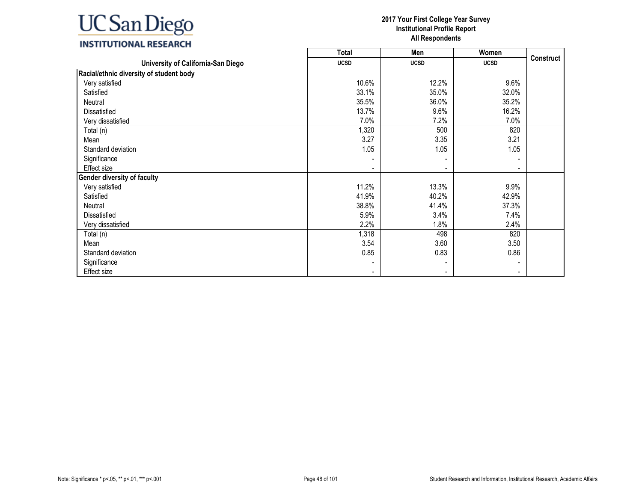### **INSTITUTIONAL RESEARCH**

|                                         | <b>Total</b>             | Men                      | Women       |                  |
|-----------------------------------------|--------------------------|--------------------------|-------------|------------------|
| University of California-San Diego      | <b>UCSD</b>              | <b>UCSD</b>              | <b>UCSD</b> | <b>Construct</b> |
| Racial/ethnic diversity of student body |                          |                          |             |                  |
| Very satisfied                          | 10.6%                    | 12.2%                    | 9.6%        |                  |
| Satisfied                               | 33.1%                    | 35.0%                    | 32.0%       |                  |
| Neutral                                 | 35.5%                    | 36.0%                    | 35.2%       |                  |
| Dissatisfied                            | 13.7%                    | 9.6%                     | 16.2%       |                  |
| Very dissatisfied                       | 7.0%                     | 7.2%                     | 7.0%        |                  |
| Total (n)                               | 1,320                    | 500                      | 820         |                  |
| Mean                                    | 3.27                     | 3.35                     | 3.21        |                  |
| Standard deviation                      | 1.05                     | 1.05                     | 1.05        |                  |
| Significance                            |                          |                          |             |                  |
| Effect size                             |                          | $\overline{\phantom{a}}$ |             |                  |
| <b>Gender diversity of faculty</b>      |                          |                          |             |                  |
| Very satisfied                          | 11.2%                    | 13.3%                    | 9.9%        |                  |
| Satisfied                               | 41.9%                    | 40.2%                    | 42.9%       |                  |
| Neutral                                 | 38.8%                    | 41.4%                    | 37.3%       |                  |
| Dissatisfied                            | 5.9%                     | 3.4%                     | 7.4%        |                  |
| Very dissatisfied                       | 2.2%                     | 1.8%                     | 2.4%        |                  |
| Total (n)                               | 1,318                    | 498                      | 820         |                  |
| Mean                                    | 3.54                     | 3.60                     | 3.50        |                  |
| Standard deviation                      | 0.85                     | 0.83                     | 0.86        |                  |
| Significance                            |                          |                          |             |                  |
| Effect size                             | $\overline{\phantom{a}}$ | $\overline{\phantom{a}}$ |             |                  |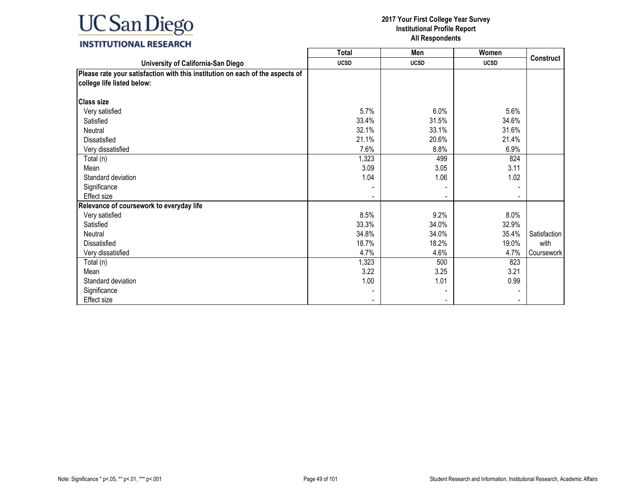### **INSTITUTIONAL RESEARCH**

|                                                                                                             | <b>Total</b> | Men         | Women       |              |
|-------------------------------------------------------------------------------------------------------------|--------------|-------------|-------------|--------------|
| University of California-San Diego                                                                          | <b>UCSD</b>  | <b>UCSD</b> | <b>UCSD</b> | Construct    |
| Please rate your satisfaction with this institution on each of the aspects of<br>college life listed below: |              |             |             |              |
| <b>Class size</b>                                                                                           |              |             |             |              |
| Very satisfied                                                                                              | 5.7%         | 6.0%        | 5.6%        |              |
| Satisfied                                                                                                   | 33.4%        | 31.5%       | 34.6%       |              |
| Neutral                                                                                                     | 32.1%        | 33.1%       | 31.6%       |              |
| Dissatisfied                                                                                                | 21.1%        | 20.6%       | 21.4%       |              |
| Very dissatisfied                                                                                           | 7.6%         | 8.8%        | 6.9%        |              |
| Total (n)                                                                                                   | 1,323        | 499         | 824         |              |
| Mean                                                                                                        | 3.09         | 3.05        | 3.11        |              |
| Standard deviation                                                                                          | 1.04         | 1.06        | 1.02        |              |
| Significance                                                                                                |              |             |             |              |
| Effect size                                                                                                 |              |             |             |              |
| Relevance of coursework to everyday life                                                                    |              |             |             |              |
| Very satisfied                                                                                              | 8.5%         | 9.2%        | 8.0%        |              |
| Satisfied                                                                                                   | 33.3%        | 34.0%       | 32.9%       |              |
| Neutral                                                                                                     | 34.8%        | 34.0%       | 35.4%       | Satisfaction |
| <b>Dissatisfied</b>                                                                                         | 18.7%        | 18.2%       | 19.0%       | with         |
| Very dissatisfied                                                                                           | 4.7%         | 4.6%        | 4.7%        | Coursework   |
| Total (n)                                                                                                   | 1,323        | 500         | 823         |              |
| Mean                                                                                                        | 3.22         | 3.25        | 3.21        |              |
| Standard deviation                                                                                          | 1.00         | 1.01        | 0.99        |              |
| Significance                                                                                                |              |             |             |              |
| Effect size                                                                                                 |              |             |             |              |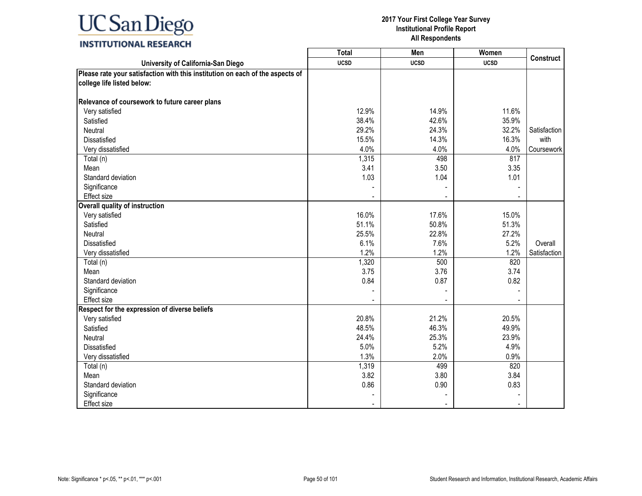|                                                                                                             | Total       | Men         | Women       | <b>Construct</b> |
|-------------------------------------------------------------------------------------------------------------|-------------|-------------|-------------|------------------|
| University of California-San Diego                                                                          | <b>UCSD</b> | <b>UCSD</b> | <b>UCSD</b> |                  |
| Please rate your satisfaction with this institution on each of the aspects of<br>college life listed below: |             |             |             |                  |
| Relevance of coursework to future career plans                                                              |             |             |             |                  |
| Very satisfied                                                                                              | 12.9%       | 14.9%       | 11.6%       |                  |
| Satisfied                                                                                                   | 38.4%       | 42.6%       | 35.9%       |                  |
| Neutral                                                                                                     | 29.2%       | 24.3%       | 32.2%       | Satisfaction     |
| <b>Dissatisfied</b>                                                                                         | 15.5%       | 14.3%       | 16.3%       | with             |
| Very dissatisfied                                                                                           | 4.0%        | 4.0%        | 4.0%        | Coursework       |
| Total (n)                                                                                                   | 1,315       | 498         | 817         |                  |
| Mean                                                                                                        | 3.41        | 3.50        | 3.35        |                  |
| Standard deviation                                                                                          | 1.03        | 1.04        | 1.01        |                  |
| Significance                                                                                                |             |             |             |                  |
| Effect size                                                                                                 |             |             |             |                  |
| Overall quality of instruction                                                                              |             |             |             |                  |
| Very satisfied                                                                                              | 16.0%       | 17.6%       | 15.0%       |                  |
| Satisfied                                                                                                   | 51.1%       | 50.8%       | 51.3%       |                  |
| Neutral                                                                                                     | 25.5%       | 22.8%       | 27.2%       |                  |
| <b>Dissatisfied</b>                                                                                         | 6.1%        | 7.6%        | 5.2%        | Overall          |
| Very dissatisfied                                                                                           | 1.2%        | 1.2%        | 1.2%        | Satisfaction     |
| Total (n)                                                                                                   | 1,320       | 500         | 820         |                  |
| Mean                                                                                                        | 3.75        | 3.76        | 3.74        |                  |
| Standard deviation                                                                                          | 0.84        | 0.87        | 0.82        |                  |
| Significance                                                                                                |             |             |             |                  |
| <b>Effect size</b>                                                                                          |             |             |             |                  |
| Respect for the expression of diverse beliefs                                                               |             |             |             |                  |
| Very satisfied                                                                                              | 20.8%       | 21.2%       | 20.5%       |                  |
| Satisfied                                                                                                   | 48.5%       | 46.3%       | 49.9%       |                  |
| Neutral                                                                                                     | 24.4%       | 25.3%       | 23.9%       |                  |
| Dissatisfied                                                                                                | 5.0%        | 5.2%        | 4.9%        |                  |
| Very dissatisfied                                                                                           | 1.3%        | 2.0%        | 0.9%        |                  |
| Total (n)                                                                                                   | 1,319       | 499         | 820         |                  |
| Mean                                                                                                        | 3.82        | 3.80        | 3.84        |                  |
| Standard deviation                                                                                          | 0.86        | 0.90        | 0.83        |                  |
| Significance                                                                                                |             |             |             |                  |
| Effect size                                                                                                 |             |             |             |                  |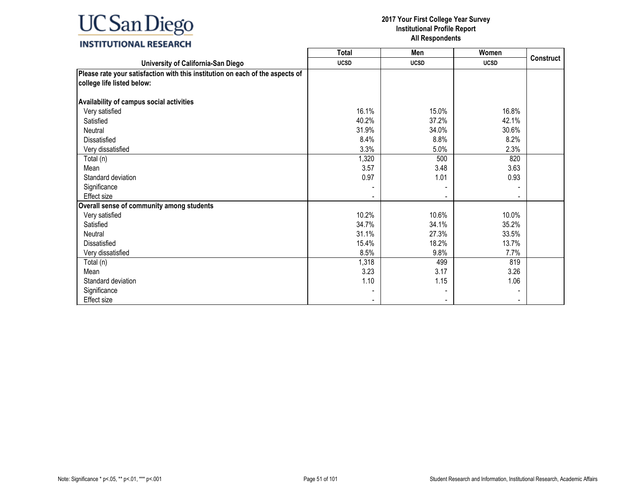### **INSTITUTIONAL RESEARCH**

|                                                                                                             | <b>Total</b> | Men         | Women       |           |
|-------------------------------------------------------------------------------------------------------------|--------------|-------------|-------------|-----------|
| University of California-San Diego                                                                          | <b>UCSD</b>  | <b>UCSD</b> | <b>UCSD</b> | Construct |
| Please rate your satisfaction with this institution on each of the aspects of<br>college life listed below: |              |             |             |           |
| Availability of campus social activities                                                                    |              |             |             |           |
| Very satisfied                                                                                              | 16.1%        | 15.0%       | 16.8%       |           |
| Satisfied                                                                                                   | 40.2%        | 37.2%       | 42.1%       |           |
| Neutral                                                                                                     | 31.9%        | 34.0%       | 30.6%       |           |
| Dissatisfied                                                                                                | 8.4%         | 8.8%        | 8.2%        |           |
| Very dissatisfied                                                                                           | 3.3%         | 5.0%        | 2.3%        |           |
| Total (n)                                                                                                   | 1,320        | 500         | 820         |           |
| Mean                                                                                                        | 3.57         | 3.48        | 3.63        |           |
| Standard deviation                                                                                          | 0.97         | 1.01        | 0.93        |           |
| Significance                                                                                                |              |             |             |           |
| Effect size                                                                                                 |              |             |             |           |
| Overall sense of community among students                                                                   |              |             |             |           |
| Very satisfied                                                                                              | 10.2%        | 10.6%       | 10.0%       |           |
| Satisfied                                                                                                   | 34.7%        | 34.1%       | 35.2%       |           |
| Neutral                                                                                                     | 31.1%        | 27.3%       | 33.5%       |           |
| <b>Dissatisfied</b>                                                                                         | 15.4%        | 18.2%       | 13.7%       |           |
| Very dissatisfied                                                                                           | 8.5%         | 9.8%        | 7.7%        |           |
| Total (n)                                                                                                   | 1,318        | 499         | 819         |           |
| Mean                                                                                                        | 3.23         | 3.17        | 3.26        |           |
| Standard deviation                                                                                          | 1.10         | 1.15        | 1.06        |           |
| Significance                                                                                                |              |             |             |           |
| <b>Effect size</b>                                                                                          |              |             |             |           |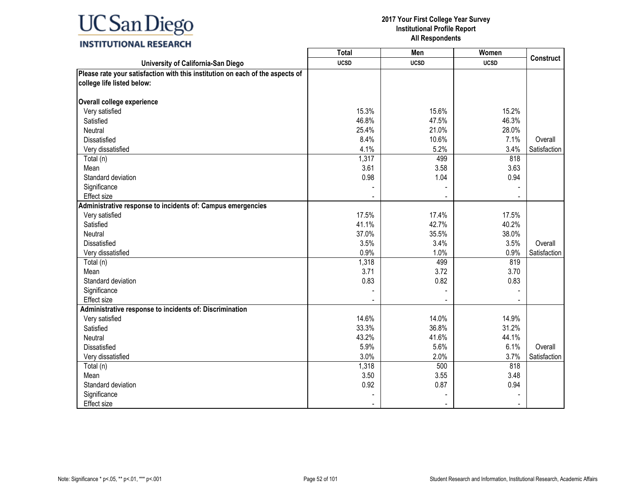### **INSTITUTIONAL RESEARCH**

|                                                                               | <b>Total</b> | Men         | Women       |                  |
|-------------------------------------------------------------------------------|--------------|-------------|-------------|------------------|
| University of California-San Diego                                            | <b>UCSD</b>  | <b>UCSD</b> | <b>UCSD</b> | <b>Construct</b> |
| Please rate your satisfaction with this institution on each of the aspects of |              |             |             |                  |
| college life listed below:                                                    |              |             |             |                  |
|                                                                               |              |             |             |                  |
| Overall college experience                                                    |              |             |             |                  |
| Very satisfied                                                                | 15.3%        | 15.6%       | 15.2%       |                  |
| Satisfied                                                                     | 46.8%        | 47.5%       | 46.3%       |                  |
| Neutral                                                                       | 25.4%        | 21.0%       | 28.0%       |                  |
| Dissatisfied                                                                  | 8.4%         | 10.6%       | 7.1%        | Overall          |
| Very dissatisfied                                                             | 4.1%         | 5.2%        | 3.4%        | Satisfaction     |
| Total (n)                                                                     | 1,317        | 499         | 818         |                  |
| Mean                                                                          | 3.61         | 3.58        | 3.63        |                  |
| Standard deviation                                                            | 0.98         | 1.04        | 0.94        |                  |
| Significance                                                                  |              |             |             |                  |
| Effect size                                                                   |              |             |             |                  |
| Administrative response to incidents of: Campus emergencies                   |              |             |             |                  |
| Very satisfied                                                                | 17.5%        | 17.4%       | 17.5%       |                  |
| Satisfied                                                                     | 41.1%        | 42.7%       | 40.2%       |                  |
| Neutral                                                                       | 37.0%        | 35.5%       | 38.0%       |                  |
| Dissatisfied                                                                  | 3.5%         | 3.4%        | 3.5%        | Overall          |
| Very dissatisfied                                                             | 0.9%         | 1.0%        | 0.9%        | Satisfaction     |
| Total (n)                                                                     | 1,318        | 499         | 819         |                  |
| Mean                                                                          | 3.71         | 3.72        | 3.70        |                  |
| Standard deviation                                                            | 0.83         | 0.82        | 0.83        |                  |
| Significance                                                                  |              |             |             |                  |
| <b>Effect size</b>                                                            |              |             |             |                  |
| Administrative response to incidents of: Discrimination                       |              |             |             |                  |
| Very satisfied                                                                | 14.6%        | 14.0%       | 14.9%       |                  |
| Satisfied                                                                     | 33.3%        | 36.8%       | 31.2%       |                  |
| Neutral                                                                       | 43.2%        | 41.6%       | 44.1%       |                  |
| Dissatisfied                                                                  | 5.9%         | 5.6%        | 6.1%        | Overall          |
| Very dissatisfied                                                             | 3.0%         | 2.0%        | 3.7%        | Satisfaction     |
| Total (n)                                                                     | 1,318        | 500         | 818         |                  |
| Mean                                                                          | 3.50         | 3.55        | 3.48        |                  |
| Standard deviation                                                            | 0.92         | 0.87        | 0.94        |                  |
| Significance                                                                  |              |             |             |                  |
| Effect size                                                                   |              |             |             |                  |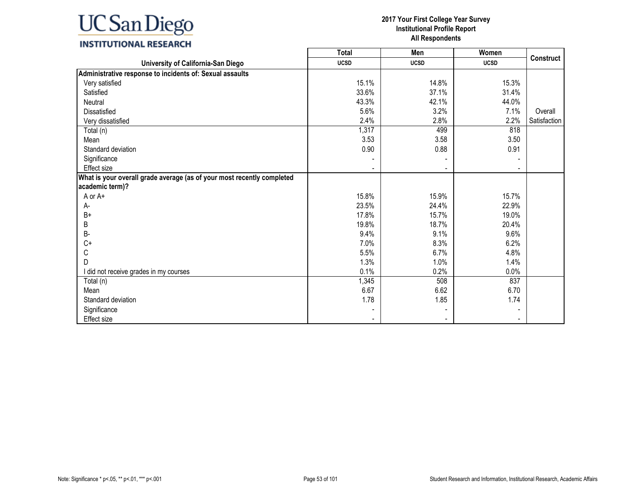### **INSTITUTIONAL RESEARCH**

|                                                                        | Total       | Men         | Women       |                  |
|------------------------------------------------------------------------|-------------|-------------|-------------|------------------|
| University of California-San Diego                                     | <b>UCSD</b> | <b>UCSD</b> | <b>UCSD</b> | <b>Construct</b> |
| Administrative response to incidents of: Sexual assaults               |             |             |             |                  |
| Very satisfied                                                         | 15.1%       | 14.8%       | 15.3%       |                  |
| Satisfied                                                              | 33.6%       | 37.1%       | 31.4%       |                  |
| Neutral                                                                | 43.3%       | 42.1%       | 44.0%       |                  |
| <b>Dissatisfied</b>                                                    | 5.6%        | 3.2%        | 7.1%        | Overall          |
| Very dissatisfied                                                      | 2.4%        | 2.8%        | 2.2%        | Satisfaction     |
| Total (n)                                                              | 1,317       | 499         | 818         |                  |
| Mean                                                                   | 3.53        | 3.58        | 3.50        |                  |
| Standard deviation                                                     | 0.90        | 0.88        | 0.91        |                  |
| Significance                                                           |             |             |             |                  |
| <b>Effect size</b>                                                     |             |             |             |                  |
| What is your overall grade average (as of your most recently completed |             |             |             |                  |
| academic term)?                                                        |             |             |             |                  |
| A or A+                                                                | 15.8%       | 15.9%       | 15.7%       |                  |
| А-                                                                     | 23.5%       | 24.4%       | 22.9%       |                  |
| $B+$                                                                   | 17.8%       | 15.7%       | 19.0%       |                  |
| B                                                                      | 19.8%       | 18.7%       | 20.4%       |                  |
| <b>B-</b>                                                              | 9.4%        | 9.1%        | 9.6%        |                  |
| $C+$                                                                   | 7.0%        | 8.3%        | 6.2%        |                  |
| С                                                                      | 5.5%        | 6.7%        | 4.8%        |                  |
| D                                                                      | 1.3%        | 1.0%        | 1.4%        |                  |
| I did not receive grades in my courses                                 | 0.1%        | 0.2%        | 0.0%        |                  |
| Total (n)                                                              | 1,345       | 508         | 837         |                  |
| Mean                                                                   | 6.67        | 6.62        | 6.70        |                  |
| Standard deviation                                                     | 1.78        | 1.85        | 1.74        |                  |
| Significance                                                           |             |             |             |                  |
| Effect size                                                            |             |             |             |                  |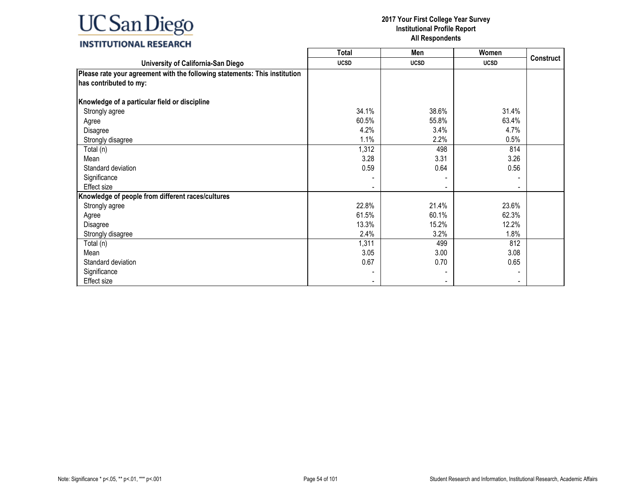### **INSTITUTIONAL RESEARCH**

|                                                                                                      | <b>Total</b> | Men         | Women       |                  |
|------------------------------------------------------------------------------------------------------|--------------|-------------|-------------|------------------|
| University of California-San Diego                                                                   | <b>UCSD</b>  | <b>UCSD</b> | <b>UCSD</b> | <b>Construct</b> |
| Please rate your agreement with the following statements: This institution<br>has contributed to my: |              |             |             |                  |
| Knowledge of a particular field or discipline                                                        |              |             |             |                  |
| Strongly agree                                                                                       | 34.1%        | 38.6%       | 31.4%       |                  |
| Agree                                                                                                | 60.5%        | 55.8%       | 63.4%       |                  |
| Disagree                                                                                             | 4.2%         | 3.4%        | 4.7%        |                  |
| Strongly disagree                                                                                    | 1.1%         | 2.2%        | 0.5%        |                  |
| Total (n)                                                                                            | 1,312        | 498         | 814         |                  |
| Mean                                                                                                 | 3.28         | 3.31        | 3.26        |                  |
| Standard deviation                                                                                   | 0.59         | 0.64        | 0.56        |                  |
| Significance                                                                                         |              |             |             |                  |
| Effect size                                                                                          |              |             |             |                  |
| Knowledge of people from different races/cultures                                                    |              |             |             |                  |
| Strongly agree                                                                                       | 22.8%        | 21.4%       | 23.6%       |                  |
| Agree                                                                                                | 61.5%        | 60.1%       | 62.3%       |                  |
| Disagree                                                                                             | 13.3%        | 15.2%       | 12.2%       |                  |
| Strongly disagree                                                                                    | 2.4%         | 3.2%        | 1.8%        |                  |
| Total (n)                                                                                            | 1,311        | 499         | 812         |                  |
| Mean                                                                                                 | 3.05         | 3.00        | 3.08        |                  |
| Standard deviation                                                                                   | 0.67         | 0.70        | 0.65        |                  |
| Significance                                                                                         |              |             |             |                  |
| Effect size                                                                                          |              |             |             |                  |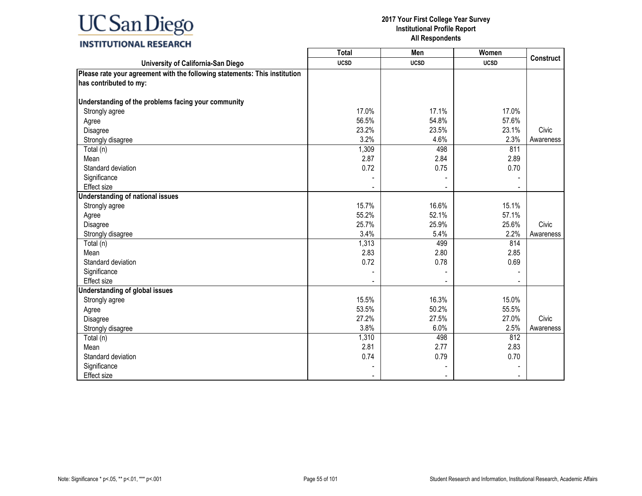### **INSTITUTIONAL RESEARCH**

|                                                                            | <b>Total</b> | Men         | Women       |                  |
|----------------------------------------------------------------------------|--------------|-------------|-------------|------------------|
| University of California-San Diego                                         | <b>UCSD</b>  | <b>UCSD</b> | <b>UCSD</b> | <b>Construct</b> |
| Please rate your agreement with the following statements: This institution |              |             |             |                  |
| has contributed to my:                                                     |              |             |             |                  |
|                                                                            |              |             |             |                  |
| Understanding of the problems facing your community                        |              |             |             |                  |
| Strongly agree                                                             | 17.0%        | 17.1%       | 17.0%       |                  |
| Agree                                                                      | 56.5%        | 54.8%       | 57.6%       |                  |
| Disagree                                                                   | 23.2%        | 23.5%       | 23.1%       | Civic            |
| Strongly disagree                                                          | 3.2%         | 4.6%        | 2.3%        | Awareness        |
| Total (n)                                                                  | 1,309        | 498         | 811         |                  |
| Mean                                                                       | 2.87         | 2.84        | 2.89        |                  |
| Standard deviation                                                         | 0.72         | 0.75        | 0.70        |                  |
| Significance                                                               |              |             |             |                  |
| Effect size                                                                |              |             |             |                  |
| <b>Understanding of national issues</b>                                    |              |             |             |                  |
| Strongly agree                                                             | 15.7%        | 16.6%       | 15.1%       |                  |
| Agree                                                                      | 55.2%        | 52.1%       | 57.1%       |                  |
| Disagree                                                                   | 25.7%        | 25.9%       | 25.6%       | Civic            |
| Strongly disagree                                                          | 3.4%         | 5.4%        | 2.2%        | Awareness        |
| Total (n)                                                                  | 1,313        | 499         | 814         |                  |
| Mean                                                                       | 2.83         | 2.80        | 2.85        |                  |
| Standard deviation                                                         | 0.72         | 0.78        | 0.69        |                  |
| Significance                                                               |              |             |             |                  |
| Effect size                                                                |              |             |             |                  |
| <b>Understanding of global issues</b>                                      |              |             |             |                  |
| Strongly agree                                                             | 15.5%        | 16.3%       | 15.0%       |                  |
| Agree                                                                      | 53.5%        | 50.2%       | 55.5%       |                  |
| Disagree                                                                   | 27.2%        | 27.5%       | 27.0%       | Civic            |
| Strongly disagree                                                          | 3.8%         | 6.0%        | 2.5%        | Awareness        |
| Total (n)                                                                  | 1,310        | 498         | 812         |                  |
| Mean                                                                       | 2.81         | 2.77        | 2.83        |                  |
| Standard deviation                                                         | 0.74         | 0.79        | 0.70        |                  |
| Significance                                                               |              |             |             |                  |
| <b>Effect size</b>                                                         |              |             |             |                  |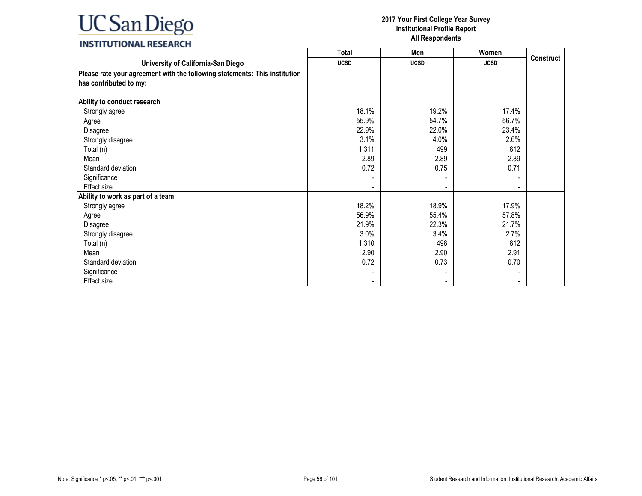### **INSTITUTIONAL RESEARCH**

|                                                                            | <b>Total</b> | Men         | Women       |           |
|----------------------------------------------------------------------------|--------------|-------------|-------------|-----------|
| University of California-San Diego                                         | <b>UCSD</b>  | <b>UCSD</b> | <b>UCSD</b> | Construct |
| Please rate your agreement with the following statements: This institution |              |             |             |           |
| has contributed to my:                                                     |              |             |             |           |
|                                                                            |              |             |             |           |
| Ability to conduct research                                                |              |             |             |           |
| Strongly agree                                                             | 18.1%        | 19.2%       | 17.4%       |           |
| Agree                                                                      | 55.9%        | 54.7%       | 56.7%       |           |
| Disagree                                                                   | 22.9%        | 22.0%       | 23.4%       |           |
| Strongly disagree                                                          | 3.1%         | 4.0%        | 2.6%        |           |
| Total (n)                                                                  | 1,311        | 499         | 812         |           |
| Mean                                                                       | 2.89         | 2.89        | 2.89        |           |
| Standard deviation                                                         | 0.72         | 0.75        | 0.71        |           |
| Significance                                                               |              |             |             |           |
| Effect size                                                                |              |             |             |           |
| Ability to work as part of a team                                          |              |             |             |           |
| Strongly agree                                                             | 18.2%        | 18.9%       | 17.9%       |           |
| Agree                                                                      | 56.9%        | 55.4%       | 57.8%       |           |
| Disagree                                                                   | 21.9%        | 22.3%       | 21.7%       |           |
| Strongly disagree                                                          | 3.0%         | 3.4%        | 2.7%        |           |
| Total (n)                                                                  | 1,310        | 498         | 812         |           |
| Mean                                                                       | 2.90         | 2.90        | 2.91        |           |
| Standard deviation                                                         | 0.72         | 0.73        | 0.70        |           |
| Significance                                                               |              |             |             |           |
| Effect size                                                                |              |             |             |           |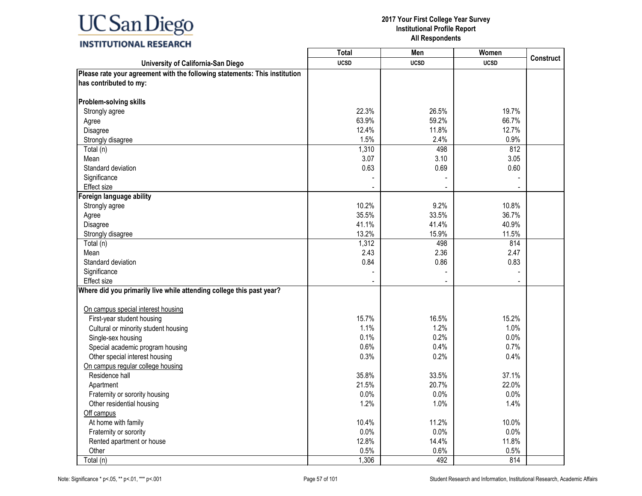### **INSTITUTIONAL RESEARCH**

|                                                                            | <b>Total</b> | Men         | Women       |                  |
|----------------------------------------------------------------------------|--------------|-------------|-------------|------------------|
| University of California-San Diego                                         | <b>UCSD</b>  | <b>UCSD</b> | <b>UCSD</b> | <b>Construct</b> |
| Please rate your agreement with the following statements: This institution |              |             |             |                  |
| has contributed to my:                                                     |              |             |             |                  |
| Problem-solving skills                                                     |              |             |             |                  |
| Strongly agree                                                             | 22.3%        | 26.5%       | 19.7%       |                  |
| Agree                                                                      | 63.9%        | 59.2%       | 66.7%       |                  |
| Disagree                                                                   | 12.4%        | 11.8%       | 12.7%       |                  |
| Strongly disagree                                                          | 1.5%         | 2.4%        | 0.9%        |                  |
| Total (n)                                                                  | 1,310        | 498         | 812         |                  |
| Mean                                                                       | 3.07         | 3.10        | 3.05        |                  |
| Standard deviation                                                         | 0.63         | 0.69        | 0.60        |                  |
| Significance                                                               |              |             |             |                  |
| Effect size                                                                |              |             |             |                  |
| Foreign language ability                                                   |              |             |             |                  |
| Strongly agree                                                             | 10.2%        | 9.2%        | 10.8%       |                  |
| Agree                                                                      | 35.5%        | 33.5%       | 36.7%       |                  |
| Disagree                                                                   | 41.1%        | 41.4%       | 40.9%       |                  |
| Strongly disagree                                                          | 13.2%        | 15.9%       | 11.5%       |                  |
| Total (n)                                                                  | 1,312        | 498         | 814         |                  |
| Mean                                                                       | 2.43         | 2.36        | 2.47        |                  |
| Standard deviation                                                         | 0.84         | 0.86        | 0.83        |                  |
| Significance                                                               |              |             |             |                  |
| Effect size                                                                |              |             |             |                  |
| Where did you primarily live while attending college this past year?       |              |             |             |                  |
|                                                                            |              |             |             |                  |
| On campus special interest housing                                         |              |             |             |                  |
| First-year student housing                                                 | 15.7%        | 16.5%       | 15.2%       |                  |
| Cultural or minority student housing                                       | 1.1%         | 1.2%        | 1.0%        |                  |
| Single-sex housing                                                         | 0.1%         | 0.2%        | 0.0%        |                  |
| Special academic program housing                                           | 0.6%         | 0.4%        | 0.7%        |                  |
| Other special interest housing                                             | 0.3%         | 0.2%        | 0.4%        |                  |
| On campus regular college housing                                          |              |             |             |                  |
| Residence hall                                                             | 35.8%        | 33.5%       | 37.1%       |                  |
| Apartment                                                                  | 21.5%        | 20.7%       | 22.0%       |                  |
| Fraternity or sorority housing                                             | $0.0\%$      | $0.0\%$     | 0.0%        |                  |
| Other residential housing                                                  | 1.2%         | 1.0%        | 1.4%        |                  |
| Off campus                                                                 |              |             |             |                  |
| At home with family                                                        | 10.4%        | 11.2%       | 10.0%       |                  |
| Fraternity or sorority                                                     | 0.0%         | 0.0%        | 0.0%        |                  |
| Rented apartment or house                                                  | 12.8%        | 14.4%       | 11.8%       |                  |
| Other                                                                      | 0.5%         | 0.6%        | 0.5%        |                  |
| Total (n)                                                                  | 1,306        | 492         | 814         |                  |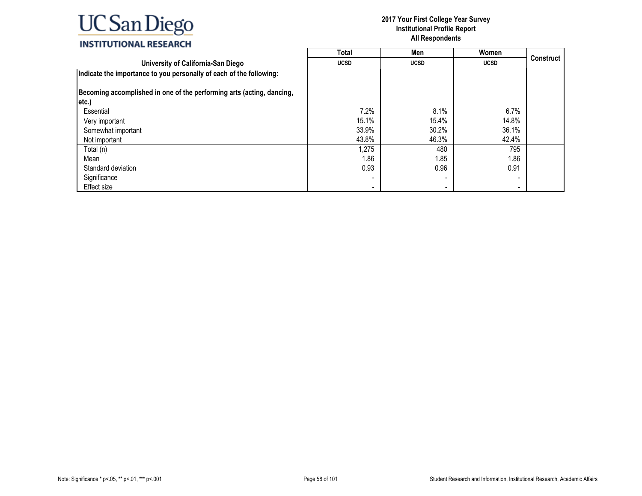|                                                                       | Total                    | Men         | Women          |                  |
|-----------------------------------------------------------------------|--------------------------|-------------|----------------|------------------|
| University of California-San Diego                                    | <b>UCSD</b>              | <b>UCSD</b> | <b>UCSD</b>    | <b>Construct</b> |
| Indicate the importance to you personally of each of the following:   |                          |             |                |                  |
| Becoming accomplished in one of the performing arts (acting, dancing, |                          |             |                |                  |
| etc.)                                                                 |                          |             |                |                  |
| Essential                                                             | 7.2%                     | 8.1%        | 6.7%           |                  |
| Very important                                                        | 15.1%                    | 15.4%       | 14.8%          |                  |
| Somewhat important                                                    | 33.9%                    | 30.2%       | 36.1%          |                  |
| Not important                                                         | 43.8%                    | 46.3%       | 42.4%          |                  |
| Total (n)                                                             | 1,275                    | 480         | 795            |                  |
| Mean                                                                  | 1.86                     | 1.85        | 1.86           |                  |
| Standard deviation                                                    | 0.93                     | 0.96        | 0.91           |                  |
| Significance                                                          |                          |             |                |                  |
| Effect size                                                           | $\overline{\phantom{a}}$ |             | $\blacksquare$ |                  |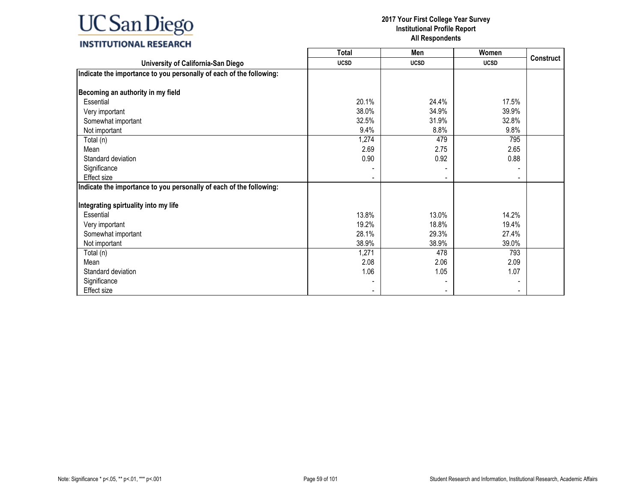|                                                                     | Total       | Men         | Women       |                  |
|---------------------------------------------------------------------|-------------|-------------|-------------|------------------|
| University of California-San Diego                                  | <b>UCSD</b> | <b>UCSD</b> | <b>UCSD</b> | <b>Construct</b> |
| Indicate the importance to you personally of each of the following: |             |             |             |                  |
|                                                                     |             |             |             |                  |
| Becoming an authority in my field                                   |             |             |             |                  |
| Essential                                                           | 20.1%       | 24.4%       | 17.5%       |                  |
| Very important                                                      | 38.0%       | 34.9%       | 39.9%       |                  |
| Somewhat important                                                  | 32.5%       | 31.9%       | 32.8%       |                  |
| Not important                                                       | 9.4%        | 8.8%        | 9.8%        |                  |
| Total (n)                                                           | 1,274       | 479         | 795         |                  |
| Mean                                                                | 2.69        | 2.75        | 2.65        |                  |
| Standard deviation                                                  | 0.90        | 0.92        | 0.88        |                  |
| Significance                                                        |             |             |             |                  |
| Effect size                                                         |             |             |             |                  |
| Indicate the importance to you personally of each of the following: |             |             |             |                  |
|                                                                     |             |             |             |                  |
| Integrating spirtuality into my life                                |             |             |             |                  |
| Essential                                                           | 13.8%       | 13.0%       | 14.2%       |                  |
| Very important                                                      | 19.2%       | 18.8%       | 19.4%       |                  |
| Somewhat important                                                  | 28.1%       | 29.3%       | 27.4%       |                  |
| Not important                                                       | 38.9%       | 38.9%       | 39.0%       |                  |
| Total (n)                                                           | 1,271       | 478         | 793         |                  |
| Mean                                                                | 2.08        | 2.06        | 2.09        |                  |
| Standard deviation                                                  | 1.06        | 1.05        | 1.07        |                  |
| Significance                                                        |             |             |             |                  |
| Effect size                                                         |             |             |             |                  |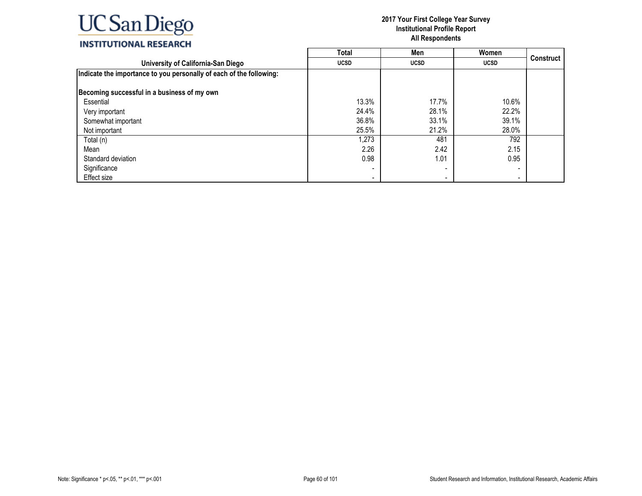|                                                                     | <b>Total</b>             | Men         | Women                    |                  |
|---------------------------------------------------------------------|--------------------------|-------------|--------------------------|------------------|
| University of California-San Diego                                  | <b>UCSD</b>              | <b>UCSD</b> | <b>UCSD</b>              | <b>Construct</b> |
| Indicate the importance to you personally of each of the following: |                          |             |                          |                  |
| Becoming successful in a business of my own                         |                          |             |                          |                  |
| Essential                                                           | 13.3%                    | 17.7%       | 10.6%                    |                  |
| Very important                                                      | 24.4%                    | 28.1%       | 22.2%                    |                  |
| Somewhat important                                                  | 36.8%                    | 33.1%       | 39.1%                    |                  |
| Not important                                                       | 25.5%                    | 21.2%       | 28.0%                    |                  |
| Total (n)                                                           | 1,273                    | 481         | 792                      |                  |
| Mean                                                                | 2.26                     | 2.42        | 2.15                     |                  |
| Standard deviation                                                  | 0.98                     | 1.01        | 0.95                     |                  |
| Significance                                                        |                          |             |                          |                  |
| Effect size                                                         | $\overline{\phantom{a}}$ |             | $\overline{\phantom{0}}$ |                  |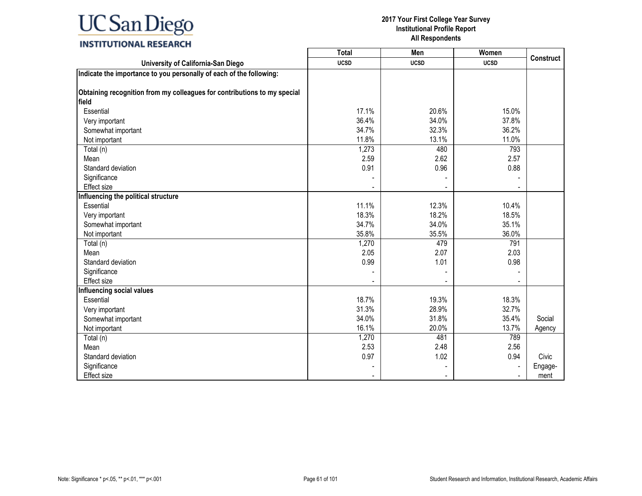|                                                                          | <b>Total</b> | Men         | Women       |                  |
|--------------------------------------------------------------------------|--------------|-------------|-------------|------------------|
| University of California-San Diego                                       | <b>UCSD</b>  | <b>UCSD</b> | <b>UCSD</b> | <b>Construct</b> |
| Indicate the importance to you personally of each of the following:      |              |             |             |                  |
|                                                                          |              |             |             |                  |
| Obtaining recognition from my colleagues for contributions to my special |              |             |             |                  |
| field                                                                    |              |             |             |                  |
| Essential                                                                | 17.1%        | 20.6%       | 15.0%       |                  |
| Very important                                                           | 36.4%        | 34.0%       | 37.8%       |                  |
| Somewhat important                                                       | 34.7%        | 32.3%       | 36.2%       |                  |
| Not important                                                            | 11.8%        | 13.1%       | 11.0%       |                  |
| Total (n)                                                                | 1,273        | 480         | 793         |                  |
| Mean                                                                     | 2.59         | 2.62        | 2.57        |                  |
| Standard deviation                                                       | 0.91         | 0.96        | 0.88        |                  |
| Significance                                                             |              |             |             |                  |
| Effect size                                                              |              |             |             |                  |
| Influencing the political structure                                      |              |             |             |                  |
| Essential                                                                | 11.1%        | 12.3%       | 10.4%       |                  |
| Very important                                                           | 18.3%        | 18.2%       | 18.5%       |                  |
| Somewhat important                                                       | 34.7%        | 34.0%       | 35.1%       |                  |
| Not important                                                            | 35.8%        | 35.5%       | 36.0%       |                  |
| Total (n)                                                                | 1,270        | 479         | 791         |                  |
| Mean                                                                     | 2.05         | 2.07        | 2.03        |                  |
| Standard deviation                                                       | 0.99         | 1.01        | 0.98        |                  |
| Significance                                                             |              |             |             |                  |
| Effect size                                                              |              |             |             |                  |
| Influencing social values                                                |              |             |             |                  |
| Essential                                                                | 18.7%        | 19.3%       | 18.3%       |                  |
| Very important                                                           | 31.3%        | 28.9%       | 32.7%       |                  |
| Somewhat important                                                       | 34.0%        | 31.8%       | 35.4%       | Social           |
| Not important                                                            | 16.1%        | 20.0%       | 13.7%       | Agency           |
| Total (n)                                                                | 1,270        | 481         | 789         |                  |
| Mean                                                                     | 2.53         | 2.48        | 2.56        |                  |
| Standard deviation                                                       | 0.97         | 1.02        | 0.94        | Civic            |
| Significance                                                             |              |             |             | Engage-          |
| Effect size                                                              |              |             |             | ment             |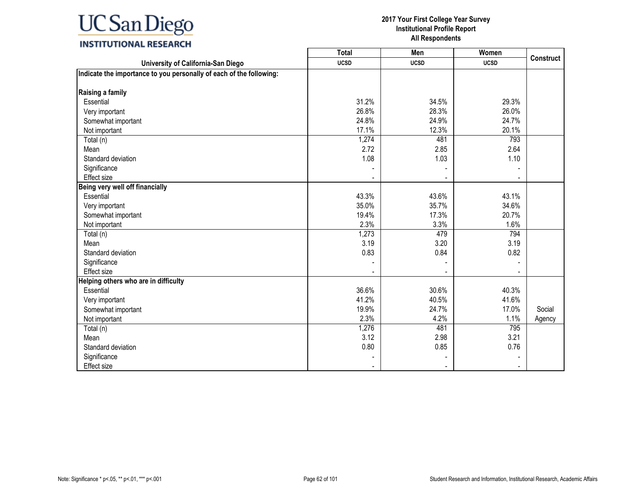|                                                                     | <b>Total</b> | Men         | Women       |                  |
|---------------------------------------------------------------------|--------------|-------------|-------------|------------------|
| University of California-San Diego                                  | <b>UCSD</b>  | <b>UCSD</b> | <b>UCSD</b> | <b>Construct</b> |
| Indicate the importance to you personally of each of the following: |              |             |             |                  |
|                                                                     |              |             |             |                  |
| Raising a family                                                    |              |             |             |                  |
| Essential                                                           | 31.2%        | 34.5%       | 29.3%       |                  |
| Very important                                                      | 26.8%        | 28.3%       | 26.0%       |                  |
| Somewhat important                                                  | 24.8%        | 24.9%       | 24.7%       |                  |
| Not important                                                       | 17.1%        | 12.3%       | 20.1%       |                  |
| Total (n)                                                           | 1,274        | 481         | 793         |                  |
| Mean                                                                | 2.72         | 2.85        | 2.64        |                  |
| Standard deviation                                                  | 1.08         | 1.03        | 1.10        |                  |
| Significance                                                        |              |             |             |                  |
| Effect size                                                         |              |             |             |                  |
| Being very well off financially                                     |              |             |             |                  |
| Essential                                                           | 43.3%        | 43.6%       | 43.1%       |                  |
| Very important                                                      | 35.0%        | 35.7%       | 34.6%       |                  |
| Somewhat important                                                  | 19.4%        | 17.3%       | 20.7%       |                  |
| Not important                                                       | 2.3%         | 3.3%        | 1.6%        |                  |
| Total (n)                                                           | 1,273        | 479         | 794         |                  |
| Mean                                                                | 3.19         | 3.20        | 3.19        |                  |
| Standard deviation                                                  | 0.83         | 0.84        | 0.82        |                  |
| Significance                                                        |              |             |             |                  |
| Effect size                                                         |              |             |             |                  |
| Helping others who are in difficulty                                |              |             |             |                  |
| Essential                                                           | 36.6%        | 30.6%       | 40.3%       |                  |
| Very important                                                      | 41.2%        | 40.5%       | 41.6%       |                  |
| Somewhat important                                                  | 19.9%        | 24.7%       | 17.0%       | Social           |
| Not important                                                       | 2.3%         | 4.2%        | 1.1%        | Agency           |
| Total (n)                                                           | 1,276        | 481         | 795         |                  |
| Mean                                                                | 3.12         | 2.98        | 3.21        |                  |
| Standard deviation                                                  | 0.80         | 0.85        | 0.76        |                  |
| Significance                                                        |              |             |             |                  |
| <b>Effect size</b>                                                  |              |             |             |                  |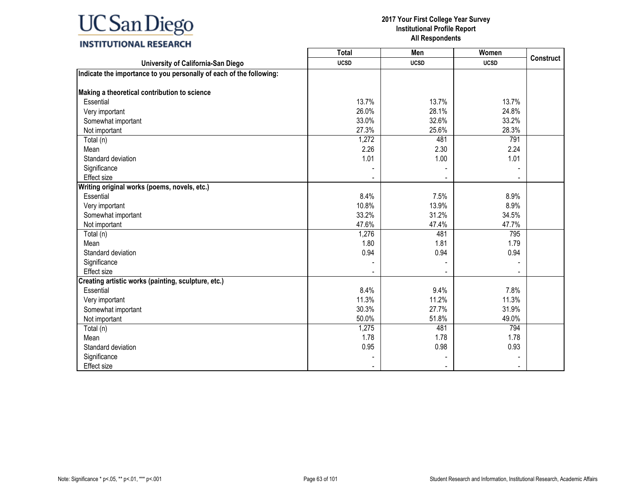|                                                                     | <b>Total</b> | Men         | Women       |                  |
|---------------------------------------------------------------------|--------------|-------------|-------------|------------------|
| University of California-San Diego                                  | <b>UCSD</b>  | <b>UCSD</b> | <b>UCSD</b> | <b>Construct</b> |
| Indicate the importance to you personally of each of the following: |              |             |             |                  |
|                                                                     |              |             |             |                  |
| Making a theoretical contribution to science                        |              |             |             |                  |
| Essential                                                           | 13.7%        | 13.7%       | 13.7%       |                  |
| Very important                                                      | 26.0%        | 28.1%       | 24.8%       |                  |
| Somewhat important                                                  | 33.0%        | 32.6%       | 33.2%       |                  |
| Not important                                                       | 27.3%        | 25.6%       | 28.3%       |                  |
| Total (n)                                                           | 1,272        | 481         | 791         |                  |
| Mean                                                                | 2.26         | 2.30        | 2.24        |                  |
| Standard deviation                                                  | 1.01         | 1.00        | 1.01        |                  |
| Significance                                                        |              |             |             |                  |
| Effect size                                                         |              |             |             |                  |
| Writing original works (poems, novels, etc.)                        |              |             |             |                  |
| Essential                                                           | 8.4%         | 7.5%        | 8.9%        |                  |
| Very important                                                      | 10.8%        | 13.9%       | 8.9%        |                  |
| Somewhat important                                                  | 33.2%        | 31.2%       | 34.5%       |                  |
| Not important                                                       | 47.6%        | 47.4%       | 47.7%       |                  |
| Total (n)                                                           | 1,276        | 481         | 795         |                  |
| Mean                                                                | 1.80         | 1.81        | 1.79        |                  |
| Standard deviation                                                  | 0.94         | 0.94        | 0.94        |                  |
| Significance                                                        |              |             |             |                  |
| Effect size                                                         |              |             |             |                  |
| Creating artistic works (painting, sculpture, etc.)                 |              |             |             |                  |
| Essential                                                           | 8.4%         | 9.4%        | 7.8%        |                  |
| Very important                                                      | 11.3%        | 11.2%       | 11.3%       |                  |
| Somewhat important                                                  | 30.3%        | 27.7%       | 31.9%       |                  |
| Not important                                                       | 50.0%        | 51.8%       | 49.0%       |                  |
| Total (n)                                                           | 1,275        | 481         | 794         |                  |
| Mean                                                                | 1.78         | 1.78        | 1.78        |                  |
| Standard deviation                                                  | 0.95         | 0.98        | 0.93        |                  |
| Significance                                                        |              |             |             |                  |
| <b>Effect size</b>                                                  |              |             |             |                  |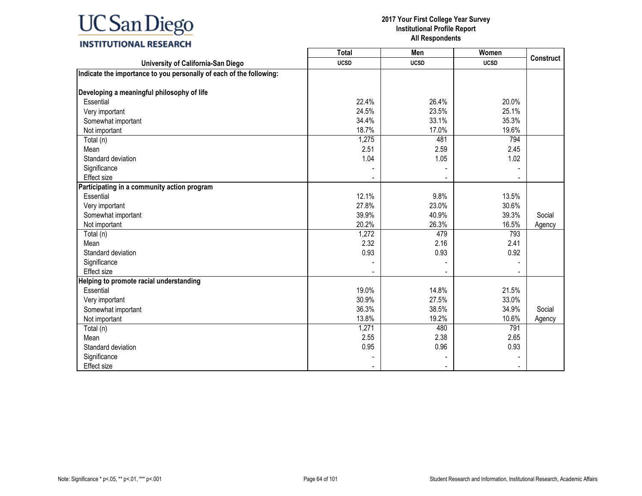|                                                                     | <b>Total</b> | Men         | Women       |                  |
|---------------------------------------------------------------------|--------------|-------------|-------------|------------------|
| University of California-San Diego                                  | <b>UCSD</b>  | <b>UCSD</b> | <b>UCSD</b> | <b>Construct</b> |
| Indicate the importance to you personally of each of the following: |              |             |             |                  |
|                                                                     |              |             |             |                  |
| Developing a meaningful philosophy of life                          |              |             |             |                  |
| Essential                                                           | 22.4%        | 26.4%       | 20.0%       |                  |
| Very important                                                      | 24.5%        | 23.5%       | 25.1%       |                  |
| Somewhat important                                                  | 34.4%        | 33.1%       | 35.3%       |                  |
| Not important                                                       | 18.7%        | 17.0%       | 19.6%       |                  |
| Total (n)                                                           | 1,275        | 481         | 794         |                  |
| Mean                                                                | 2.51         | 2.59        | 2.45        |                  |
| Standard deviation                                                  | 1.04         | 1.05        | 1.02        |                  |
| Significance                                                        |              |             |             |                  |
| <b>Effect size</b>                                                  |              |             |             |                  |
| Participating in a community action program                         |              |             |             |                  |
| Essential                                                           | 12.1%        | 9.8%        | 13.5%       |                  |
| Very important                                                      | 27.8%        | 23.0%       | 30.6%       |                  |
| Somewhat important                                                  | 39.9%        | 40.9%       | 39.3%       | Social           |
| Not important                                                       | 20.2%        | 26.3%       | 16.5%       | Agency           |
| Total (n)                                                           | 1,272        | 479         | 793         |                  |
| Mean                                                                | 2.32         | 2.16        | 2.41        |                  |
| Standard deviation                                                  | 0.93         | 0.93        | 0.92        |                  |
| Significance                                                        |              |             |             |                  |
| Effect size                                                         |              |             |             |                  |
| Helping to promote racial understanding                             |              |             |             |                  |
| Essential                                                           | 19.0%        | 14.8%       | 21.5%       |                  |
| Very important                                                      | 30.9%        | 27.5%       | 33.0%       |                  |
| Somewhat important                                                  | 36.3%        | 38.5%       | 34.9%       | Social           |
| Not important                                                       | 13.8%        | 19.2%       | 10.6%       | Agency           |
| Total (n)                                                           | 1,271        | 480         | 791         |                  |
| Mean                                                                | 2.55         | 2.38        | 2.65        |                  |
| Standard deviation                                                  | 0.95         | 0.96        | 0.93        |                  |
| Significance                                                        |              |             |             |                  |
| Effect size                                                         |              |             |             |                  |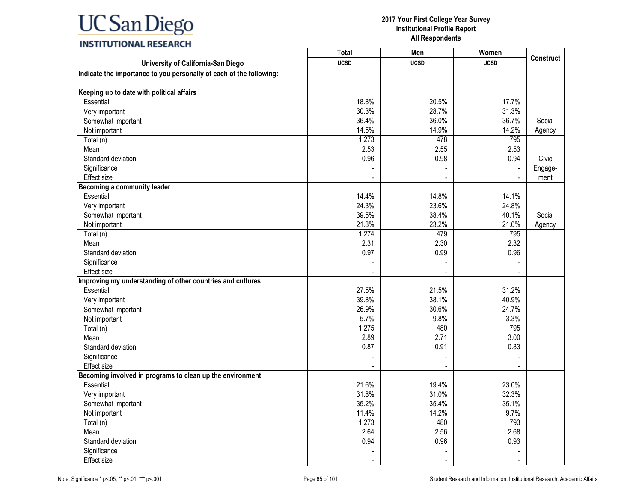|                                                                     | <b>Total</b> | Men         | Women       |                  |
|---------------------------------------------------------------------|--------------|-------------|-------------|------------------|
| University of California-San Diego                                  | <b>UCSD</b>  | <b>UCSD</b> | <b>UCSD</b> | <b>Construct</b> |
| Indicate the importance to you personally of each of the following: |              |             |             |                  |
|                                                                     |              |             |             |                  |
| Keeping up to date with political affairs                           |              |             |             |                  |
| Essential                                                           | 18.8%        | 20.5%       | 17.7%       |                  |
| Very important                                                      | 30.3%        | 28.7%       | 31.3%       |                  |
| Somewhat important                                                  | 36.4%        | 36.0%       | 36.7%       | Social           |
| Not important                                                       | 14.5%        | 14.9%       | 14.2%       | Agency           |
| Total (n)                                                           | 1,273        | 478         | 795         |                  |
| Mean                                                                | 2.53         | 2.55        | 2.53        |                  |
| Standard deviation                                                  | 0.96         | 0.98        | 0.94        | Civic            |
| Significance                                                        |              |             |             | Engage-          |
| Effect size                                                         |              |             |             | ment             |
| <b>Becoming a community leader</b>                                  |              |             |             |                  |
| Essential                                                           | 14.4%        | 14.8%       | 14.1%       |                  |
| Very important                                                      | 24.3%        | 23.6%       | 24.8%       |                  |
| Somewhat important                                                  | 39.5%        | 38.4%       | 40.1%       | Social           |
| Not important                                                       | 21.8%        | 23.2%       | 21.0%       | Agency           |
| Total (n)                                                           | 1,274        | 479         | 795         |                  |
| Mean                                                                | 2.31         | 2.30        | 2.32        |                  |
| Standard deviation                                                  | 0.97         | 0.99        | 0.96        |                  |
| Significance                                                        |              |             |             |                  |
| <b>Effect size</b>                                                  |              |             |             |                  |
| Improving my understanding of other countries and cultures          |              |             |             |                  |
| Essential                                                           | 27.5%        | 21.5%       | 31.2%       |                  |
| Very important                                                      | 39.8%        | 38.1%       | 40.9%       |                  |
| Somewhat important                                                  | 26.9%        | 30.6%       | 24.7%       |                  |
| Not important                                                       | 5.7%         | 9.8%        | 3.3%        |                  |
| Total (n)                                                           | 1,275        | 480         | 795         |                  |
| Mean                                                                | 2.89         | 2.71        | 3.00        |                  |
| Standard deviation                                                  | 0.87         | 0.91        | 0.83        |                  |
| Significance                                                        |              |             |             |                  |
| <b>Effect size</b>                                                  |              |             |             |                  |
| Becoming involved in programs to clean up the environment           |              |             |             |                  |
| Essential                                                           | 21.6%        | 19.4%       | 23.0%       |                  |
| Very important                                                      | 31.8%        | 31.0%       | 32.3%       |                  |
| Somewhat important                                                  | 35.2%        | 35.4%       | 35.1%       |                  |
| Not important                                                       | 11.4%        | 14.2%       | 9.7%        |                  |
| Total (n)                                                           | 1,273        | 480         | 793         |                  |
| Mean                                                                | 2.64         | 2.56        | 2.68        |                  |
| Standard deviation                                                  | 0.94         | 0.96        | 0.93        |                  |
| Significance                                                        |              |             |             |                  |
| Effect size                                                         |              |             |             |                  |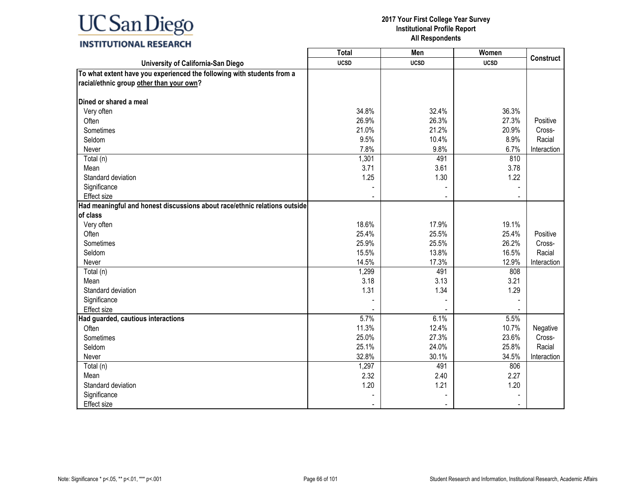### **INSTITUTIONAL RESEARCH**

|                                                                           | <b>Total</b> | Men         | Women       |                  |
|---------------------------------------------------------------------------|--------------|-------------|-------------|------------------|
| University of California-San Diego                                        | <b>UCSD</b>  | <b>UCSD</b> | <b>UCSD</b> | <b>Construct</b> |
| To what extent have you experienced the following with students from a    |              |             |             |                  |
| racial/ethnic group other than your own?                                  |              |             |             |                  |
|                                                                           |              |             |             |                  |
| Dined or shared a meal                                                    |              |             |             |                  |
| Very often                                                                | 34.8%        | 32.4%       | 36.3%       |                  |
| Often                                                                     | 26.9%        | 26.3%       | 27.3%       | Positive         |
| Sometimes                                                                 | 21.0%        | 21.2%       | 20.9%       | Cross-           |
| Seldom                                                                    | 9.5%         | 10.4%       | 8.9%        | Racial           |
| Never                                                                     | 7.8%         | 9.8%        | 6.7%        | Interaction      |
| Total (n)                                                                 | 1,301        | 491         | 810         |                  |
| Mean                                                                      | 3.71         | 3.61        | 3.78        |                  |
| Standard deviation                                                        | 1.25         | 1.30        | 1.22        |                  |
| Significance                                                              |              |             |             |                  |
| Effect size                                                               |              |             |             |                  |
| Had meaningful and honest discussions about race/ethnic relations outside |              |             |             |                  |
| of class                                                                  |              |             |             |                  |
| Very often                                                                | 18.6%        | 17.9%       | 19.1%       |                  |
| Often                                                                     | 25.4%        | 25.5%       | 25.4%       | Positive         |
| Sometimes                                                                 | 25.9%        | 25.5%       | 26.2%       | Cross-           |
| Seldom                                                                    | 15.5%        | 13.8%       | 16.5%       | Racial           |
| Never                                                                     | 14.5%        | 17.3%       | 12.9%       | Interaction      |
| Total (n)                                                                 | 1,299        | 491         | 808         |                  |
| Mean                                                                      | 3.18         | 3.13        | 3.21        |                  |
| Standard deviation                                                        | 1.31         | 1.34        | 1.29        |                  |
| Significance                                                              |              |             |             |                  |
| <b>Effect size</b>                                                        |              |             |             |                  |
| Had guarded, cautious interactions                                        | 5.7%         | 6.1%        | 5.5%        |                  |
| Often                                                                     | 11.3%        | 12.4%       | 10.7%       | Negative         |
| Sometimes                                                                 | 25.0%        | 27.3%       | 23.6%       | Cross-           |
| Seldom                                                                    | 25.1%        | 24.0%       | 25.8%       | Racial           |
| Never                                                                     | 32.8%        | 30.1%       | 34.5%       | Interaction      |
| Total (n)                                                                 | 1,297        | 491         | 806         |                  |
| Mean                                                                      | 2.32         | 2.40        | 2.27        |                  |
| Standard deviation                                                        | 1.20         | 1.21        | 1.20        |                  |
| Significance                                                              |              |             |             |                  |
| <b>Effect size</b>                                                        |              |             |             |                  |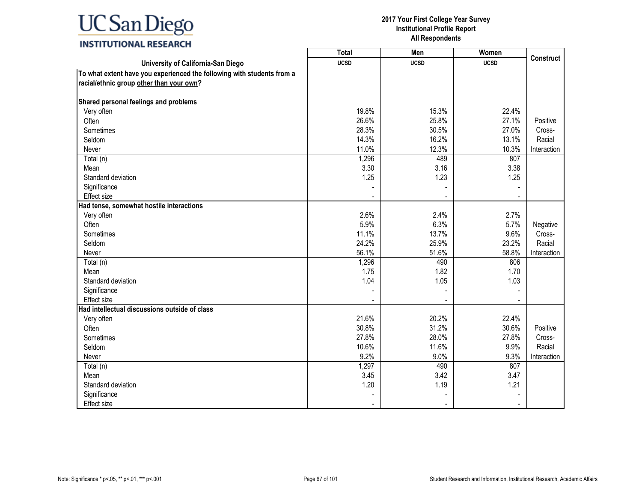### **INSTITUTIONAL RESEARCH**

|                                                                        | <b>Total</b>   | Men            | Women          |                  |
|------------------------------------------------------------------------|----------------|----------------|----------------|------------------|
| University of California-San Diego                                     | <b>UCSD</b>    | <b>UCSD</b>    | <b>UCSD</b>    | <b>Construct</b> |
| To what extent have you experienced the following with students from a |                |                |                |                  |
| racial/ethnic group other than your own?                               |                |                |                |                  |
|                                                                        |                |                |                |                  |
| Shared personal feelings and problems                                  |                |                |                |                  |
| Very often                                                             | 19.8%          | 15.3%          | 22.4%          |                  |
| Often                                                                  | 26.6%          | 25.8%          | 27.1%          | Positive         |
| Sometimes                                                              | 28.3%          | 30.5%          | 27.0%          | Cross-           |
| Seldom                                                                 | 14.3%          | 16.2%          | 13.1%          | Racial           |
| Never                                                                  | 11.0%          | 12.3%          | 10.3%          | Interaction      |
| Total (n)                                                              | 1,296          | 489            | 807            |                  |
| Mean                                                                   | 3.30           | 3.16           | 3.38           |                  |
| Standard deviation                                                     | 1.25           | 1.23           | 1.25           |                  |
| Significance                                                           |                |                |                |                  |
| Effect size                                                            |                |                |                |                  |
| Had tense, somewhat hostile interactions                               |                |                |                |                  |
| Very often                                                             | 2.6%           | 2.4%           | 2.7%           |                  |
| Often                                                                  | 5.9%           | 6.3%           | 5.7%           | Negative         |
| Sometimes                                                              | 11.1%          | 13.7%          | 9.6%           | Cross-           |
| Seldom                                                                 | 24.2%          | 25.9%          | 23.2%          | Racial           |
| Never                                                                  | 56.1%          | 51.6%          | 58.8%          | Interaction      |
| Total (n)                                                              | 1,296          | 490            | 806            |                  |
| Mean                                                                   | 1.75           | 1.82           | 1.70           |                  |
| Standard deviation                                                     | 1.04           | 1.05           | 1.03           |                  |
| Significance                                                           |                |                |                |                  |
| Effect size                                                            |                | $\blacksquare$ |                |                  |
| Had intellectual discussions outside of class                          |                |                |                |                  |
| Very often                                                             | 21.6%          | 20.2%          | 22.4%          |                  |
| Often                                                                  | 30.8%          | 31.2%          | 30.6%          | Positive         |
| Sometimes                                                              | 27.8%          | 28.0%          | 27.8%          | Cross-           |
| Seldom                                                                 | 10.6%          | 11.6%          | 9.9%           | Racial           |
| Never                                                                  | 9.2%           | 9.0%           | 9.3%           | Interaction      |
| Total (n)                                                              | 1,297          | 490            | 807            |                  |
| Mean                                                                   | 3.45           | 3.42           | 3.47           |                  |
| Standard deviation                                                     | 1.20           | 1.19           | 1.21           |                  |
| Significance                                                           |                |                |                |                  |
| <b>Effect size</b>                                                     | $\blacksquare$ | $\blacksquare$ | $\blacksquare$ |                  |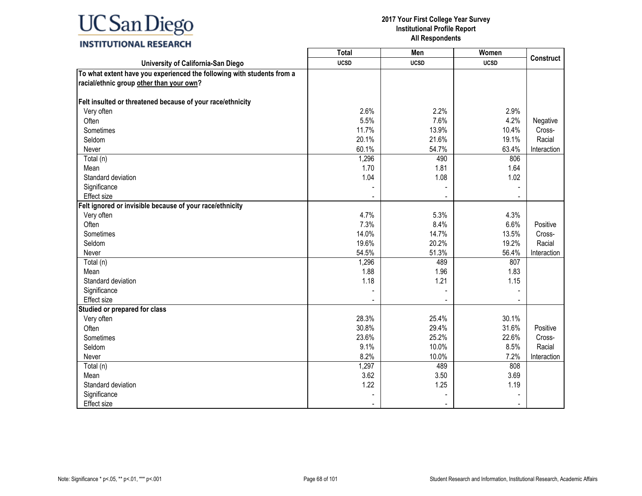#### **2017 Your First College Year Survey Institutional Profile Report All Respondents**

┑

┰

### **INSTITUTIONAL RESEARCH**

|                                                                        | Total       | Men         | Women       | <b>Construct</b> |
|------------------------------------------------------------------------|-------------|-------------|-------------|------------------|
| University of California-San Diego                                     | <b>UCSD</b> | <b>UCSD</b> | <b>UCSD</b> |                  |
| To what extent have you experienced the following with students from a |             |             |             |                  |
| racial/ethnic group other than your own?                               |             |             |             |                  |
|                                                                        |             |             |             |                  |
| Felt insulted or threatened because of your race/ethnicity             |             |             |             |                  |
| Very often                                                             | 2.6%        | 2.2%        | 2.9%        |                  |
| Often                                                                  | 5.5%        | 7.6%        | 4.2%        | Negative         |
| Sometimes                                                              | 11.7%       | 13.9%       | 10.4%       | Cross-           |
| Seldom                                                                 | 20.1%       | 21.6%       | 19.1%       | Racial           |
| Never                                                                  | 60.1%       | 54.7%       | 63.4%       | Interaction      |
| Total (n)                                                              | 1,296       | 490         | 806         |                  |
| Mean                                                                   | 1.70        | 1.81        | 1.64        |                  |
| Standard deviation                                                     | 1.04        | 1.08        | 1.02        |                  |
| Significance                                                           |             |             |             |                  |
| Effect size                                                            |             |             |             |                  |
| Felt ignored or invisible because of your race/ethnicity               |             |             |             |                  |
| Very often                                                             | 4.7%        | 5.3%        | 4.3%        |                  |
| Often                                                                  | 7.3%        | 8.4%        | 6.6%        | Positive         |
| Sometimes                                                              | 14.0%       | 14.7%       | 13.5%       | Cross-           |
| Seldom                                                                 | 19.6%       | 20.2%       | 19.2%       | Racial           |
| Never                                                                  | 54.5%       | 51.3%       | 56.4%       | Interaction      |
| Total (n)                                                              | 1,296       | 489         | 807         |                  |
| Mean                                                                   | 1.88        | 1.96        | 1.83        |                  |
| Standard deviation                                                     | 1.18        | 1.21        | 1.15        |                  |
| Significance                                                           |             |             |             |                  |
| Effect size                                                            |             |             |             |                  |
| Studied or prepared for class                                          |             |             |             |                  |
| Very often                                                             | 28.3%       | 25.4%       | 30.1%       |                  |
| Often                                                                  | 30.8%       | 29.4%       | 31.6%       | Positive         |
| Sometimes                                                              | 23.6%       | 25.2%       | 22.6%       | Cross-           |
| Seldom                                                                 | 9.1%        | 10.0%       | 8.5%        | Racial           |
| Never                                                                  | 8.2%        | 10.0%       | 7.2%        | Interaction      |
| Total (n)                                                              | 1,297       | 489         | 808         |                  |
| Mean                                                                   | 3.62        | 3.50        | 3.69        |                  |
| Standard deviation                                                     | 1.22        | 1.25        | 1.19        |                  |
| Significance                                                           |             |             |             |                  |
| <b>Effect size</b>                                                     |             |             |             |                  |

Г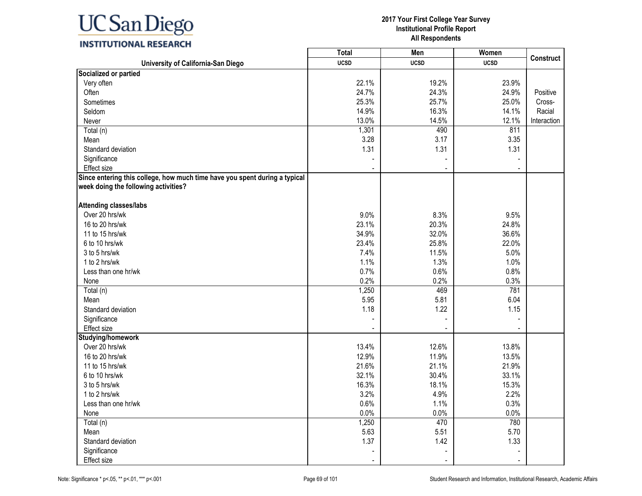

### **INSTITUTIONAL RESEARCH**

|                                                                            | <b>Total</b> | Men            | Women       |                  |
|----------------------------------------------------------------------------|--------------|----------------|-------------|------------------|
| University of California-San Diego                                         | <b>UCSD</b>  | <b>UCSD</b>    | <b>UCSD</b> | <b>Construct</b> |
| Socialized or partied                                                      |              |                |             |                  |
| Very often                                                                 | 22.1%        | 19.2%          | 23.9%       |                  |
| Often                                                                      | 24.7%        | 24.3%          | 24.9%       | Positive         |
| Sometimes                                                                  | 25.3%        | 25.7%          | 25.0%       | Cross-           |
| Seldom                                                                     | 14.9%        | 16.3%          | 14.1%       | Racial           |
| Never                                                                      | 13.0%        | 14.5%          | 12.1%       | Interaction      |
| Total (n)                                                                  | 1,301        | 490            | 811         |                  |
| Mean                                                                       | 3.28         | 3.17           | 3.35        |                  |
| Standard deviation                                                         | 1.31         | 1.31           | 1.31        |                  |
| Significance                                                               |              |                |             |                  |
| <b>Effect size</b>                                                         |              |                |             |                  |
| Since entering this college, how much time have you spent during a typical |              |                |             |                  |
| week doing the following activities?                                       |              |                |             |                  |
| <b>Attending classes/labs</b>                                              |              |                |             |                  |
| Over 20 hrs/wk                                                             | 9.0%         | 8.3%           | 9.5%        |                  |
| 16 to 20 hrs/wk                                                            | 23.1%        | 20.3%          | 24.8%       |                  |
| 11 to 15 hrs/wk                                                            | 34.9%        | 32.0%          | 36.6%       |                  |
| 6 to 10 hrs/wk                                                             | 23.4%        | 25.8%          | 22.0%       |                  |
| 3 to 5 hrs/wk                                                              | 7.4%         | 11.5%          | 5.0%        |                  |
| 1 to 2 hrs/wk                                                              | 1.1%         | 1.3%           | 1.0%        |                  |
| Less than one hr/wk                                                        | 0.7%         | 0.6%           | 0.8%        |                  |
| None                                                                       | 0.2%         | 0.2%           | 0.3%        |                  |
| Total (n)                                                                  | 1,250        | 469            | 781         |                  |
| Mean                                                                       | 5.95         | 5.81           | 6.04        |                  |
| Standard deviation                                                         | 1.18         | 1.22           | 1.15        |                  |
| Significance                                                               |              |                |             |                  |
| Effect size                                                                |              |                |             |                  |
| Studying/homework                                                          |              |                |             |                  |
| Over 20 hrs/wk                                                             | 13.4%        | 12.6%          | 13.8%       |                  |
| 16 to 20 hrs/wk                                                            | 12.9%        | 11.9%          | 13.5%       |                  |
| 11 to 15 hrs/wk                                                            | 21.6%        | 21.1%          | 21.9%       |                  |
| 6 to 10 hrs/wk                                                             | 32.1%        | 30.4%          | 33.1%       |                  |
| 3 to 5 hrs/wk                                                              | 16.3%        | 18.1%          | 15.3%       |                  |
| 1 to 2 hrs/wk                                                              | 3.2%         | 4.9%           | 2.2%        |                  |
| Less than one hr/wk                                                        | 0.6%         | 1.1%           | 0.3%        |                  |
| None                                                                       | 0.0%         | 0.0%           | 0.0%        |                  |
| Total (n)                                                                  | 1,250        | 470            | 780         |                  |
| Mean                                                                       | 5.63         | 5.51           | 5.70        |                  |
| Standard deviation                                                         | 1.37         | 1.42           | 1.33        |                  |
| Significance                                                               |              |                |             |                  |
| Effect size                                                                |              | $\blacksquare$ |             |                  |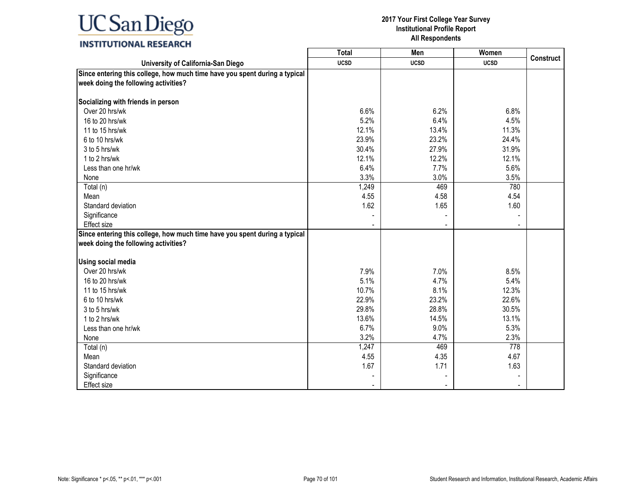#### **2017 Your First College Year Survey Institutional Profile Report All Respondents**

┑

┰

### **INSTITUTIONAL RESEARCH**

|                                                                            | Total       | Men         | Women       | <b>Construct</b> |
|----------------------------------------------------------------------------|-------------|-------------|-------------|------------------|
| University of California-San Diego                                         | <b>UCSD</b> | <b>UCSD</b> | <b>UCSD</b> |                  |
| Since entering this college, how much time have you spent during a typical |             |             |             |                  |
| week doing the following activities?                                       |             |             |             |                  |
|                                                                            |             |             |             |                  |
| Socializing with friends in person                                         |             |             |             |                  |
| Over 20 hrs/wk                                                             | 6.6%        | 6.2%        | 6.8%        |                  |
| 16 to 20 hrs/wk                                                            | 5.2%        | 6.4%        | 4.5%        |                  |
| 11 to 15 hrs/wk                                                            | 12.1%       | 13.4%       | 11.3%       |                  |
| 6 to 10 hrs/wk                                                             | 23.9%       | 23.2%       | 24.4%       |                  |
| 3 to 5 hrs/wk                                                              | 30.4%       | 27.9%       | 31.9%       |                  |
| 1 to 2 hrs/wk                                                              | 12.1%       | 12.2%       | 12.1%       |                  |
| Less than one hr/wk                                                        | 6.4%        | 7.7%        | 5.6%        |                  |
| None                                                                       | 3.3%        | 3.0%        | 3.5%        |                  |
| Total (n)                                                                  | 1,249       | 469         | 780         |                  |
| Mean                                                                       | 4.55        | 4.58        | 4.54        |                  |
| Standard deviation                                                         | 1.62        | 1.65        | 1.60        |                  |
| Significance                                                               |             |             |             |                  |
| Effect size                                                                |             |             |             |                  |
| Since entering this college, how much time have you spent during a typical |             |             |             |                  |
| week doing the following activities?                                       |             |             |             |                  |
|                                                                            |             |             |             |                  |
| Using social media                                                         |             |             |             |                  |
| Over 20 hrs/wk                                                             | 7.9%        | 7.0%        | 8.5%        |                  |
| 16 to 20 hrs/wk                                                            | 5.1%        | 4.7%        | 5.4%        |                  |
| 11 to 15 hrs/wk                                                            | 10.7%       | 8.1%        | 12.3%       |                  |
| 6 to 10 hrs/wk                                                             | 22.9%       | 23.2%       | 22.6%       |                  |
| 3 to 5 hrs/wk                                                              | 29.8%       | 28.8%       | 30.5%       |                  |
| 1 to 2 hrs/wk                                                              | 13.6%       | 14.5%       | 13.1%       |                  |
| Less than one hr/wk                                                        | 6.7%        | 9.0%        | 5.3%        |                  |
| None                                                                       | 3.2%        | 4.7%        | 2.3%        |                  |
| Total (n)                                                                  | 1,247       | 469         | 778         |                  |
| Mean                                                                       | 4.55        | 4.35        | 4.67        |                  |
| Standard deviation                                                         | 1.67        | 1.71        | 1.63        |                  |
| Significance                                                               |             |             |             |                  |
| <b>Effect size</b>                                                         |             |             |             |                  |
|                                                                            |             |             |             |                  |

Г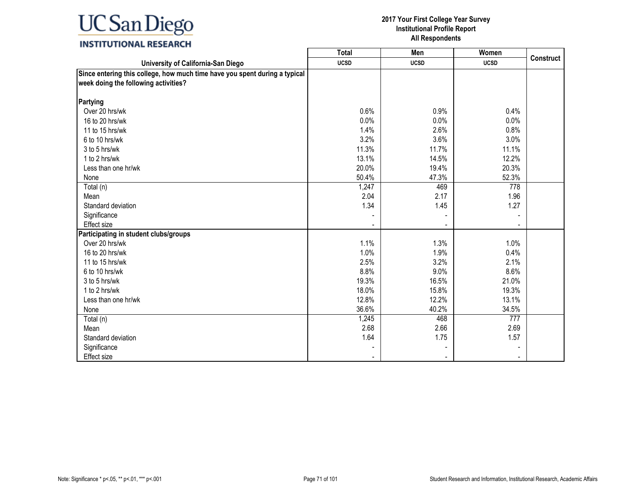### **INSTITUTIONAL RESEARCH**

|                                                                                                                    | <b>Total</b> | Men            | Women       |                  |
|--------------------------------------------------------------------------------------------------------------------|--------------|----------------|-------------|------------------|
| University of California-San Diego                                                                                 | <b>UCSD</b>  | <b>UCSD</b>    | <b>UCSD</b> | <b>Construct</b> |
| Since entering this college, how much time have you spent during a typical<br>week doing the following activities? |              |                |             |                  |
| Partying                                                                                                           |              |                |             |                  |
| Over 20 hrs/wk                                                                                                     | 0.6%         | 0.9%           | 0.4%        |                  |
| 16 to 20 hrs/wk                                                                                                    | 0.0%         | 0.0%           | 0.0%        |                  |
| 11 to 15 hrs/wk                                                                                                    | 1.4%         | 2.6%           | 0.8%        |                  |
| 6 to 10 hrs/wk                                                                                                     | 3.2%         | 3.6%           | 3.0%        |                  |
| 3 to 5 hrs/wk                                                                                                      | 11.3%        | 11.7%          | 11.1%       |                  |
| 1 to 2 hrs/wk                                                                                                      | 13.1%        | 14.5%          | 12.2%       |                  |
| Less than one hr/wk                                                                                                | 20.0%        | 19.4%          | 20.3%       |                  |
| None                                                                                                               | 50.4%        | 47.3%          | 52.3%       |                  |
| Total (n)                                                                                                          | 1,247        | 469            | 778         |                  |
| Mean                                                                                                               | 2.04         | 2.17           | 1.96        |                  |
| Standard deviation                                                                                                 | 1.34         | 1.45           | 1.27        |                  |
| Significance                                                                                                       |              |                |             |                  |
| <b>Effect</b> size                                                                                                 |              | $\blacksquare$ |             |                  |
| Participating in student clubs/groups                                                                              |              |                |             |                  |
| Over 20 hrs/wk                                                                                                     | 1.1%         | 1.3%           | 1.0%        |                  |
| 16 to 20 hrs/wk                                                                                                    | 1.0%         | 1.9%           | 0.4%        |                  |
| 11 to 15 hrs/wk                                                                                                    | 2.5%         | 3.2%           | 2.1%        |                  |
| 6 to 10 hrs/wk                                                                                                     | 8.8%         | 9.0%           | 8.6%        |                  |
| 3 to 5 hrs/wk                                                                                                      | 19.3%        | 16.5%          | 21.0%       |                  |
| 1 to 2 hrs/wk                                                                                                      | 18.0%        | 15.8%          | 19.3%       |                  |
| Less than one hr/wk                                                                                                | 12.8%        | 12.2%          | 13.1%       |                  |
| None                                                                                                               | 36.6%        | 40.2%          | 34.5%       |                  |
| Total (n)                                                                                                          | 1,245        | 468            | 777         |                  |
| Mean                                                                                                               | 2.68         | 2.66           | 2.69        |                  |
| Standard deviation                                                                                                 | 1.64         | 1.75           | 1.57        |                  |
| Significance                                                                                                       |              |                |             |                  |
| Effect size                                                                                                        |              | $\blacksquare$ |             |                  |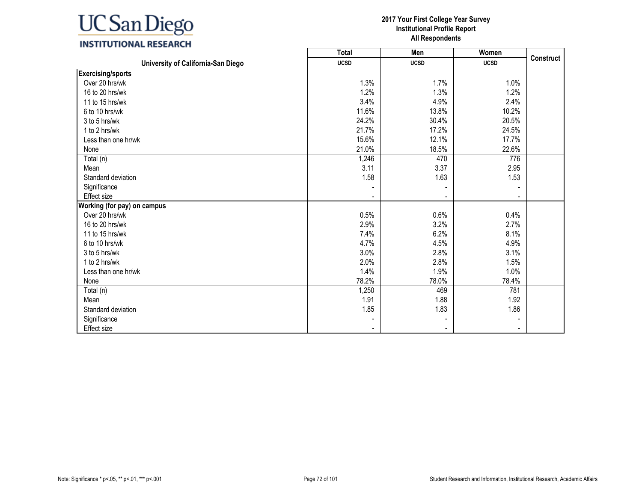

### **INSTITUTIONAL RESEARCH**

|                                    | Total       | Men         | Women       |                  |
|------------------------------------|-------------|-------------|-------------|------------------|
| University of California-San Diego | <b>UCSD</b> | <b>UCSD</b> | <b>UCSD</b> | <b>Construct</b> |
| <b>Exercising/sports</b>           |             |             |             |                  |
| Over 20 hrs/wk                     | 1.3%        | 1.7%        | 1.0%        |                  |
| 16 to 20 hrs/wk                    | 1.2%        | 1.3%        | 1.2%        |                  |
| 11 to 15 hrs/wk                    | 3.4%        | 4.9%        | 2.4%        |                  |
| 6 to 10 hrs/wk                     | 11.6%       | 13.8%       | 10.2%       |                  |
| 3 to 5 hrs/wk                      | 24.2%       | 30.4%       | 20.5%       |                  |
| 1 to 2 hrs/wk                      | 21.7%       | 17.2%       | 24.5%       |                  |
| Less than one hr/wk                | 15.6%       | 12.1%       | 17.7%       |                  |
| None                               | 21.0%       | 18.5%       | 22.6%       |                  |
| Total (n)                          | 1,246       | 470         | 776         |                  |
| Mean                               | 3.11        | 3.37        | 2.95        |                  |
| Standard deviation                 | 1.58        | 1.63        | 1.53        |                  |
| Significance                       |             |             |             |                  |
| Effect size                        |             |             |             |                  |
| Working (for pay) on campus        |             |             |             |                  |
| Over 20 hrs/wk                     | 0.5%        | 0.6%        | 0.4%        |                  |
| 16 to 20 hrs/wk                    | 2.9%        | 3.2%        | 2.7%        |                  |
| 11 to 15 hrs/wk                    | 7.4%        | 6.2%        | 8.1%        |                  |
| 6 to 10 hrs/wk                     | 4.7%        | 4.5%        | 4.9%        |                  |
| 3 to 5 hrs/wk                      | 3.0%        | 2.8%        | 3.1%        |                  |
| 1 to 2 hrs/wk                      | 2.0%        | 2.8%        | 1.5%        |                  |
| Less than one hr/wk                | 1.4%        | 1.9%        | 1.0%        |                  |
| None                               | 78.2%       | 78.0%       | 78.4%       |                  |
| Total (n)                          | 1,250       | 469         | 781         |                  |
| Mean                               | 1.91        | 1.88        | 1.92        |                  |
| Standard deviation                 | 1.85        | 1.83        | 1.86        |                  |
| Significance                       |             |             |             |                  |
| Effect size                        |             |             |             |                  |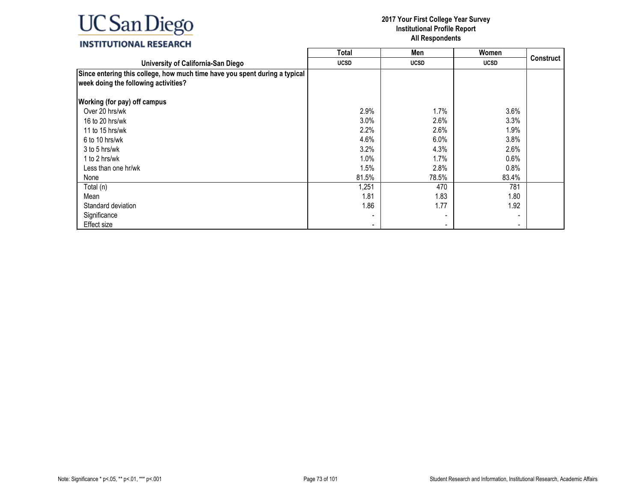|                                                                                                                    | <b>Total</b> | Men         | Women       |                  |
|--------------------------------------------------------------------------------------------------------------------|--------------|-------------|-------------|------------------|
| University of California-San Diego                                                                                 | <b>UCSD</b>  | <b>UCSD</b> | <b>UCSD</b> | <b>Construct</b> |
| Since entering this college, how much time have you spent during a typical<br>week doing the following activities? |              |             |             |                  |
| <b>Working (for pay) off campus</b>                                                                                |              |             |             |                  |
| Over 20 hrs/wk                                                                                                     | 2.9%         | 1.7%        | 3.6%        |                  |
| 16 to 20 hrs/wk                                                                                                    | 3.0%         | 2.6%        | 3.3%        |                  |
| 11 to 15 hrs/wk                                                                                                    | 2.2%         | 2.6%        | 1.9%        |                  |
| 6 to 10 hrs/wk                                                                                                     | 4.6%         | 6.0%        | 3.8%        |                  |
| 3 to 5 hrs/wk                                                                                                      | 3.2%         | 4.3%        | 2.6%        |                  |
| 1 to 2 hrs/wk                                                                                                      | $1.0\%$      | 1.7%        | 0.6%        |                  |
| Less than one hr/wk                                                                                                | 1.5%         | 2.8%        | 0.8%        |                  |
| None                                                                                                               | 81.5%        | 78.5%       | 83.4%       |                  |
| Total (n)                                                                                                          | 1,251        | 470         | 781         |                  |
| Mean                                                                                                               | 1.81         | 1.83        | 1.80        |                  |
| Standard deviation                                                                                                 | 1.86         | 1.77        | 1.92        |                  |
| Significance                                                                                                       |              |             |             |                  |
| Effect size                                                                                                        |              |             |             |                  |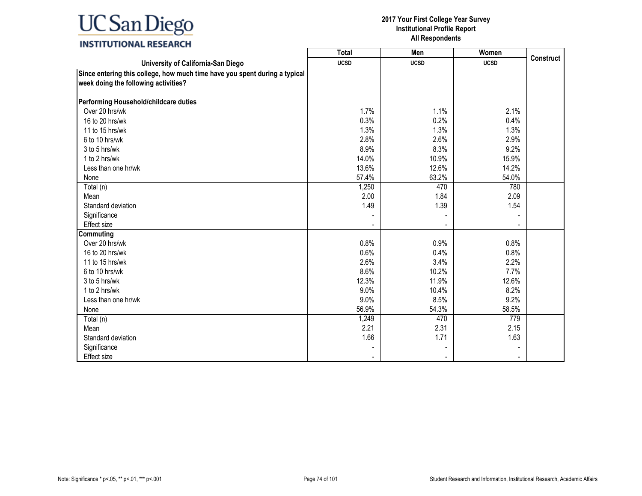### **INSTITUTIONAL RESEARCH**

|                                                                                                                    | <b>Total</b> | Men            | Women       |                  |
|--------------------------------------------------------------------------------------------------------------------|--------------|----------------|-------------|------------------|
| University of California-San Diego                                                                                 | <b>UCSD</b>  | <b>UCSD</b>    | <b>UCSD</b> | <b>Construct</b> |
| Since entering this college, how much time have you spent during a typical<br>week doing the following activities? |              |                |             |                  |
| Performing Household/childcare duties                                                                              |              |                |             |                  |
| Over 20 hrs/wk                                                                                                     | 1.7%         | 1.1%           | 2.1%        |                  |
| 16 to 20 hrs/wk                                                                                                    | 0.3%         | 0.2%           | 0.4%        |                  |
| 11 to 15 hrs/wk                                                                                                    | 1.3%         | 1.3%           | 1.3%        |                  |
| 6 to 10 hrs/wk                                                                                                     | 2.8%         | 2.6%           | 2.9%        |                  |
| 3 to 5 hrs/wk                                                                                                      | 8.9%         | 8.3%           | 9.2%        |                  |
| 1 to 2 hrs/wk                                                                                                      | 14.0%        | 10.9%          | 15.9%       |                  |
| Less than one hr/wk                                                                                                | 13.6%        | 12.6%          | 14.2%       |                  |
| None                                                                                                               | 57.4%        | 63.2%          | 54.0%       |                  |
| Total (n)                                                                                                          | 1,250        | 470            | 780         |                  |
| Mean                                                                                                               | 2.00         | 1.84           | 2.09        |                  |
| Standard deviation                                                                                                 | 1.49         | 1.39           | 1.54        |                  |
| Significance                                                                                                       |              |                |             |                  |
| Effect size                                                                                                        |              | $\blacksquare$ |             |                  |
| <b>Commuting</b>                                                                                                   |              |                |             |                  |
| Over 20 hrs/wk                                                                                                     | 0.8%         | 0.9%           | 0.8%        |                  |
| 16 to 20 hrs/wk                                                                                                    | 0.6%         | 0.4%           | 0.8%        |                  |
| 11 to 15 hrs/wk                                                                                                    | 2.6%         | 3.4%           | 2.2%        |                  |
| 6 to 10 hrs/wk                                                                                                     | 8.6%         | 10.2%          | 7.7%        |                  |
| 3 to 5 hrs/wk                                                                                                      | 12.3%        | 11.9%          | 12.6%       |                  |
| 1 to 2 hrs/wk                                                                                                      | 9.0%         | 10.4%          | 8.2%        |                  |
| Less than one hr/wk                                                                                                | 9.0%         | 8.5%           | 9.2%        |                  |
| None                                                                                                               | 56.9%        | 54.3%          | 58.5%       |                  |
| Total (n)                                                                                                          | 1,249        | 470            | 779         |                  |
| Mean                                                                                                               | 2.21         | 2.31           | 2.15        |                  |
| Standard deviation                                                                                                 | 1.66         | 1.71           | 1.63        |                  |
| Significance                                                                                                       |              |                |             |                  |
| <b>Effect size</b>                                                                                                 |              |                |             |                  |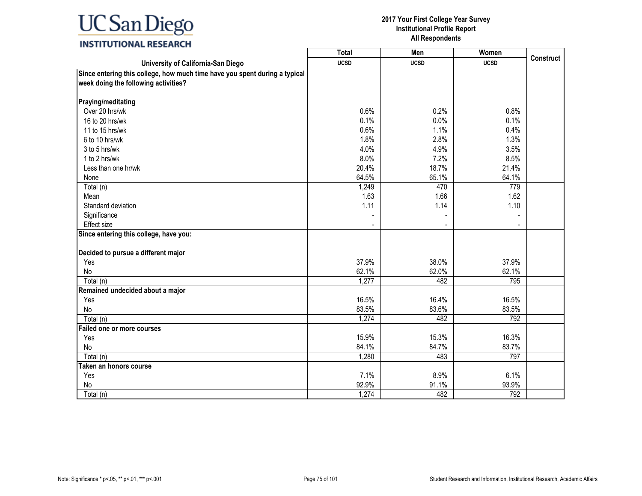### **INSTITUTIONAL RESEARCH**

|                                                                            | <b>Total</b> | Men         | Women       |                  |
|----------------------------------------------------------------------------|--------------|-------------|-------------|------------------|
| University of California-San Diego                                         | <b>UCSD</b>  | <b>UCSD</b> | <b>UCSD</b> | <b>Construct</b> |
| Since entering this college, how much time have you spent during a typical |              |             |             |                  |
| week doing the following activities?                                       |              |             |             |                  |
|                                                                            |              |             |             |                  |
| Praying/meditating                                                         |              |             |             |                  |
| Over 20 hrs/wk                                                             | 0.6%         | 0.2%        | 0.8%        |                  |
| 16 to 20 hrs/wk                                                            | 0.1%         | 0.0%        | 0.1%        |                  |
| 11 to 15 hrs/wk                                                            | 0.6%         | 1.1%        | 0.4%        |                  |
| 6 to 10 hrs/wk                                                             | 1.8%         | 2.8%        | 1.3%        |                  |
| 3 to 5 hrs/wk                                                              | 4.0%         | 4.9%        | 3.5%        |                  |
| 1 to 2 hrs/wk                                                              | 8.0%         | 7.2%        | 8.5%        |                  |
| Less than one hr/wk                                                        | 20.4%        | 18.7%       | 21.4%       |                  |
| None                                                                       | 64.5%        | 65.1%       | 64.1%       |                  |
| Total (n)                                                                  | 1,249        | 470         | 779         |                  |
| Mean                                                                       | 1.63         | 1.66        | 1.62        |                  |
| Standard deviation                                                         | 1.11         | 1.14        | 1.10        |                  |
| Significance                                                               |              |             |             |                  |
| Effect size                                                                |              |             |             |                  |
| Since entering this college, have you:                                     |              |             |             |                  |
|                                                                            |              |             |             |                  |
| Decided to pursue a different major                                        |              |             |             |                  |
| Yes                                                                        | 37.9%        | 38.0%       | 37.9%       |                  |
| No                                                                         | 62.1%        | 62.0%       | 62.1%       |                  |
| Total (n)                                                                  | 1,277        | 482         | 795         |                  |
| Remained undecided about a major                                           |              |             |             |                  |
| Yes                                                                        | 16.5%        | 16.4%       | 16.5%       |                  |
| No                                                                         | 83.5%        | 83.6%       | 83.5%       |                  |
| Total (n)                                                                  | 1,274        | 482         | 792         |                  |
| Failed one or more courses                                                 |              |             |             |                  |
| Yes                                                                        | 15.9%        | 15.3%       | 16.3%       |                  |
| No                                                                         | 84.1%        | 84.7%       | 83.7%       |                  |
| Total (n)                                                                  | 1,280        | 483         | 797         |                  |
| Taken an honors course                                                     |              |             |             |                  |
| Yes                                                                        | 7.1%         | 8.9%        | 6.1%        |                  |
| No                                                                         | 92.9%        | 91.1%       | 93.9%       |                  |
| Total (n)                                                                  | 1,274        | 482         | 792         |                  |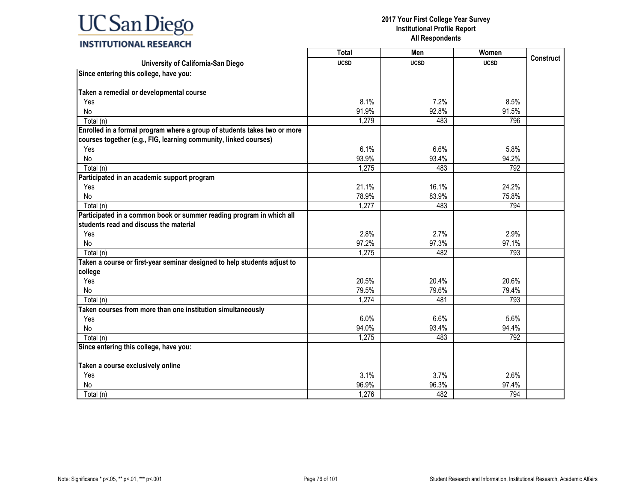|                                                                          | <b>Total</b> | Men         | Women       | <b>Construct</b> |
|--------------------------------------------------------------------------|--------------|-------------|-------------|------------------|
| University of California-San Diego                                       | <b>UCSD</b>  | <b>UCSD</b> | <b>UCSD</b> |                  |
| Since entering this college, have you:                                   |              |             |             |                  |
|                                                                          |              |             |             |                  |
| Taken a remedial or developmental course                                 |              |             |             |                  |
| Yes                                                                      | 8.1%         | 7.2%        | 8.5%        |                  |
| No                                                                       | 91.9%        | 92.8%       | 91.5%       |                  |
| Total (n)                                                                | 1,279        | 483         | 796         |                  |
| Enrolled in a formal program where a group of students takes two or more |              |             |             |                  |
| courses together (e.g., FIG, learning community, linked courses)         |              |             |             |                  |
| Yes                                                                      | 6.1%         | 6.6%        | 5.8%        |                  |
| No                                                                       | 93.9%        | 93.4%       | 94.2%       |                  |
| Total (n)                                                                | 1,275        | 483         | 792         |                  |
| Participated in an academic support program                              |              |             |             |                  |
| Yes                                                                      | 21.1%        | 16.1%       | 24.2%       |                  |
| <b>No</b>                                                                | 78.9%        | 83.9%       | 75.8%       |                  |
| Total (n)                                                                | 1,277        | 483         | 794         |                  |
| Participated in a common book or summer reading program in which all     |              |             |             |                  |
| students read and discuss the material                                   |              |             |             |                  |
| Yes                                                                      | 2.8%         | 2.7%        | 2.9%        |                  |
| No                                                                       | 97.2%        | 97.3%       | 97.1%       |                  |
| Total (n)                                                                | 1,275        | 482         | 793         |                  |
| Taken a course or first-year seminar designed to help students adjust to |              |             |             |                  |
| college                                                                  |              |             |             |                  |
| Yes                                                                      | 20.5%        | 20.4%       | 20.6%       |                  |
| No                                                                       | 79.5%        | 79.6%       | 79.4%       |                  |
| Total (n)                                                                | 1,274        | 481         | 793         |                  |
| Taken courses from more than one institution simultaneously              |              |             |             |                  |
| Yes                                                                      | 6.0%         | 6.6%        | 5.6%        |                  |
| No                                                                       | 94.0%        | 93.4%       | 94.4%       |                  |
| Total (n)                                                                | 1,275        | 483         | 792         |                  |
| Since entering this college, have you:                                   |              |             |             |                  |
|                                                                          |              |             |             |                  |
| Taken a course exclusively online                                        |              |             |             |                  |
| Yes                                                                      | 3.1%         | 3.7%        | 2.6%        |                  |
| No                                                                       | 96.9%        | 96.3%       | 97.4%       |                  |
| Total (n)                                                                | 1,276        | 482         | 794         |                  |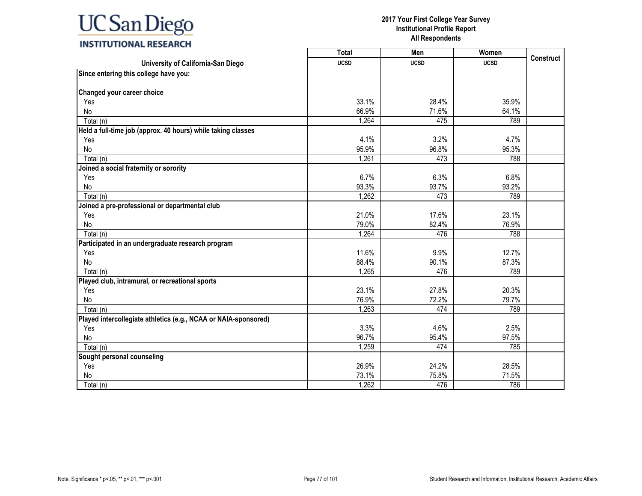|                                                                 | <b>Total</b> | Men         | Women       |                  |
|-----------------------------------------------------------------|--------------|-------------|-------------|------------------|
| University of California-San Diego                              | <b>UCSD</b>  | <b>UCSD</b> | <b>UCSD</b> | <b>Construct</b> |
| Since entering this college have you:                           |              |             |             |                  |
|                                                                 |              |             |             |                  |
| <b>Changed your career choice</b>                               |              |             |             |                  |
| Yes                                                             | 33.1%        | 28.4%       | 35.9%       |                  |
| No                                                              | 66.9%        | 71.6%       | 64.1%       |                  |
| Total (n)                                                       | 1,264        | 475         | 789         |                  |
| Held a full-time job (approx. 40 hours) while taking classes    |              |             |             |                  |
| Yes                                                             | 4.1%         | 3.2%        | 4.7%        |                  |
| No                                                              | 95.9%        | 96.8%       | 95.3%       |                  |
| Total (n)                                                       | 1,261        | 473         | 788         |                  |
| Joined a social fraternity or sorority                          |              |             |             |                  |
| Yes                                                             | 6.7%         | 6.3%        | 6.8%        |                  |
| No                                                              | 93.3%        | 93.7%       | 93.2%       |                  |
| Total (n)                                                       | 1,262        | 473         | 789         |                  |
| Joined a pre-professional or departmental club                  |              |             |             |                  |
| Yes                                                             | 21.0%        | 17.6%       | 23.1%       |                  |
| <b>No</b>                                                       | 79.0%        | 82.4%       | 76.9%       |                  |
| Total (n)                                                       | 1,264        | 476         | 788         |                  |
| Participated in an undergraduate research program               |              |             |             |                  |
| Yes                                                             | 11.6%        | 9.9%        | 12.7%       |                  |
| No                                                              | 88.4%        | 90.1%       | 87.3%       |                  |
| Total (n)                                                       | 1,265        | 476         | 789         |                  |
| Played club, intramural, or recreational sports                 |              |             |             |                  |
| Yes                                                             | 23.1%        | 27.8%       | 20.3%       |                  |
| No                                                              | 76.9%        | 72.2%       | 79.7%       |                  |
| Total (n)                                                       | 1,263        | 474         | 789         |                  |
| Played intercollegiate athletics (e.g., NCAA or NAIA-sponsored) |              |             |             |                  |
| Yes                                                             | 3.3%         | 4.6%        | 2.5%        |                  |
| No                                                              | 96.7%        | 95.4%       | 97.5%       |                  |
| Total (n)                                                       | 1,259        | 474         | 785         |                  |
| Sought personal counseling                                      |              |             |             |                  |
| Yes                                                             | 26.9%        | 24.2%       | 28.5%       |                  |
| No                                                              | 73.1%        | 75.8%       | 71.5%       |                  |
| Total (n)                                                       | 1,262        | 476         | 786         |                  |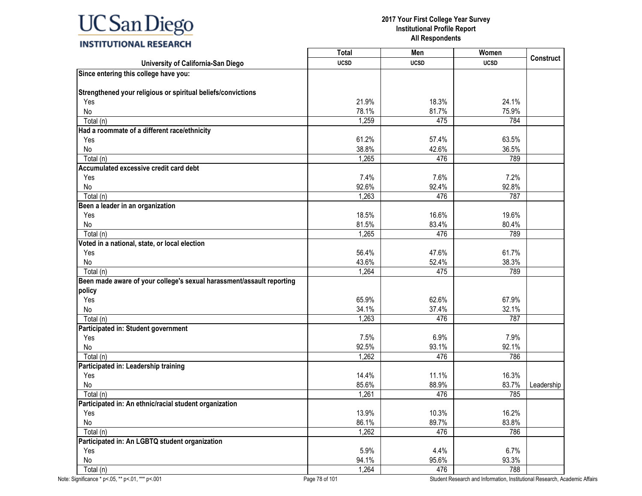|                                                                       | <b>Total</b> | Men         | Women       |                  |
|-----------------------------------------------------------------------|--------------|-------------|-------------|------------------|
| University of California-San Diego                                    | <b>UCSD</b>  | <b>UCSD</b> | <b>UCSD</b> | <b>Construct</b> |
| Since entering this college have you:                                 |              |             |             |                  |
|                                                                       |              |             |             |                  |
| Strengthened your religious or spiritual beliefs/convictions          |              |             |             |                  |
| Yes                                                                   | 21.9%        | 18.3%       | 24.1%       |                  |
| No                                                                    | 78.1%        | 81.7%       | 75.9%       |                  |
| Total (n)                                                             | 1,259        | 475         | 784         |                  |
| Had a roommate of a different race/ethnicity                          |              |             |             |                  |
| Yes                                                                   | 61.2%        | 57.4%       | 63.5%       |                  |
| No                                                                    | 38.8%        | 42.6%       | 36.5%       |                  |
| Total (n)                                                             | 1,265        | 476         | 789         |                  |
| Accumulated excessive credit card debt                                |              |             |             |                  |
| Yes                                                                   | 7.4%         | 7.6%        | 7.2%        |                  |
| No                                                                    | 92.6%        | 92.4%       | 92.8%       |                  |
| Total (n)                                                             | 1,263        | 476         | 787         |                  |
| Been a leader in an organization                                      |              |             |             |                  |
| Yes                                                                   | 18.5%        | 16.6%       | 19.6%       |                  |
| No                                                                    | 81.5%        | 83.4%       | 80.4%       |                  |
| Total (n)                                                             | 1,265        | 476         | 789         |                  |
| Voted in a national, state, or local election                         |              |             |             |                  |
| Yes                                                                   | 56.4%        | 47.6%       | 61.7%       |                  |
| No                                                                    | 43.6%        | 52.4%       | 38.3%       |                  |
| Total (n)                                                             | 1,264        | 475         | 789         |                  |
| Been made aware of your college's sexual harassment/assault reporting |              |             |             |                  |
| policy                                                                |              |             |             |                  |
| Yes                                                                   | 65.9%        | 62.6%       | 67.9%       |                  |
| No                                                                    | 34.1%        | 37.4%       | 32.1%       |                  |
| Total (n)                                                             | 1,263        | 476         | 787         |                  |
| Participated in: Student government                                   |              |             |             |                  |
| Yes                                                                   | 7.5%         | 6.9%        | 7.9%        |                  |
| No                                                                    | 92.5%        | 93.1%       | 92.1%       |                  |
| Total (n)                                                             | 1,262        | 476         | 786         |                  |
| Participated in: Leadership training                                  |              |             |             |                  |
| Yes                                                                   | 14.4%        | 11.1%       | 16.3%       |                  |
| No                                                                    | 85.6%        | 88.9%       | 83.7%       | Leadership       |
| Total (n)                                                             | 1,261        | 476         | 785         |                  |
| Participated in: An ethnic/racial student organization                |              |             |             |                  |
| Yes                                                                   | 13.9%        | 10.3%       | 16.2%       |                  |
| No                                                                    | 86.1%        | 89.7%       | 83.8%       |                  |
| $\overline{\text{Total}}$ (n)                                         | 1,262        | 476         | 786         |                  |
| Participated in: An LGBTQ student organization                        |              |             |             |                  |
| Yes                                                                   | 5.9%         | 4.4%        | 6.7%        |                  |
| No                                                                    | 94.1%        | 95.6%       | 93.3%       |                  |
| Total (n)                                                             | 1,264        | 476         | 788         |                  |
|                                                                       |              |             |             |                  |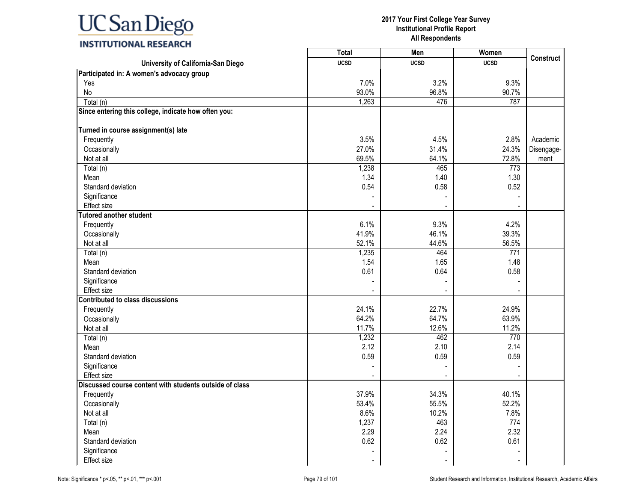

|                                                         | <b>Total</b>   | Men         | Women          |                  |
|---------------------------------------------------------|----------------|-------------|----------------|------------------|
| University of California-San Diego                      | <b>UCSD</b>    | <b>UCSD</b> | <b>UCSD</b>    | <b>Construct</b> |
| Participated in: A women's advocacy group               |                |             |                |                  |
| Yes                                                     | 7.0%           | 3.2%        | 9.3%           |                  |
| No                                                      | 93.0%          | 96.8%       | 90.7%          |                  |
| Total (n)                                               | 1,263          | 476         | 787            |                  |
| Since entering this college, indicate how often you:    |                |             |                |                  |
| Turned in course assignment(s) late                     |                |             |                |                  |
| Frequently                                              | 3.5%           | 4.5%        | 2.8%           | Academic         |
| Occasionally                                            | 27.0%          | 31.4%       | 24.3%          | Disengage-       |
| Not at all                                              | 69.5%          | 64.1%       | 72.8%          | ment             |
| Total (n)                                               | 1,238          | 465         | 773            |                  |
| Mean                                                    | 1.34           | 1.40        | 1.30           |                  |
| Standard deviation                                      | 0.54           | 0.58        | 0.52           |                  |
| Significance                                            |                |             |                |                  |
| <b>Effect</b> size                                      |                |             |                |                  |
| <b>Tutored another student</b>                          |                |             |                |                  |
| Frequently                                              | 6.1%           | 9.3%        | 4.2%           |                  |
| Occasionally                                            | 41.9%          | 46.1%       | 39.3%          |                  |
| Not at all                                              | 52.1%          | 44.6%       | 56.5%          |                  |
| Total (n)                                               | 1,235          | 464         | 771            |                  |
| Mean                                                    | 1.54           | 1.65        | 1.48           |                  |
| Standard deviation                                      | 0.61           | 0.64        | 0.58           |                  |
| Significance                                            |                |             |                |                  |
| <b>Effect size</b>                                      |                |             |                |                  |
| <b>Contributed to class discussions</b>                 |                |             |                |                  |
| Frequently                                              | 24.1%          | 22.7%       | 24.9%          |                  |
| Occasionally                                            | 64.2%          | 64.7%       | 63.9%          |                  |
| Not at all                                              | 11.7%          | 12.6%       | 11.2%          |                  |
| $\overline{\text{Total}}(n)$                            | 1,232          | 462         | 770            |                  |
| Mean                                                    | 2.12           | 2.10        | 2.14           |                  |
| Standard deviation                                      | 0.59           | 0.59        | 0.59           |                  |
| Significance                                            |                |             |                |                  |
| <b>Effect size</b>                                      |                |             |                |                  |
| Discussed course content with students outside of class |                |             |                |                  |
| Frequently                                              | 37.9%          | 34.3%       | 40.1%          |                  |
| Occasionally                                            | 53.4%          | 55.5%       | 52.2%          |                  |
| Not at all                                              | 8.6%           | 10.2%       | 7.8%           |                  |
| Total (n)                                               | 1,237          | 463         | 774            |                  |
| Mean                                                    | 2.29           | 2.24        | 2.32           |                  |
| Standard deviation                                      | 0.62           | 0.62        | 0.61           |                  |
| Significance                                            |                |             |                |                  |
| Effect size                                             | $\blacksquare$ |             | $\blacksquare$ |                  |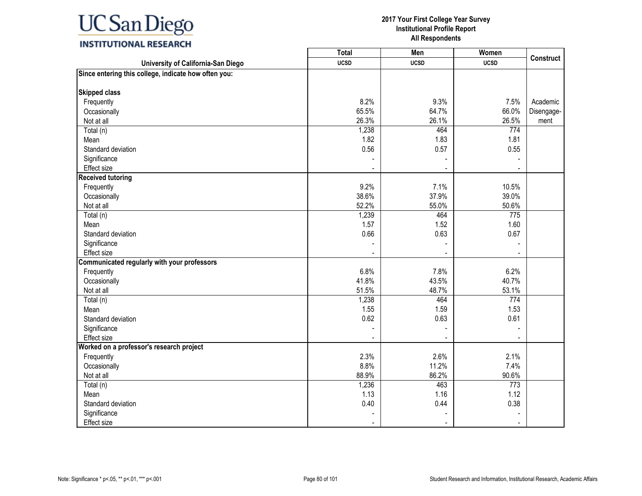#### **2017 Your First College Year Survey Institutional Profile Report All Respondents**

**Construct**

Academic Disengagement

|                                                      | Total       | Men         | Women       |
|------------------------------------------------------|-------------|-------------|-------------|
| University of California-San Diego                   | <b>UCSD</b> | <b>UCSD</b> | <b>UCSD</b> |
| Since entering this college, indicate how often you: |             |             |             |
| <b>Skipped class</b>                                 |             |             |             |
| Frequently                                           | 8.2%        | 9.3%        | 7.5%        |
| Occasionally                                         | 65.5%       | 64.7%       | 66.0%       |
| Not at all                                           | 26.3%       | 26.1%       | 26.5%       |
| Total (n)                                            | 1,238       | 464         | 774         |
| Mean                                                 | 1.82        | 1.83        | 1.81        |
| Standard deviation                                   | 0.56        | 0.57        | 0.55        |
| Significance                                         |             |             |             |
| Effect size                                          |             |             |             |
| <b>Received tutoring</b>                             |             |             |             |
| Frequently                                           | 9.2%        | 7.1%        | 10.5%       |
| Occasionally                                         | 38.6%       | 37.9%       | 39.0%       |
| Not at all                                           | 52.2%       | 55.0%       | 50.6%       |
| Total (n)                                            | 1,239       | 464         | 775         |
| Mean                                                 | 1.57        | 1.52        | 1.60        |
| Standard deviation                                   | 0.66        | 0.63        | 0.67        |
| Significance                                         |             |             |             |
| Effect size                                          |             |             |             |
| Communicated regularly with your professors          |             |             |             |
| Frequently                                           | 6.8%        | 7.8%        | 6.2%        |
| Occasionally                                         | 41.8%       | 43.5%       | 40.7%       |
| Not at all                                           | 51.5%       | 48.7%       | 53.1%       |
| Total (n)                                            | 1,238       | 464         | 774         |
| Mean                                                 | 1.55        | 1.59        | 1.53        |
| Standard deviation                                   | 0.62        | 0.63        | 0.61        |
| Significance                                         |             |             |             |
| <b>Effect size</b>                                   |             |             |             |
| Worked on a professor's research project             |             |             |             |
| Frequently                                           | 2.3%        | 2.6%        | 2.1%        |
| Occasionally                                         | 8.8%        | 11.2%       | 7.4%        |
| Not at all                                           | 88.9%       | 86.2%       | 90.6%       |
| Total (n)                                            | 1,236       | 463         | 773         |
| Mean                                                 | 1.13        | 1.16        | 1.12        |
| Standard deviation                                   | 0.40        | 0.44        | 0.38        |
| Significance                                         |             |             |             |

Significance - - - Effect size - - -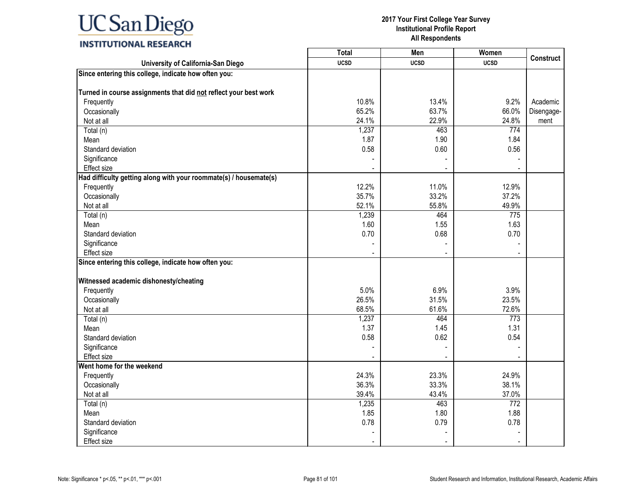|                                                                   | <b>Total</b> | Men         | Women                    |                  |
|-------------------------------------------------------------------|--------------|-------------|--------------------------|------------------|
| University of California-San Diego                                | <b>UCSD</b>  | <b>UCSD</b> | <b>UCSD</b>              | <b>Construct</b> |
| Since entering this college, indicate how often you:              |              |             |                          |                  |
|                                                                   |              |             |                          |                  |
| Turned in course assignments that did not reflect your best work  |              |             |                          |                  |
| Frequently                                                        | 10.8%        | 13.4%       | 9.2%                     | Academic         |
| Occasionally                                                      | 65.2%        | 63.7%       | 66.0%                    | Disengage-       |
| Not at all                                                        | 24.1%        | 22.9%       | 24.8%                    | ment             |
| Total (n)                                                         | 1,237        | 463         | 774                      |                  |
| Mean                                                              | 1.87         | 1.90        | 1.84                     |                  |
| Standard deviation                                                | 0.58         | 0.60        | 0.56                     |                  |
| Significance                                                      |              |             |                          |                  |
| Effect size                                                       |              |             |                          |                  |
| Had difficulty getting along with your roommate(s) / housemate(s) |              |             |                          |                  |
| Frequently                                                        | 12.2%        | 11.0%       | 12.9%                    |                  |
| Occasionally                                                      | 35.7%        | 33.2%       | 37.2%                    |                  |
| Not at all                                                        | 52.1%        | 55.8%       | 49.9%                    |                  |
| Total (n)                                                         | 1,239        | 464         | 775                      |                  |
| Mean                                                              | 1.60         | 1.55        | 1.63                     |                  |
| Standard deviation                                                | 0.70         | 0.68        | 0.70                     |                  |
| Significance                                                      |              |             |                          |                  |
| <b>Effect size</b>                                                |              |             | $\overline{\phantom{a}}$ |                  |
| Since entering this college, indicate how often you:              |              |             |                          |                  |
|                                                                   |              |             |                          |                  |
| Witnessed academic dishonesty/cheating                            |              |             |                          |                  |
| Frequently                                                        | 5.0%         | 6.9%        | 3.9%                     |                  |
| Occasionally                                                      | 26.5%        | 31.5%       | 23.5%                    |                  |
| Not at all                                                        | 68.5%        | 61.6%       | 72.6%                    |                  |
| Total (n)                                                         | 1,237        | 464         | 773                      |                  |
| Mean                                                              | 1.37         | 1.45        | 1.31                     |                  |
| Standard deviation                                                | 0.58         | 0.62        | 0.54                     |                  |
| Significance                                                      |              |             |                          |                  |
| Effect size                                                       |              |             |                          |                  |
| Went home for the weekend                                         |              |             |                          |                  |
| Frequently                                                        | 24.3%        | 23.3%       | 24.9%                    |                  |
| Occasionally                                                      | 36.3%        | 33.3%       | 38.1%                    |                  |
| Not at all                                                        | 39.4%        | 43.4%       | 37.0%                    |                  |
| Total (n)                                                         | 1,235        | 463         | 772                      |                  |
| Mean                                                              | 1.85         | 1.80        | 1.88                     |                  |
| Standard deviation                                                | 0.78         | 0.79        | 0.78                     |                  |
| Significance                                                      |              |             |                          |                  |
| Effect size                                                       |              |             |                          |                  |
|                                                                   |              |             |                          |                  |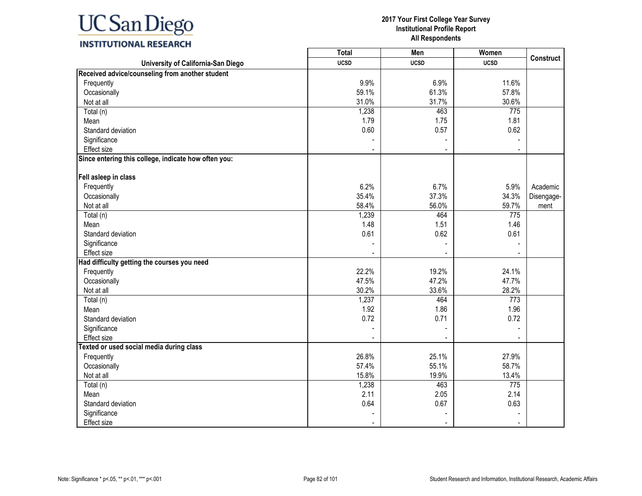|                                                      | <b>Total</b> | Men         | Women       |                  |
|------------------------------------------------------|--------------|-------------|-------------|------------------|
| University of California-San Diego                   | <b>UCSD</b>  | <b>UCSD</b> | <b>UCSD</b> | <b>Construct</b> |
| Received advice/counseling from another student      |              |             |             |                  |
| Frequently                                           | 9.9%         | 6.9%        | 11.6%       |                  |
| Occasionally                                         | 59.1%        | 61.3%       | 57.8%       |                  |
| Not at all                                           | 31.0%        | 31.7%       | 30.6%       |                  |
| Total (n)                                            | 1,238        | 463         | 775         |                  |
| Mean                                                 | 1.79         | 1.75        | 1.81        |                  |
| Standard deviation                                   | 0.60         | 0.57        | 0.62        |                  |
| Significance                                         |              |             |             |                  |
| Effect size                                          |              |             |             |                  |
| Since entering this college, indicate how often you: |              |             |             |                  |
| Fell asleep in class                                 |              |             |             |                  |
| Frequently                                           | 6.2%         | 6.7%        | 5.9%        | Academic         |
| Occasionally                                         | 35.4%        | 37.3%       | 34.3%       | Disengage-       |
| Not at all                                           | 58.4%        | 56.0%       | 59.7%       | ment             |
| Total (n)                                            | 1,239        | 464         | 775         |                  |
| Mean                                                 | 1.48         | 1.51        | 1.46        |                  |
| Standard deviation                                   | 0.61         | 0.62        | 0.61        |                  |
| Significance                                         |              |             |             |                  |
| Effect size                                          |              |             |             |                  |
| Had difficulty getting the courses you need          |              |             |             |                  |
| Frequently                                           | 22.2%        | 19.2%       | 24.1%       |                  |
| Occasionally                                         | 47.5%        | 47.2%       | 47.7%       |                  |
| Not at all                                           | 30.2%        | 33.6%       | 28.2%       |                  |
| Total (n)                                            | 1,237        | 464         | 773         |                  |
| Mean                                                 | 1.92         | 1.86        | 1.96        |                  |
| Standard deviation                                   | 0.72         | 0.71        | 0.72        |                  |
| Significance                                         |              |             |             |                  |
| Effect size                                          |              |             |             |                  |
| Texted or used social media during class             |              |             |             |                  |
| Frequently                                           | 26.8%        | 25.1%       | 27.9%       |                  |
| Occasionally                                         | 57.4%        | 55.1%       | 58.7%       |                  |
| Not at all                                           | 15.8%        | 19.9%       | 13.4%       |                  |
| Total (n)                                            | 1,238        | 463         | 775         |                  |
| Mean                                                 | 2.11         | 2.05        | 2.14        |                  |
| Standard deviation                                   | 0.64         | 0.67        | 0.63        |                  |
| Significance                                         |              |             |             |                  |
| Effect size                                          | $\sim$       | $\sim$      |             |                  |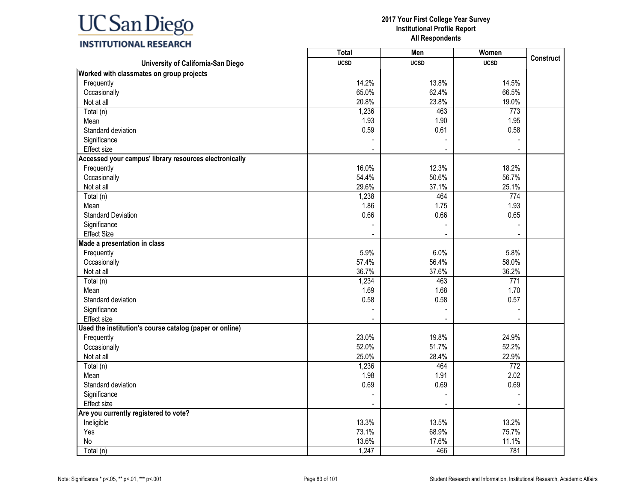

#### **2017 Your First College Year Survey Institutional Profile Report All Respondents**

 $\overline{\mathbf{1}}$ 

T

|  | INSTITUTIONAL RESEARCH |
|--|------------------------|
|  |                        |

|                                                         | <b>Total</b> | Men         | Women       | <b>Construct</b> |
|---------------------------------------------------------|--------------|-------------|-------------|------------------|
| University of California-San Diego                      | <b>UCSD</b>  | <b>UCSD</b> | <b>UCSD</b> |                  |
| Worked with classmates on group projects                |              |             |             |                  |
| Frequently                                              | 14.2%        | 13.8%       | 14.5%       |                  |
| Occasionally                                            | 65.0%        | 62.4%       | 66.5%       |                  |
| Not at all                                              | 20.8%        | 23.8%       | 19.0%       |                  |
| $\overline{T}$ otal (n)                                 | 1,236        | 463         | 773         |                  |
| Mean                                                    | 1.93         | 1.90        | 1.95        |                  |
| Standard deviation                                      | 0.59         | 0.61        | 0.58        |                  |
| Significance                                            |              |             |             |                  |
| Effect size                                             |              |             |             |                  |
| Accessed your campus' library resources electronically  |              |             |             |                  |
| Frequently                                              | 16.0%        | 12.3%       | 18.2%       |                  |
| Occasionally                                            | 54.4%        | 50.6%       | 56.7%       |                  |
| Not at all                                              | 29.6%        | 37.1%       | 25.1%       |                  |
| Total (n)                                               | 1,238        | 464         | 774         |                  |
| Mean                                                    | 1.86         | 1.75        | 1.93        |                  |
| <b>Standard Deviation</b>                               | 0.66         | 0.66        | 0.65        |                  |
| Significance                                            |              |             |             |                  |
| <b>Effect Size</b>                                      |              |             |             |                  |
| Made a presentation in class                            |              |             |             |                  |
| Frequently                                              | 5.9%         | 6.0%        | 5.8%        |                  |
| Occasionally                                            | 57.4%        | 56.4%       | 58.0%       |                  |
| Not at all                                              | 36.7%        | 37.6%       | 36.2%       |                  |
| Total (n)                                               | 1,234        | 463         | 771         |                  |
| Mean                                                    | 1.69         | 1.68        | 1.70        |                  |
| Standard deviation                                      | 0.58         | 0.58        | 0.57        |                  |
| Significance                                            |              |             |             |                  |
| Effect size                                             |              |             |             |                  |
| Used the institution's course catalog (paper or online) |              |             |             |                  |
| Frequently                                              | 23.0%        | 19.8%       | 24.9%       |                  |
| Occasionally                                            | 52.0%        | 51.7%       | 52.2%       |                  |
| Not at all                                              | 25.0%        | 28.4%       | 22.9%       |                  |
| Total (n)                                               | 1,236        | 464         | 772         |                  |
| Mean                                                    | 1.98         | 1.91        | 2.02        |                  |
| Standard deviation                                      | 0.69         | 0.69        | 0.69        |                  |
| Significance                                            |              |             |             |                  |
| Effect size                                             |              |             |             |                  |
| Are you currently registered to vote?                   |              |             |             |                  |
| Ineligible                                              | 13.3%        | 13.5%       | 13.2%       |                  |
| Yes                                                     | 73.1%        | 68.9%       | 75.7%       |                  |
| No                                                      | 13.6%        | 17.6%       | 11.1%       |                  |
| Total (n)                                               | 1,247        | 466         | 781         |                  |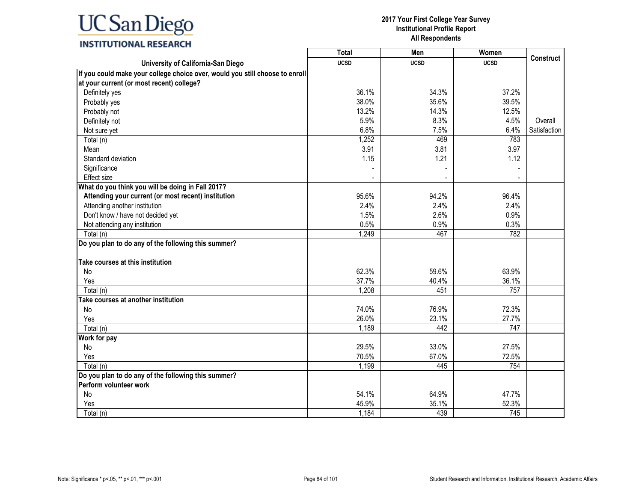### **INSTITUTIONAL RESEARCH**

|                                                                              | <b>Total</b> | Men         | Women       |                  |
|------------------------------------------------------------------------------|--------------|-------------|-------------|------------------|
| University of California-San Diego                                           | <b>UCSD</b>  | <b>UCSD</b> | <b>UCSD</b> | <b>Construct</b> |
| If you could make your college choice over, would you still choose to enroll |              |             |             |                  |
| at your current (or most recent) college?                                    |              |             |             |                  |
| Definitely yes                                                               | 36.1%        | 34.3%       | 37.2%       |                  |
| Probably yes                                                                 | 38.0%        | 35.6%       | 39.5%       |                  |
| Probably not                                                                 | 13.2%        | 14.3%       | 12.5%       |                  |
| Definitely not                                                               | 5.9%         | 8.3%        | 4.5%        | Overall          |
| Not sure yet                                                                 | 6.8%         | 7.5%        | 6.4%        | Satisfaction     |
| Total (n)                                                                    | 1,252        | 469         | 783         |                  |
| Mean                                                                         | 3.91         | 3.81        | 3.97        |                  |
| Standard deviation                                                           | 1.15         | 1.21        | 1.12        |                  |
| Significance                                                                 |              |             |             |                  |
| <b>Effect size</b>                                                           |              |             |             |                  |
| What do you think you will be doing in Fall 2017?                            |              |             |             |                  |
| Attending your current (or most recent) institution                          | 95.6%        | 94.2%       | 96.4%       |                  |
| Attending another institution                                                | 2.4%         | 2.4%        | 2.4%        |                  |
| Don't know / have not decided yet                                            | 1.5%         | 2.6%        | 0.9%        |                  |
| Not attending any institution                                                | 0.5%         | 0.9%        | 0.3%        |                  |
| Total (n)                                                                    | 1,249        | 467         | 782         |                  |
| Do you plan to do any of the following this summer?                          |              |             |             |                  |
|                                                                              |              |             |             |                  |
| Take courses at this institution                                             |              |             |             |                  |
| No                                                                           | 62.3%        | 59.6%       | 63.9%       |                  |
| Yes                                                                          | 37.7%        | 40.4%       | 36.1%       |                  |
| Total (n)                                                                    | 1,208        | 451         | 757         |                  |
| Take courses at another institution                                          |              |             |             |                  |
| No                                                                           | 74.0%        | 76.9%       | 72.3%       |                  |
| Yes                                                                          | 26.0%        | 23.1%       | 27.7%       |                  |
| Total (n)                                                                    | 1,189        | 442         | 747         |                  |
| Work for pay                                                                 |              |             |             |                  |
| No                                                                           | 29.5%        | 33.0%       | 27.5%       |                  |
| Yes                                                                          | 70.5%        | 67.0%       | 72.5%       |                  |
| Total (n)                                                                    | 1,199        | 445         | 754         |                  |
| Do you plan to do any of the following this summer?                          |              |             |             |                  |
| Perform volunteer work                                                       |              |             |             |                  |
| No                                                                           | 54.1%        | 64.9%       | 47.7%       |                  |
| Yes                                                                          | 45.9%        | 35.1%       | 52.3%       |                  |
| Total (n)                                                                    | 1,184        | 439         | 745         |                  |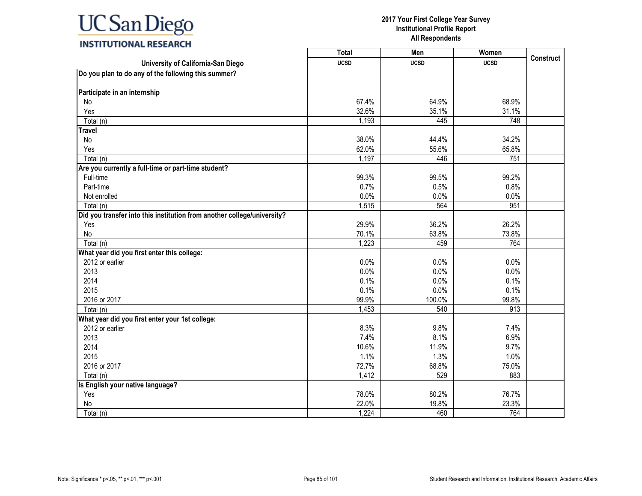|                                                                         | Total       | Men         | Women       | <b>Construct</b> |
|-------------------------------------------------------------------------|-------------|-------------|-------------|------------------|
| University of California-San Diego                                      | <b>UCSD</b> | <b>UCSD</b> | <b>UCSD</b> |                  |
| Do you plan to do any of the following this summer?                     |             |             |             |                  |
|                                                                         |             |             |             |                  |
| Participate in an internship                                            |             |             |             |                  |
| No                                                                      | 67.4%       | 64.9%       | 68.9%       |                  |
| Yes                                                                     | 32.6%       | 35.1%       | 31.1%       |                  |
| Total (n)                                                               | 1,193       | 445         | 748         |                  |
| <b>Travel</b>                                                           |             |             |             |                  |
| No                                                                      | 38.0%       | 44.4%       | 34.2%       |                  |
| Yes                                                                     | 62.0%       | 55.6%       | 65.8%       |                  |
| Total (n)                                                               | 1,197       | 446         | 751         |                  |
| Are you currently a full-time or part-time student?                     |             |             |             |                  |
| Full-time                                                               | 99.3%       | 99.5%       | 99.2%       |                  |
| Part-time                                                               | 0.7%        | 0.5%        | 0.8%        |                  |
| Not enrolled                                                            | 0.0%        | 0.0%        | 0.0%        |                  |
| Total (n)                                                               | 1,515       | 564         | 951         |                  |
| Did you transfer into this institution from another college/university? |             |             |             |                  |
| Yes                                                                     | 29.9%       | 36.2%       | 26.2%       |                  |
| No                                                                      | 70.1%       | 63.8%       | 73.8%       |                  |
| Total (n)                                                               | 1,223       | 459         | 764         |                  |
| What year did you first enter this college:                             |             |             |             |                  |
| 2012 or earlier                                                         | 0.0%        | 0.0%        | 0.0%        |                  |
| 2013                                                                    | 0.0%        | 0.0%        | 0.0%        |                  |
| 2014                                                                    | 0.1%        | 0.0%        | 0.1%        |                  |
| 2015                                                                    | 0.1%        | 0.0%        | 0.1%        |                  |
| 2016 or 2017                                                            | 99.9%       | 100.0%      | 99.8%       |                  |
| Total (n)                                                               | 1,453       | 540         | 913         |                  |
| What year did you first enter your 1st college:                         |             |             |             |                  |
| 2012 or earlier                                                         | 8.3%        | 9.8%        | 7.4%        |                  |
| 2013                                                                    | 7.4%        | 8.1%        | 6.9%        |                  |
| 2014                                                                    | 10.6%       | 11.9%       | 9.7%        |                  |
| 2015                                                                    | 1.1%        | 1.3%        | 1.0%        |                  |
| 2016 or 2017                                                            | 72.7%       | 68.8%       | 75.0%       |                  |
| Total (n)                                                               | 1,412       | 529         | 883         |                  |
| Is English your native language?                                        |             |             |             |                  |
| Yes                                                                     | 78.0%       | 80.2%       | 76.7%       |                  |
| No                                                                      | 22.0%       | 19.8%       | 23.3%       |                  |
| Total (n)                                                               | 1,224       | 460         | 764         |                  |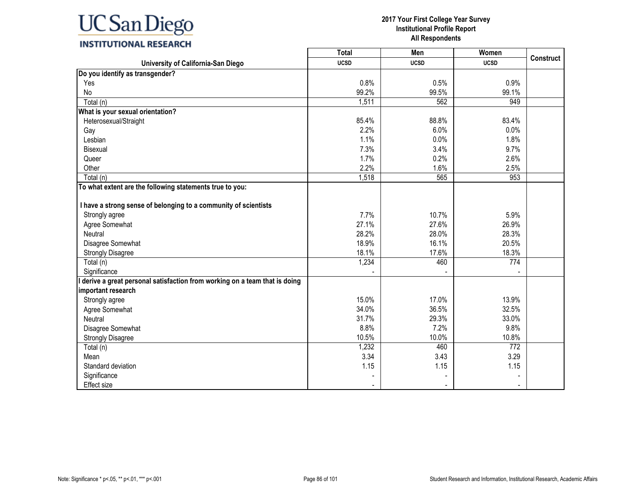

#### **2017 Your First College Year Survey Institutional Profile Report All Respondents**

┑

┰

| <b>INSTITUTIONAL RESEARCH</b> |  |
|-------------------------------|--|
|-------------------------------|--|

|                                                                           | Total       | Men         | Women       | <b>Construct</b> |
|---------------------------------------------------------------------------|-------------|-------------|-------------|------------------|
| University of California-San Diego                                        | <b>UCSD</b> | <b>UCSD</b> | <b>UCSD</b> |                  |
| Do you identify as transgender?                                           |             |             |             |                  |
| Yes                                                                       | 0.8%        | 0.5%        | 0.9%        |                  |
| No                                                                        | 99.2%       | 99.5%       | 99.1%       |                  |
| Total (n)                                                                 | 1,511       | 562         | 949         |                  |
| What is your sexual orientation?                                          |             |             |             |                  |
| Heterosexual/Straight                                                     | 85.4%       | 88.8%       | 83.4%       |                  |
| Gay                                                                       | 2.2%        | 6.0%        | 0.0%        |                  |
| Lesbian                                                                   | 1.1%        | 0.0%        | 1.8%        |                  |
| Bisexual                                                                  | 7.3%        | 3.4%        | 9.7%        |                  |
| Queer                                                                     | 1.7%        | 0.2%        | 2.6%        |                  |
| Other                                                                     | 2.2%        | 1.6%        | 2.5%        |                  |
| Total (n)                                                                 | 1,518       | 565         | 953         |                  |
| To what extent are the following statements true to you:                  |             |             |             |                  |
| I have a strong sense of belonging to a community of scientists           |             |             |             |                  |
| Strongly agree                                                            | 7.7%        | 10.7%       | 5.9%        |                  |
| Agree Somewhat                                                            | 27.1%       | 27.6%       | 26.9%       |                  |
| Neutral                                                                   | 28.2%       | 28.0%       | 28.3%       |                  |
| Disagree Somewhat                                                         | 18.9%       | 16.1%       | 20.5%       |                  |
| <b>Strongly Disagree</b>                                                  | 18.1%       | 17.6%       | 18.3%       |                  |
| Total (n)                                                                 | 1,234       | 460         | 774         |                  |
| Significance                                                              |             |             |             |                  |
| derive a great personal satisfaction from working on a team that is doing |             |             |             |                  |
| important research                                                        |             |             |             |                  |
| Strongly agree                                                            | 15.0%       | 17.0%       | 13.9%       |                  |
| Agree Somewhat                                                            | 34.0%       | 36.5%       | 32.5%       |                  |
| Neutral                                                                   | 31.7%       | 29.3%       | 33.0%       |                  |
| Disagree Somewhat                                                         | 8.8%        | 7.2%        | 9.8%        |                  |
| <b>Strongly Disagree</b>                                                  | 10.5%       | 10.0%       | 10.8%       |                  |
| Total (n)                                                                 | 1,232       | 460         | 772         |                  |
| Mean                                                                      | 3.34        | 3.43        | 3.29        |                  |
| Standard deviation                                                        | 1.15        | 1.15        | 1.15        |                  |
| Significance                                                              |             |             |             |                  |
| <b>Effect size</b>                                                        |             |             |             |                  |

Г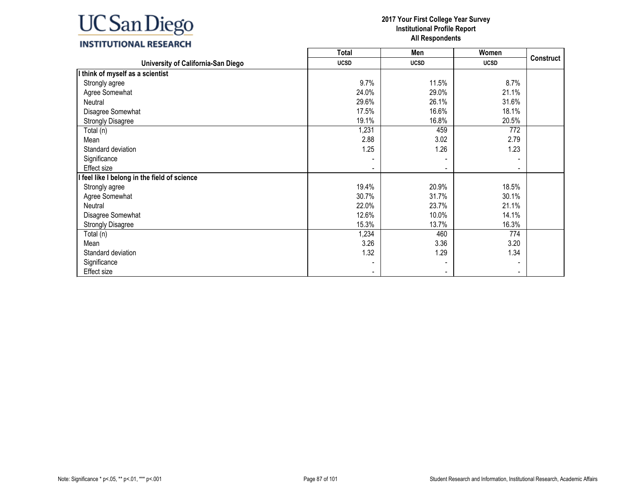## **INSTITUTIONAL RESEARCH**

|                                              | <b>Total</b> | Men         | Women       |                  |
|----------------------------------------------|--------------|-------------|-------------|------------------|
| University of California-San Diego           | <b>UCSD</b>  | <b>UCSD</b> | <b>UCSD</b> | <b>Construct</b> |
| I think of myself as a scientist             |              |             |             |                  |
| Strongly agree                               | 9.7%         | 11.5%       | 8.7%        |                  |
| Agree Somewhat                               | 24.0%        | 29.0%       | 21.1%       |                  |
| Neutral                                      | 29.6%        | 26.1%       | 31.6%       |                  |
| Disagree Somewhat                            | 17.5%        | 16.6%       | 18.1%       |                  |
| <b>Strongly Disagree</b>                     | 19.1%        | 16.8%       | 20.5%       |                  |
| Total (n)                                    | 1,231        | 459         | 772         |                  |
| Mean                                         | 2.88         | 3.02        | 2.79        |                  |
| Standard deviation                           | 1.25         | 1.26        | 1.23        |                  |
| Significance                                 |              |             |             |                  |
| Effect size                                  |              |             |             |                  |
| I feel like I belong in the field of science |              |             |             |                  |
| Strongly agree                               | 19.4%        | 20.9%       | 18.5%       |                  |
| Agree Somewhat                               | 30.7%        | 31.7%       | 30.1%       |                  |
| Neutral                                      | 22.0%        | 23.7%       | 21.1%       |                  |
| Disagree Somewhat                            | 12.6%        | 10.0%       | 14.1%       |                  |
| <b>Strongly Disagree</b>                     | 15.3%        | 13.7%       | 16.3%       |                  |
| Total (n)                                    | 1,234        | 460         | 774         |                  |
| Mean                                         | 3.26         | 3.36        | 3.20        |                  |
| Standard deviation                           | 1.32         | 1.29        | 1.34        |                  |
| Significance                                 |              |             |             |                  |
| Effect size                                  |              |             |             |                  |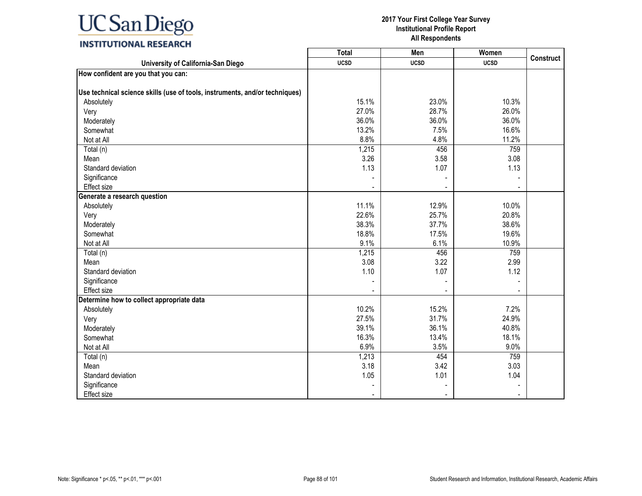

|                                                                             | <b>Total</b> | Men         | Women       |                  |
|-----------------------------------------------------------------------------|--------------|-------------|-------------|------------------|
| University of California-San Diego                                          | <b>UCSD</b>  | <b>UCSD</b> | <b>UCSD</b> | <b>Construct</b> |
| How confident are you that you can:                                         |              |             |             |                  |
|                                                                             |              |             |             |                  |
| Use technical science skills (use of tools, instruments, and/or techniques) |              |             |             |                  |
| Absolutely                                                                  | 15.1%        | 23.0%       | 10.3%       |                  |
| Very                                                                        | 27.0%        | 28.7%       | 26.0%       |                  |
| Moderately                                                                  | 36.0%        | 36.0%       | 36.0%       |                  |
| Somewhat                                                                    | 13.2%        | 7.5%        | 16.6%       |                  |
| Not at All                                                                  | 8.8%         | 4.8%        | 11.2%       |                  |
| Total (n)                                                                   | 1,215        | 456         | 759         |                  |
| Mean                                                                        | 3.26         | 3.58        | 3.08        |                  |
| Standard deviation                                                          | 1.13         | 1.07        | 1.13        |                  |
| Significance                                                                |              |             |             |                  |
| Effect size                                                                 |              |             |             |                  |
| Generate a research question                                                |              |             |             |                  |
| Absolutely                                                                  | 11.1%        | 12.9%       | 10.0%       |                  |
| Very                                                                        | 22.6%        | 25.7%       | 20.8%       |                  |
| Moderately                                                                  | 38.3%        | 37.7%       | 38.6%       |                  |
| Somewhat                                                                    | 18.8%        | 17.5%       | 19.6%       |                  |
| Not at All                                                                  | 9.1%         | 6.1%        | 10.9%       |                  |
| Total (n)                                                                   | 1,215        | 456         | 759         |                  |
| Mean                                                                        | 3.08         | 3.22        | 2.99        |                  |
| Standard deviation                                                          | 1.10         | 1.07        | 1.12        |                  |
| Significance                                                                |              |             |             |                  |
| Effect size                                                                 |              |             |             |                  |
| Determine how to collect appropriate data                                   |              |             |             |                  |
| Absolutely                                                                  | 10.2%        | 15.2%       | 7.2%        |                  |
| Very                                                                        | 27.5%        | 31.7%       | 24.9%       |                  |
| Moderately                                                                  | 39.1%        | 36.1%       | 40.8%       |                  |
| Somewhat                                                                    | 16.3%        | 13.4%       | 18.1%       |                  |
| Not at All                                                                  | 6.9%         | 3.5%        | 9.0%        |                  |
| Total (n)                                                                   | 1,213        | 454         | 759         |                  |
| Mean                                                                        | 3.18         | 3.42        | 3.03        |                  |
| Standard deviation                                                          | 1.05         | 1.01        | 1.04        |                  |
| Significance                                                                |              |             |             |                  |
| <b>Effect size</b>                                                          |              |             |             |                  |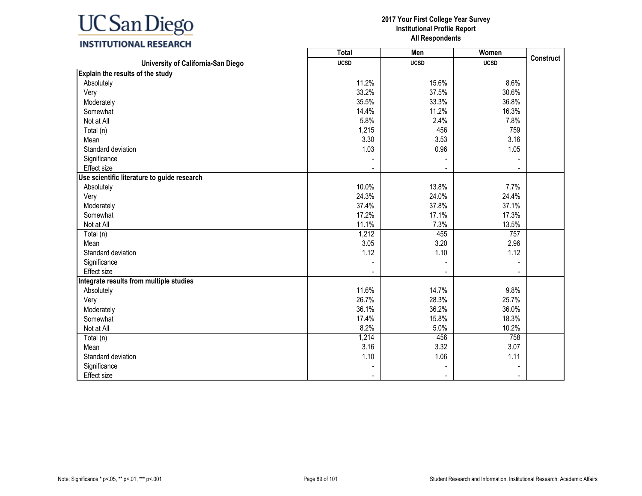

## **INSTITUTIONAL RESEARCH**

|                                             | <b>Total</b> | Men         | Women       |                  |
|---------------------------------------------|--------------|-------------|-------------|------------------|
| University of California-San Diego          | <b>UCSD</b>  | <b>UCSD</b> | <b>UCSD</b> | <b>Construct</b> |
| Explain the results of the study            |              |             |             |                  |
| Absolutely                                  | 11.2%        | 15.6%       | 8.6%        |                  |
| Very                                        | 33.2%        | 37.5%       | 30.6%       |                  |
| Moderately                                  | 35.5%        | 33.3%       | 36.8%       |                  |
| Somewhat                                    | 14.4%        | 11.2%       | 16.3%       |                  |
| Not at All                                  | 5.8%         | 2.4%        | 7.8%        |                  |
| Total (n)                                   | 1,215        | 456         | 759         |                  |
| Mean                                        | 3.30         | 3.53        | 3.16        |                  |
| Standard deviation                          | 1.03         | 0.96        | 1.05        |                  |
| Significance                                |              |             |             |                  |
| Effect size                                 |              |             |             |                  |
| Use scientific literature to guide research |              |             |             |                  |
| Absolutely                                  | 10.0%        | 13.8%       | 7.7%        |                  |
| Very                                        | 24.3%        | 24.0%       | 24.4%       |                  |
| Moderately                                  | 37.4%        | 37.8%       | 37.1%       |                  |
| Somewhat                                    | 17.2%        | 17.1%       | 17.3%       |                  |
| Not at All                                  | 11.1%        | 7.3%        | 13.5%       |                  |
| Total (n)                                   | 1,212        | 455         | 757         |                  |
| Mean                                        | 3.05         | 3.20        | 2.96        |                  |
| Standard deviation                          | 1.12         | 1.10        | 1.12        |                  |
| Significance                                |              |             |             |                  |
| Effect size                                 |              |             |             |                  |
| Integrate results from multiple studies     |              |             |             |                  |
| Absolutely                                  | 11.6%        | 14.7%       | 9.8%        |                  |
| Very                                        | 26.7%        | 28.3%       | 25.7%       |                  |
| Moderately                                  | 36.1%        | 36.2%       | 36.0%       |                  |
| Somewhat                                    | 17.4%        | 15.8%       | 18.3%       |                  |
| Not at All                                  | 8.2%         | 5.0%        | 10.2%       |                  |
| Total (n)                                   | 1,214        | 456         | 758         |                  |
| Mean                                        | 3.16         | 3.32        | 3.07        |                  |
| Standard deviation                          | 1.10         | 1.06        | 1.11        |                  |
| Significance                                |              |             |             |                  |
| Effect size                                 |              |             |             |                  |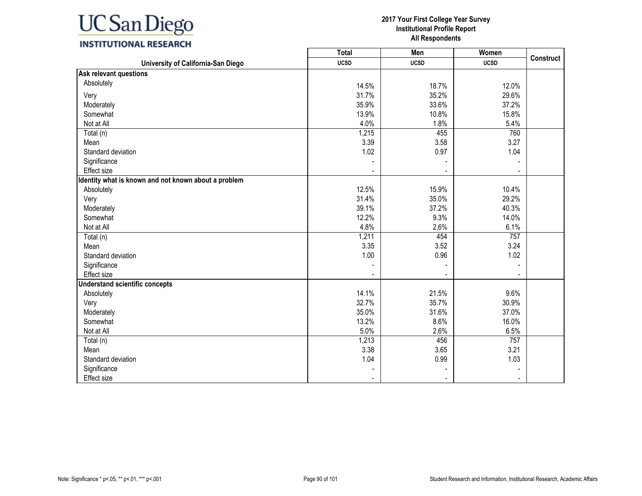

### **INSTITUTIONAL RESEARCH**

|                                                      | <b>Total</b> | Men         | Women       | <b>Construct</b> |
|------------------------------------------------------|--------------|-------------|-------------|------------------|
| University of California-San Diego                   | <b>UCSD</b>  | <b>UCSD</b> | <b>UCSD</b> |                  |
| <b>Ask relevant questions</b>                        |              |             |             |                  |
| Absolutely                                           | 14.5%        | 18.7%       | 12.0%       |                  |
| Very                                                 | 31.7%        | 35.2%       | 29.6%       |                  |
| Moderately                                           | 35.9%        | 33.6%       | 37.2%       |                  |
| Somewhat                                             | 13.9%        | 10.8%       | 15.8%       |                  |
| Not at All                                           | 4.0%         | 1.8%        | 5.4%        |                  |
| Total (n)                                            | 1,215        | 455         | 760         |                  |
| Mean                                                 | 3.39         | 3.58        | 3.27        |                  |
| Standard deviation                                   | 1.02         | 0.97        | 1.04        |                  |
| Significance                                         |              |             |             |                  |
| <b>Effect</b> size                                   |              |             |             |                  |
| Identity what is known and not known about a problem |              |             |             |                  |
| Absolutely                                           | 12.5%        | 15.9%       | 10.4%       |                  |
| Very                                                 | 31.4%        | 35.0%       | 29.2%       |                  |
| Moderately                                           | 39.1%        | 37.2%       | 40.3%       |                  |
| Somewhat                                             | 12.2%        | 9.3%        | 14.0%       |                  |
| Not at All                                           | 4.8%         | 2.6%        | 6.1%        |                  |
| Total (n)                                            | 1,211        | 454         | 757         |                  |
| Mean                                                 | 3.35         | 3.52        | 3.24        |                  |
| Standard deviation                                   | 1.00         | 0.96        | 1.02        |                  |
| Significance                                         |              |             |             |                  |
| Effect size                                          |              |             |             |                  |
| <b>Understand scientific concepts</b>                |              |             |             |                  |
| Absolutely                                           | 14.1%        | 21.5%       | 9.6%        |                  |
| Very                                                 | 32.7%        | 35.7%       | 30.9%       |                  |
| Moderately                                           | 35.0%        | 31.6%       | 37.0%       |                  |
| Somewhat                                             | 13.2%        | 8.6%        | 16.0%       |                  |
| Not at All                                           | 5.0%         | 2.6%        | 6.5%        |                  |
| Total (n)                                            | 1,213        | 456         | 757         |                  |
| Mean                                                 | 3.38         | 3.65        | 3.21        |                  |
| Standard deviation                                   | 1.04         | 0.99        | 1.03        |                  |
| Significance                                         |              |             |             |                  |
| Effect size                                          |              |             |             |                  |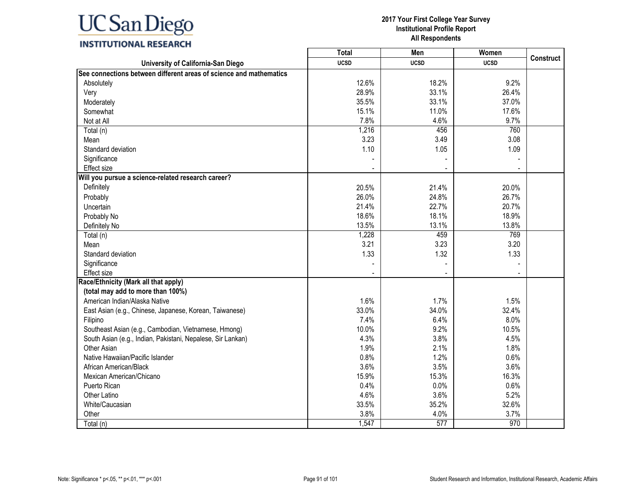## **INSTITUTIONAL RESEARCH**

|                                                                    | <b>Total</b> | Men         | Women       | <b>Construct</b> |
|--------------------------------------------------------------------|--------------|-------------|-------------|------------------|
| University of California-San Diego                                 | <b>UCSD</b>  | <b>UCSD</b> | <b>UCSD</b> |                  |
| See connections between different areas of science and mathematics |              |             |             |                  |
| Absolutely                                                         | 12.6%        | 18.2%       | 9.2%        |                  |
| Very                                                               | 28.9%        | 33.1%       | 26.4%       |                  |
| Moderately                                                         | 35.5%        | 33.1%       | 37.0%       |                  |
| Somewhat                                                           | 15.1%        | 11.0%       | 17.6%       |                  |
| Not at All                                                         | 7.8%         | 4.6%        | 9.7%        |                  |
| Total (n)                                                          | 1,216        | 456         | 760         |                  |
| Mean                                                               | 3.23         | 3.49        | 3.08        |                  |
| Standard deviation                                                 | 1.10         | 1.05        | 1.09        |                  |
| Significance                                                       |              |             |             |                  |
| <b>Effect size</b>                                                 |              |             |             |                  |
| Will you pursue a science-related research career?                 |              |             |             |                  |
| Definitely                                                         | 20.5%        | 21.4%       | 20.0%       |                  |
| Probably                                                           | 26.0%        | 24.8%       | 26.7%       |                  |
| Uncertain                                                          | 21.4%        | 22.7%       | 20.7%       |                  |
| Probably No                                                        | 18.6%        | 18.1%       | 18.9%       |                  |
| Definitely No                                                      | 13.5%        | 13.1%       | 13.8%       |                  |
| Total (n)                                                          | 1,228        | 459         | 769         |                  |
| Mean                                                               | 3.21         | 3.23        | 3.20        |                  |
| Standard deviation                                                 | 1.33         | 1.32        | 1.33        |                  |
| Significance                                                       |              |             |             |                  |
| <b>Effect size</b>                                                 |              |             |             |                  |
| Race/Ethnicity (Mark all that apply)                               |              |             |             |                  |
| (total may add to more than 100%)                                  |              |             |             |                  |
| American Indian/Alaska Native                                      | 1.6%         | 1.7%        | 1.5%        |                  |
| East Asian (e.g., Chinese, Japanese, Korean, Taiwanese)            | 33.0%        | 34.0%       | 32.4%       |                  |
| Filipino                                                           | 7.4%         | 6.4%        | 8.0%        |                  |
| Southeast Asian (e.g., Cambodian, Vietnamese, Hmong)               | 10.0%        | 9.2%        | 10.5%       |                  |
| South Asian (e.g., Indian, Pakistani, Nepalese, Sir Lankan)        | 4.3%         | 3.8%        | 4.5%        |                  |
| Other Asian                                                        | 1.9%         | 2.1%        | 1.8%        |                  |
| Native Hawaiian/Pacific Islander                                   | 0.8%         | 1.2%        | 0.6%        |                  |
| African American/Black                                             | 3.6%         | 3.5%        | 3.6%        |                  |
| Mexican American/Chicano                                           | 15.9%        | 15.3%       | 16.3%       |                  |
| Puerto Rican                                                       | 0.4%         | 0.0%        | 0.6%        |                  |
| Other Latino                                                       | 4.6%         | 3.6%        | 5.2%        |                  |
| White/Caucasian                                                    | 33.5%        | 35.2%       | 32.6%       |                  |
| Other                                                              | 3.8%         | 4.0%        | 3.7%        |                  |
| Total (n)                                                          | 1,547        | 577         | 970         |                  |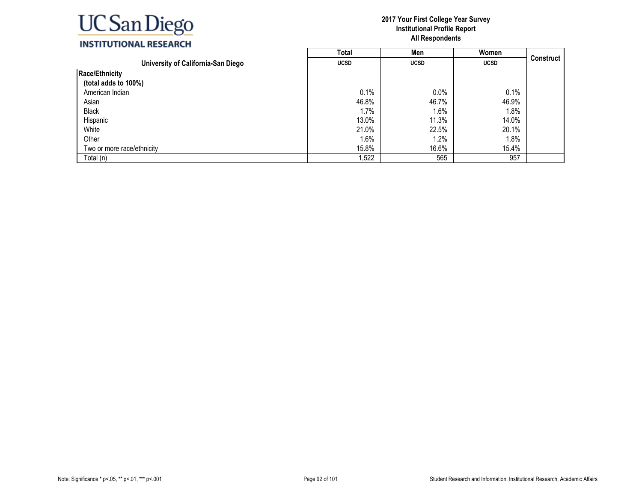

### **INSTITUTIONAL RESEARCH**

|                                    | <b>Total</b> | Men         | Women       |                  |
|------------------------------------|--------------|-------------|-------------|------------------|
| University of California-San Diego | <b>UCSD</b>  | <b>UCSD</b> | <b>UCSD</b> | <b>Construct</b> |
| Race/Ethnicity                     |              |             |             |                  |
| (total adds to 100%)               |              |             |             |                  |
| American Indian                    | 0.1%         | 0.0%        | 0.1%        |                  |
| Asian                              | 46.8%        | 46.7%       | 46.9%       |                  |
| <b>Black</b>                       | 1.7%         | 1.6%        | 1.8%        |                  |
| Hispanic                           | 13.0%        | 11.3%       | 14.0%       |                  |
| White                              | 21.0%        | 22.5%       | 20.1%       |                  |
| Other                              | 1.6%         | 1.2%        | 1.8%        |                  |
| Two or more race/ethnicity         | 15.8%        | 16.6%       | 15.4%       |                  |
| Total (n)                          | ,522         | 565         | 957         |                  |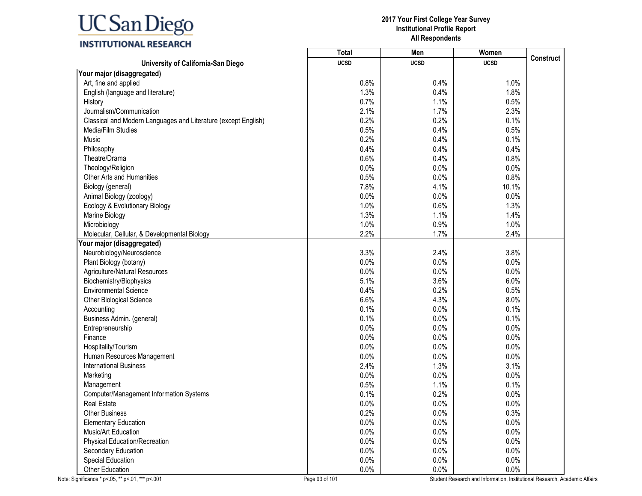|                                                                | Total       | Men         | Women       |                  |
|----------------------------------------------------------------|-------------|-------------|-------------|------------------|
| University of California-San Diego                             | <b>UCSD</b> | <b>UCSD</b> | <b>UCSD</b> | <b>Construct</b> |
| Your major (disaggregated)                                     |             |             |             |                  |
| Art, fine and applied                                          | 0.8%        | 0.4%        | 1.0%        |                  |
| English (language and literature)                              | 1.3%        | 0.4%        | 1.8%        |                  |
| History                                                        | 0.7%        | 1.1%        | 0.5%        |                  |
| Journalism/Communication                                       | 2.1%        | 1.7%        | 2.3%        |                  |
| Classical and Modern Languages and Literature (except English) | 0.2%        | 0.2%        | 0.1%        |                  |
| Media/Film Studies                                             | 0.5%        | 0.4%        | 0.5%        |                  |
| Music                                                          | 0.2%        | 0.4%        | 0.1%        |                  |
| Philosophy                                                     | 0.4%        | 0.4%        | 0.4%        |                  |
| Theatre/Drama                                                  | 0.6%        | 0.4%        | 0.8%        |                  |
| Theology/Religion                                              | 0.0%        | 0.0%        | 0.0%        |                  |
| Other Arts and Humanities                                      | 0.5%        | 0.0%        | 0.8%        |                  |
| Biology (general)                                              | 7.8%        | 4.1%        | 10.1%       |                  |
| Animal Biology (zoology)                                       | 0.0%        | 0.0%        | 0.0%        |                  |
| Ecology & Evolutionary Biology                                 | 1.0%        | 0.6%        | 1.3%        |                  |
| Marine Biology                                                 | 1.3%        | 1.1%        | 1.4%        |                  |
| Microbiology                                                   | 1.0%        | 0.9%        | 1.0%        |                  |
| Molecular, Cellular, & Developmental Biology                   | 2.2%        | 1.7%        | 2.4%        |                  |
| Your major (disaggregated)                                     |             |             |             |                  |
| Neurobiology/Neuroscience                                      | 3.3%        | 2.4%        | 3.8%        |                  |
| Plant Biology (botany)                                         | 0.0%        | 0.0%        | 0.0%        |                  |
| Agriculture/Natural Resources                                  | 0.0%        | 0.0%        | 0.0%        |                  |
| Biochemistry/Biophysics                                        | 5.1%        | 3.6%        | 6.0%        |                  |
| <b>Environmental Science</b>                                   | 0.4%        | 0.2%        | 0.5%        |                  |
| Other Biological Science                                       | 6.6%        | 4.3%        | 8.0%        |                  |
| Accounting                                                     | 0.1%        | 0.0%        | 0.1%        |                  |
| Business Admin. (general)                                      | 0.1%        | 0.0%        | 0.1%        |                  |
| Entrepreneurship                                               | 0.0%        | 0.0%        | 0.0%        |                  |
| Finance                                                        | 0.0%        | 0.0%        | 0.0%        |                  |
| Hospitality/Tourism                                            | 0.0%        | 0.0%        | 0.0%        |                  |
| Human Resources Management                                     | 0.0%        | 0.0%        | 0.0%        |                  |
| <b>International Business</b>                                  | 2.4%        | 1.3%        | 3.1%        |                  |
| Marketing                                                      | 0.0%        | 0.0%        | 0.0%        |                  |
| Management                                                     | 0.5%        | 1.1%        | 0.1%        |                  |
| Computer/Management Information Systems                        | 0.1%        | 0.2%        | 0.0%        |                  |
| <b>Real Estate</b>                                             | 0.0%        | 0.0%        | 0.0%        |                  |
| <b>Other Business</b>                                          | 0.2%        | 0.0%        | 0.3%        |                  |
| <b>Elementary Education</b>                                    | 0.0%        | 0.0%        | 0.0%        |                  |
| Music/Art Education                                            | 0.0%        | 0.0%        | 0.0%        |                  |
| <b>Physical Education/Recreation</b>                           | 0.0%        | 0.0%        | 0.0%        |                  |
| Secondary Education                                            | 0.0%        | 0.0%        | 0.0%        |                  |
| <b>Special Education</b>                                       | 0.0%        | 0.0%        | 0.0%        |                  |
| Other Education                                                | 0.0%        | 0.0%        | 0.0%        |                  |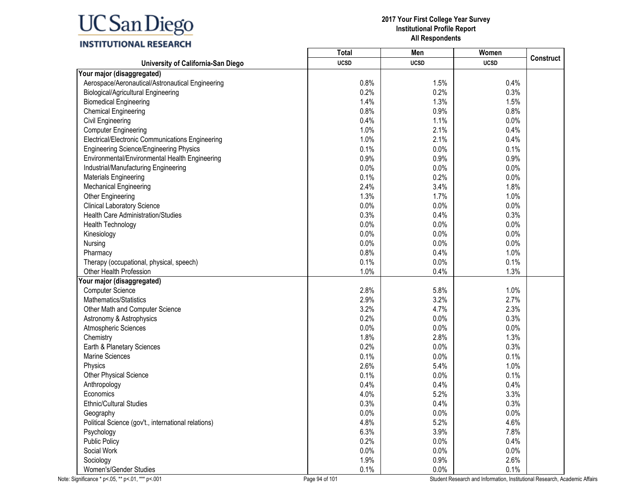|                                                     | Total       | Men         | Women       |                  |
|-----------------------------------------------------|-------------|-------------|-------------|------------------|
| University of California-San Diego                  | <b>UCSD</b> | <b>UCSD</b> | <b>UCSD</b> | <b>Construct</b> |
| Your major (disaggregated)                          |             |             |             |                  |
| Aerospace/Aeronautical/Astronautical Engineering    | 0.8%        | 1.5%        | 0.4%        |                  |
| <b>Biological/Agricultural Engineering</b>          | 0.2%        | 0.2%        | 0.3%        |                  |
| <b>Biomedical Engineering</b>                       | 1.4%        | 1.3%        | 1.5%        |                  |
| <b>Chemical Engineering</b>                         | 0.8%        | 0.9%        | 0.8%        |                  |
| <b>Civil Engineering</b>                            | 0.4%        | 1.1%        | 0.0%        |                  |
| <b>Computer Engineering</b>                         | 1.0%        | 2.1%        | 0.4%        |                  |
| Electrical/Electronic Communications Engineering    | 1.0%        | 2.1%        | 0.4%        |                  |
| <b>Engineering Science/Engineering Physics</b>      | 0.1%        | 0.0%        | 0.1%        |                  |
| Environmental/Environmental Health Engineering      | 0.9%        | 0.9%        | 0.9%        |                  |
| Industrial/Manufacturing Engineering                | 0.0%        | 0.0%        | 0.0%        |                  |
| <b>Materials Engineering</b>                        | 0.1%        | 0.2%        | 0.0%        |                  |
| Mechanical Engineering                              | 2.4%        | 3.4%        | 1.8%        |                  |
| Other Engineering                                   | 1.3%        | 1.7%        | 1.0%        |                  |
| <b>Clinical Laboratory Science</b>                  | 0.0%        | 0.0%        | 0.0%        |                  |
| <b>Health Care Administration/Studies</b>           | 0.3%        | 0.4%        | 0.3%        |                  |
| <b>Health Technology</b>                            | 0.0%        | 0.0%        | 0.0%        |                  |
| Kinesiology                                         | 0.0%        | 0.0%        | 0.0%        |                  |
| Nursing                                             | 0.0%        | 0.0%        | 0.0%        |                  |
| Pharmacy                                            | 0.8%        | 0.4%        | 1.0%        |                  |
| Therapy (occupational, physical, speech)            | 0.1%        | 0.0%        | 0.1%        |                  |
| Other Health Profession                             | 1.0%        | 0.4%        | 1.3%        |                  |
| Your major (disaggregated)                          |             |             |             |                  |
| <b>Computer Science</b>                             | 2.8%        | 5.8%        | 1.0%        |                  |
| Mathematics/Statistics                              | 2.9%        | 3.2%        | 2.7%        |                  |
| Other Math and Computer Science                     | 3.2%        | 4.7%        | 2.3%        |                  |
| Astronomy & Astrophysics                            | 0.2%        | 0.0%        | 0.3%        |                  |
| Atmospheric Sciences                                | 0.0%        | 0.0%        | 0.0%        |                  |
| Chemistry                                           | 1.8%        | 2.8%        | 1.3%        |                  |
| Earth & Planetary Sciences                          | 0.2%        | 0.0%        | 0.3%        |                  |
| <b>Marine Sciences</b>                              | 0.1%        | 0.0%        | 0.1%        |                  |
| Physics                                             | 2.6%        | 5.4%        | 1.0%        |                  |
| Other Physical Science                              | 0.1%        | 0.0%        | 0.1%        |                  |
| Anthropology                                        | 0.4%        | 0.4%        | 0.4%        |                  |
| Economics                                           | 4.0%        | 5.2%        | 3.3%        |                  |
| <b>Ethnic/Cultural Studies</b>                      | 0.3%        | 0.4%        | 0.3%        |                  |
| Geography                                           | 0.0%        | 0.0%        | 0.0%        |                  |
| Political Science (gov't., international relations) | 4.8%        | 5.2%        | 4.6%        |                  |
| Psychology                                          | 6.3%        | 3.9%        | 7.8%        |                  |
| <b>Public Policy</b>                                | 0.2%        | 0.0%        | 0.4%        |                  |
| Social Work                                         | 0.0%        | 0.0%        | 0.0%        |                  |
| Sociology                                           | 1.9%        | 0.9%        | 2.6%        |                  |
| Women's/Gender Studies                              | 0.1%        | 0.0%        | 0.1%        |                  |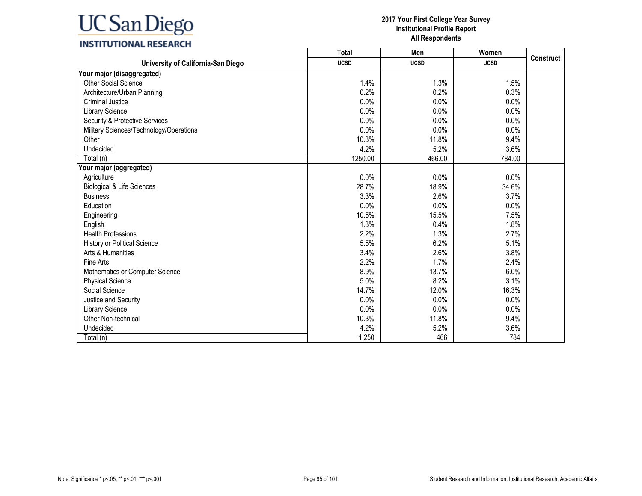### **INSTITUTIONAL RESEARCH**

|                                         | Total       | Men         | Women       |                  |
|-----------------------------------------|-------------|-------------|-------------|------------------|
| University of California-San Diego      | <b>UCSD</b> | <b>UCSD</b> | <b>UCSD</b> | <b>Construct</b> |
| Your major (disaggregated)              |             |             |             |                  |
| <b>Other Social Science</b>             | 1.4%        | 1.3%        | 1.5%        |                  |
| Architecture/Urban Planning             | 0.2%        | 0.2%        | 0.3%        |                  |
| <b>Criminal Justice</b>                 | 0.0%        | 0.0%        | 0.0%        |                  |
| <b>Library Science</b>                  | 0.0%        | 0.0%        | 0.0%        |                  |
| Security & Protective Services          | 0.0%        | 0.0%        | 0.0%        |                  |
| Military Sciences/Technology/Operations | 0.0%        | 0.0%        | 0.0%        |                  |
| Other                                   | 10.3%       | 11.8%       | 9.4%        |                  |
| Undecided                               | 4.2%        | 5.2%        | 3.6%        |                  |
| Total (n)                               | 1250.00     | 466.00      | 784.00      |                  |
| Your major (aggregated)                 |             |             |             |                  |
| Agriculture                             | 0.0%        | 0.0%        | 0.0%        |                  |
| Biological & Life Sciences              | 28.7%       | 18.9%       | 34.6%       |                  |
| <b>Business</b>                         | 3.3%        | 2.6%        | 3.7%        |                  |
| Education                               | 0.0%        | 0.0%        | 0.0%        |                  |
| Engineering                             | 10.5%       | 15.5%       | 7.5%        |                  |
| English                                 | 1.3%        | 0.4%        | 1.8%        |                  |
| <b>Health Professions</b>               | 2.2%        | 1.3%        | 2.7%        |                  |
| <b>History or Political Science</b>     | 5.5%        | 6.2%        | 5.1%        |                  |
| Arts & Humanities                       | 3.4%        | 2.6%        | 3.8%        |                  |
| Fine Arts                               | 2.2%        | 1.7%        | 2.4%        |                  |
| Mathematics or Computer Science         | 8.9%        | 13.7%       | 6.0%        |                  |
| <b>Physical Science</b>                 | 5.0%        | 8.2%        | 3.1%        |                  |
| Social Science                          | 14.7%       | 12.0%       | 16.3%       |                  |
| Justice and Security                    | 0.0%        | 0.0%        | 0.0%        |                  |
| <b>Library Science</b>                  | 0.0%        | 0.0%        | 0.0%        |                  |
| Other Non-technical                     | 10.3%       | 11.8%       | 9.4%        |                  |
| Undecided                               | 4.2%        | 5.2%        | 3.6%        |                  |
| Total (n)                               | 1,250       | 466         | 784         |                  |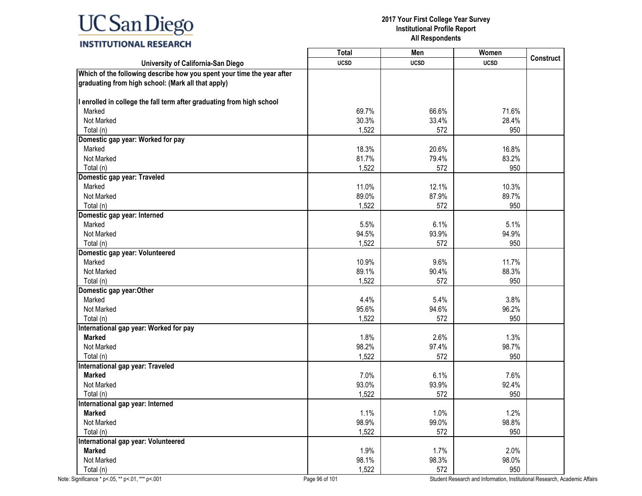## **INSTITUTIONAL RESEARCH**

|                                                                                                                              | Total       | Men         | Women       |                  |
|------------------------------------------------------------------------------------------------------------------------------|-------------|-------------|-------------|------------------|
| University of California-San Diego                                                                                           | <b>UCSD</b> | <b>UCSD</b> | <b>UCSD</b> | <b>Construct</b> |
| Which of the following describe how you spent your time the year after<br>graduating from high school: (Mark all that apply) |             |             |             |                  |
| I enrolled in college the fall term after graduating from high school                                                        |             |             |             |                  |
| Marked                                                                                                                       | 69.7%       | 66.6%       | 71.6%       |                  |
| Not Marked                                                                                                                   | 30.3%       | 33.4%       | 28.4%       |                  |
| Total (n)                                                                                                                    | 1,522       | 572         | 950         |                  |
| Domestic gap year: Worked for pay                                                                                            |             |             |             |                  |
| Marked                                                                                                                       | 18.3%       | 20.6%       | 16.8%       |                  |
| Not Marked                                                                                                                   | 81.7%       | 79.4%       | 83.2%       |                  |
| Total (n)                                                                                                                    | 1,522       | 572         | 950         |                  |
| Domestic gap year: Traveled                                                                                                  |             |             |             |                  |
| Marked                                                                                                                       | 11.0%       | 12.1%       | 10.3%       |                  |
| Not Marked                                                                                                                   | 89.0%       | 87.9%       | 89.7%       |                  |
| Total (n)                                                                                                                    | 1,522       | 572         | 950         |                  |
| Domestic gap year: Interned                                                                                                  |             |             |             |                  |
| Marked                                                                                                                       | 5.5%        | 6.1%        | 5.1%        |                  |
| Not Marked                                                                                                                   | 94.5%       | 93.9%       | 94.9%       |                  |
| Total (n)                                                                                                                    | 1,522       | 572         | 950         |                  |
| Domestic gap year: Volunteered                                                                                               |             |             |             |                  |
| Marked                                                                                                                       | 10.9%       | 9.6%        | 11.7%       |                  |
| Not Marked                                                                                                                   | 89.1%       | 90.4%       | 88.3%       |                  |
| Total (n)                                                                                                                    | 1,522       | 572         | 950         |                  |
| Domestic gap year: Other                                                                                                     |             |             |             |                  |
| Marked                                                                                                                       | 4.4%        | 5.4%        | 3.8%        |                  |
| Not Marked                                                                                                                   | 95.6%       | 94.6%       | 96.2%       |                  |
| Total (n)                                                                                                                    | 1,522       | 572         | 950         |                  |
| International gap year: Worked for pay                                                                                       |             |             |             |                  |
| <b>Marked</b>                                                                                                                | 1.8%        | 2.6%        | 1.3%        |                  |
| Not Marked                                                                                                                   | 98.2%       | 97.4%       | 98.7%       |                  |
| Total (n)                                                                                                                    | 1,522       | 572         | 950         |                  |
| International gap year: Traveled                                                                                             |             |             |             |                  |
| <b>Marked</b>                                                                                                                | 7.0%        | 6.1%        | 7.6%        |                  |
| Not Marked                                                                                                                   | 93.0%       | 93.9%       | 92.4%       |                  |
| Total (n)                                                                                                                    | 1,522       | 572         | 950         |                  |
| International gap year: Interned                                                                                             |             |             |             |                  |
| <b>Marked</b>                                                                                                                | 1.1%        | 1.0%        | 1.2%        |                  |
| Not Marked                                                                                                                   | 98.9%       | 99.0%       | 98.8%       |                  |
| Total (n)                                                                                                                    | 1,522       | 572         | 950         |                  |
| International gap year: Volunteered                                                                                          |             |             |             |                  |
| <b>Marked</b>                                                                                                                | 1.9%        | 1.7%        | 2.0%        |                  |
| Not Marked                                                                                                                   | 98.1%       | 98.3%       | 98.0%       |                  |
| Total (n)                                                                                                                    | 1,522       | 572         | 950         |                  |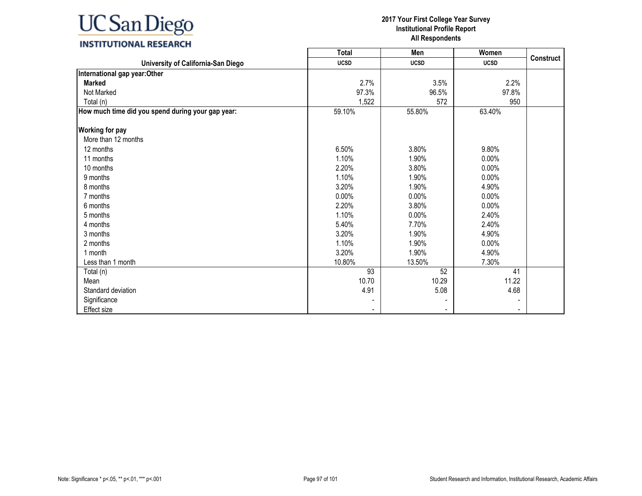

|                                                   | Total       | Men         | Women       |           |
|---------------------------------------------------|-------------|-------------|-------------|-----------|
| University of California-San Diego                | <b>UCSD</b> | <b>UCSD</b> | <b>UCSD</b> | Construct |
| International gap year: Other                     |             |             |             |           |
| <b>Marked</b>                                     | 2.7%        | 3.5%        | 2.2%        |           |
| Not Marked                                        | 97.3%       | 96.5%       | 97.8%       |           |
| Total (n)                                         | 1,522       | 572         | 950         |           |
| How much time did you spend during your gap year: | 59.10%      | 55.80%      | 63.40%      |           |
| <b>Working for pay</b>                            |             |             |             |           |
| More than 12 months                               |             |             |             |           |
| 12 months                                         | 6.50%       | 3.80%       | 9.80%       |           |
| 11 months                                         | 1.10%       | 1.90%       | 0.00%       |           |
| 10 months                                         | 2.20%       | 3.80%       | 0.00%       |           |
| 9 months                                          | 1.10%       | 1.90%       | 0.00%       |           |
| 8 months                                          | 3.20%       | 1.90%       | 4.90%       |           |
| 7 months                                          | 0.00%       | 0.00%       | 0.00%       |           |
| 6 months                                          | 2.20%       | 3.80%       | 0.00%       |           |
| 5 months                                          | 1.10%       | 0.00%       | 2.40%       |           |
| 4 months                                          | 5.40%       | 7.70%       | 2.40%       |           |
| 3 months                                          | 3.20%       | 1.90%       | 4.90%       |           |
| 2 months                                          | 1.10%       | 1.90%       | 0.00%       |           |
| 1 month                                           | 3.20%       | 1.90%       | 4.90%       |           |
| Less than 1 month                                 | 10.80%      | 13.50%      | 7.30%       |           |
| Total (n)                                         | 93          | 52          | 41          |           |
| Mean                                              | 10.70       | 10.29       | 11.22       |           |
| Standard deviation                                | 4.91        | 5.08        | 4.68        |           |
| Significance                                      |             |             |             |           |
| Effect size                                       |             |             |             |           |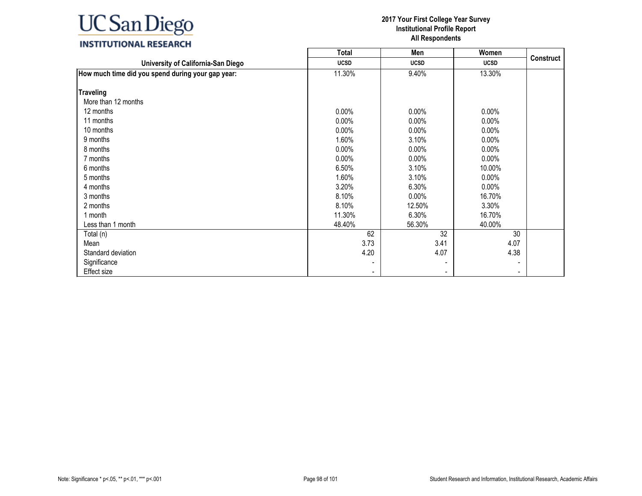|                                                   | <b>Total</b> | Men                      | Women          |                  |
|---------------------------------------------------|--------------|--------------------------|----------------|------------------|
| University of California-San Diego                | <b>UCSD</b>  | <b>UCSD</b>              | <b>UCSD</b>    | <b>Construct</b> |
| How much time did you spend during your gap year: | 11.30%       | 9.40%                    | 13.30%         |                  |
| <b>Traveling</b>                                  |              |                          |                |                  |
| More than 12 months                               |              |                          |                |                  |
| 12 months                                         | $0.00\%$     | 0.00%                    | $0.00\%$       |                  |
|                                                   |              |                          |                |                  |
| 11 months                                         | $0.00\%$     | 0.00%                    | 0.00%          |                  |
| 10 months                                         | $0.00\%$     | $0.00\%$                 | 0.00%          |                  |
| 9 months                                          | 1.60%        | 3.10%                    | $0.00\%$       |                  |
| 8 months                                          | 0.00%        | $0.00\%$                 | $0.00\%$       |                  |
| 7 months                                          | $0.00\%$     | $0.00\%$                 | $0.00\%$       |                  |
| 6 months                                          | 6.50%        | 3.10%                    | 10.00%         |                  |
| 5 months                                          | 1.60%        | 3.10%                    | $0.00\%$       |                  |
| 4 months                                          | 3.20%        | 6.30%                    | $0.00\%$       |                  |
| 3 months                                          | 8.10%        | $0.00\%$                 | 16.70%         |                  |
| 2 months                                          | 8.10%        | 12.50%                   | 3.30%          |                  |
| 1 month                                           | 11.30%       | 6.30%                    | 16.70%         |                  |
| Less than 1 month                                 | 48.40%       | 56.30%                   | 40.00%         |                  |
| Total (n)                                         | 62           | 32                       | 30             |                  |
| Mean                                              | 3.73         | 3.41                     | 4.07           |                  |
| Standard deviation                                | 4.20         | 4.07                     | 4.38           |                  |
| Significance                                      |              | $\overline{\phantom{a}}$ |                |                  |
| Effect size                                       |              | $\overline{\phantom{a}}$ | $\blacksquare$ |                  |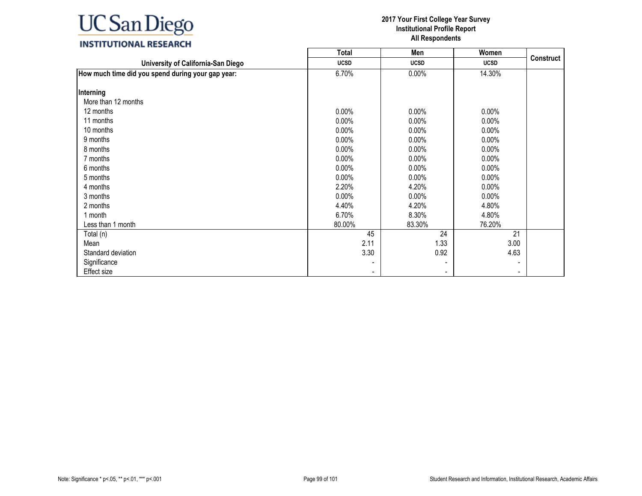|                                                   | <b>Total</b> | Men                      | Women          |                  |
|---------------------------------------------------|--------------|--------------------------|----------------|------------------|
| University of California-San Diego                | <b>UCSD</b>  | <b>UCSD</b>              | <b>UCSD</b>    | <b>Construct</b> |
| How much time did you spend during your gap year: | 6.70%        | $0.00\%$                 | 14.30%         |                  |
|                                                   |              |                          |                |                  |
| Interning                                         |              |                          |                |                  |
| More than 12 months                               |              |                          |                |                  |
| 12 months                                         | $0.00\%$     | 0.00%                    | $0.00\%$       |                  |
| 11 months                                         | $0.00\%$     | 0.00%                    | 0.00%          |                  |
| 10 months                                         | $0.00\%$     | 0.00%                    | 0.00%          |                  |
| 9 months                                          | $0.00\%$     | 0.00%                    | $0.00\%$       |                  |
| 8 months                                          | $0.00\%$     | $0.00\%$                 | $0.00\%$       |                  |
| 7 months                                          | $0.00\%$     | $0.00\%$                 | $0.00\%$       |                  |
| 6 months                                          | $0.00\%$     | $0.00\%$                 | $0.00\%$       |                  |
| 5 months                                          | $0.00\%$     | $0.00\%$                 | $0.00\%$       |                  |
| 4 months                                          | 2.20%        | 4.20%                    | $0.00\%$       |                  |
| 3 months                                          | $0.00\%$     | $0.00\%$                 | $0.00\%$       |                  |
| 2 months                                          | 4.40%        | 4.20%                    | 4.80%          |                  |
| 1 month                                           | 6.70%        | 8.30%                    | 4.80%          |                  |
| Less than 1 month                                 | 80.00%       | 83.30%                   | 76.20%         |                  |
| Total (n)                                         | 45           | 24                       | 21             |                  |
| Mean                                              | 2.11         | 1.33                     | 3.00           |                  |
| Standard deviation                                | 3.30         | 0.92                     | 4.63           |                  |
| Significance                                      |              | $\overline{\phantom{a}}$ |                |                  |
| Effect size                                       |              | $\overline{\phantom{a}}$ | $\blacksquare$ |                  |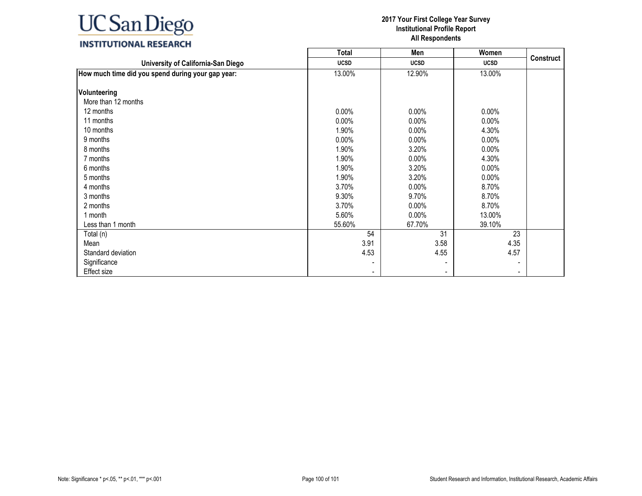|                                                   | Total          | Men                      | Women       |                  |
|---------------------------------------------------|----------------|--------------------------|-------------|------------------|
| University of California-San Diego                | <b>UCSD</b>    | <b>UCSD</b>              | <b>UCSD</b> | <b>Construct</b> |
| How much time did you spend during your gap year: | 13.00%         | 12.90%                   | 13.00%      |                  |
| Volunteering                                      |                |                          |             |                  |
| More than 12 months                               |                |                          |             |                  |
| 12 months                                         | $0.00\%$       | $0.00\%$                 | $0.00\%$    |                  |
| 11 months                                         | $0.00\%$       | $0.00\%$                 | $0.00\%$    |                  |
| 10 months                                         | 1.90%          | $0.00\%$                 | 4.30%       |                  |
| 9 months                                          | 0.00%          | $0.00\%$                 | $0.00\%$    |                  |
| 8 months                                          | 1.90%          | 3.20%                    | 0.00%       |                  |
| 7 months                                          | 1.90%          | $0.00\%$                 | 4.30%       |                  |
| 6 months                                          | 1.90%          | 3.20%                    | $0.00\%$    |                  |
| 5 months                                          | 1.90%          | 3.20%                    | $0.00\%$    |                  |
| 4 months                                          | 3.70%          | $0.00\%$                 | 8.70%       |                  |
| 3 months                                          | 9.30%          | 9.70%                    | 8.70%       |                  |
| 2 months                                          | 3.70%          | 0.00%                    | 8.70%       |                  |
| 1 month                                           | 5.60%          | 0.00%                    | 13.00%      |                  |
| Less than 1 month                                 | 55.60%         | 67.70%                   | 39.10%      |                  |
| Total (n)                                         | 54             | 31                       | 23          |                  |
| Mean                                              | 3.91           | 3.58                     | 4.35        |                  |
| Standard deviation                                | 4.53           | 4.55                     | 4.57        |                  |
| Significance                                      | $\blacksquare$ | $\overline{\phantom{a}}$ |             |                  |
| Effect size                                       | $\blacksquare$ | $\blacksquare$           |             |                  |